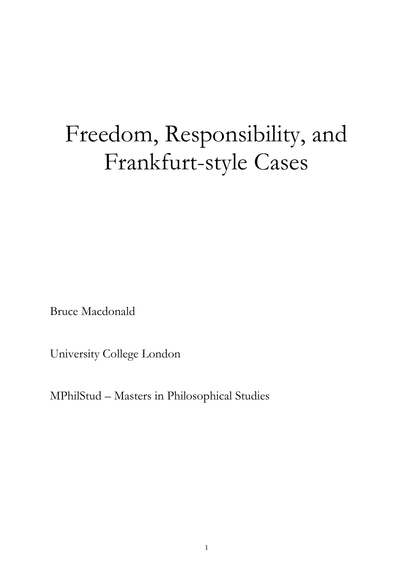# Freedom, Responsibility, and Frankfurt-style Cases

Bruce Macdonald

University College London

MPhilStud – Masters in Philosophical Studies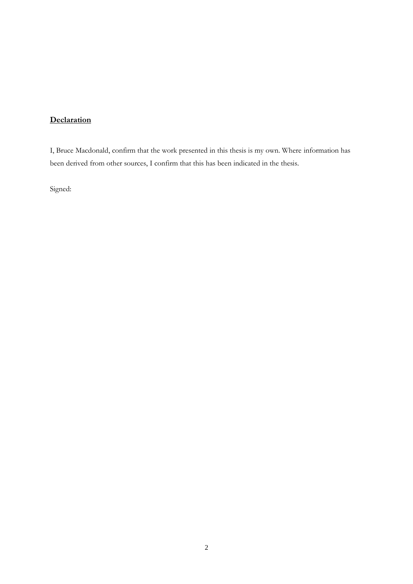# **Declaration**

I, Bruce Macdonald, confirm that the work presented in this thesis is my own. Where information has been derived from other sources, I confirm that this has been indicated in the thesis.

Signed: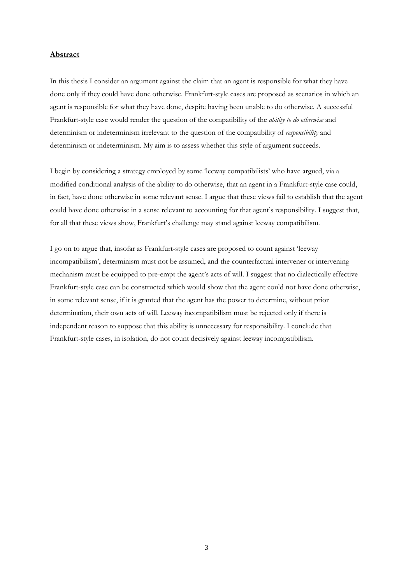# **Abstract**

In this thesis I consider an argument against the claim that an agent is responsible for what they have done only if they could have done otherwise. Frankfurt-style cases are proposed as scenarios in which an agent is responsible for what they have done, despite having been unable to do otherwise. A successful Frankfurt-style case would render the question of the compatibility of the *ability to do otherwise* and determinism or indeterminism irrelevant to the question of the compatibility of *responsibility* and determinism or indeterminism. My aim is to assess whether this style of argument succeeds.

I begin by considering a strategy employed by some "leeway compatibilists" who have argued, via a modified conditional analysis of the ability to do otherwise, that an agent in a Frankfurt-style case could, in fact, have done otherwise in some relevant sense. I argue that these views fail to establish that the agent could have done otherwise in a sense relevant to accounting for that agent's responsibility. I suggest that, for all that these views show, Frankfurt's challenge may stand against leeway compatibilism.

I go on to argue that, insofar as Frankfurt-style cases are proposed to count against "leeway incompatibilism", determinism must not be assumed, and the counterfactual intervener or intervening mechanism must be equipped to pre-empt the agent's acts of will. I suggest that no dialectically effective Frankfurt-style case can be constructed which would show that the agent could not have done otherwise, in some relevant sense, if it is granted that the agent has the power to determine, without prior determination, their own acts of will. Leeway incompatibilism must be rejected only if there is independent reason to suppose that this ability is unnecessary for responsibility. I conclude that Frankfurt-style cases, in isolation, do not count decisively against leeway incompatibilism.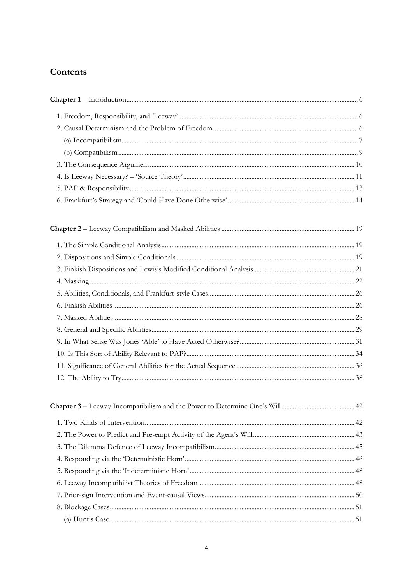# **Contents**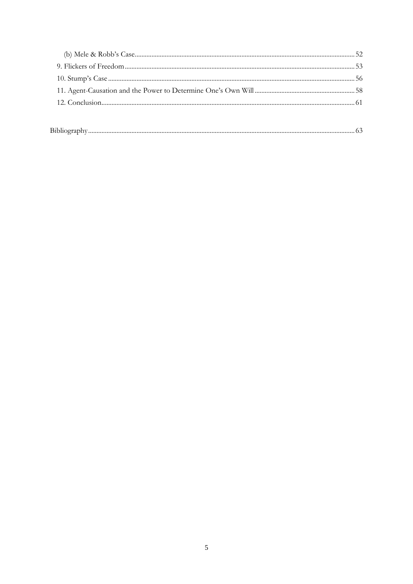| ________ |  |
|----------|--|
|          |  |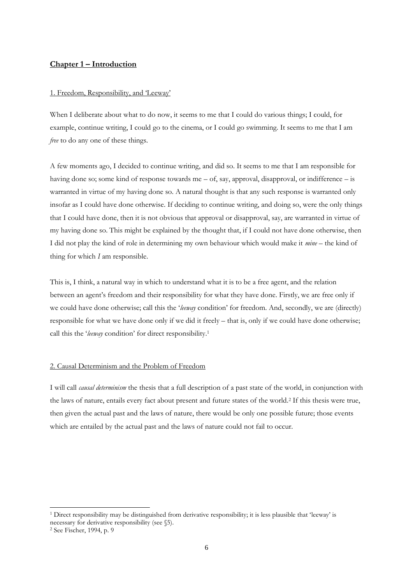# **Chapter 1 – Introduction**

## 1. Freedom, Responsibility, and "Leeway"

When I deliberate about what to do now, it seems to me that I could do various things; I could, for example, continue writing, I could go to the cinema, or I could go swimming. It seems to me that I am *free* to do any one of these things.

A few moments ago, I decided to continue writing, and did so. It seems to me that I am responsible for having done so; some kind of response towards me – of, say, approval, disapproval, or indifference – is warranted in virtue of my having done so. A natural thought is that any such response is warranted only insofar as I could have done otherwise. If deciding to continue writing, and doing so, were the only things that I could have done, then it is not obvious that approval or disapproval, say, are warranted in virtue of my having done so. This might be explained by the thought that, if I could not have done otherwise, then I did not play the kind of role in determining my own behaviour which would make it *mine* – the kind of thing for which *I* am responsible.

This is, I think, a natural way in which to understand what it is to be a free agent, and the relation between an agent's freedom and their responsibility for what they have done. Firstly, we are free only if we could have done otherwise; call this the "*leeway* condition" for freedom. And, secondly, we are (directly) responsible for what we have done only if we did it freely – that is, only if we could have done otherwise; call this the "*leeway* condition" for direct responsibility.<sup>1</sup>

# 2. Causal Determinism and the Problem of Freedom

I will call *causal determinism* the thesis that a full description of a past state of the world, in conjunction with the laws of nature, entails every fact about present and future states of the world.<sup>2</sup> If this thesis were true, then given the actual past and the laws of nature, there would be only one possible future; those events which are entailed by the actual past and the laws of nature could not fail to occur.

<sup>1</sup> Direct responsibility may be distinguished from derivative responsibility; it is less plausible that "leeway" is necessary for derivative responsibility (see §5).

<sup>2</sup> See Fischer, 1994, p. 9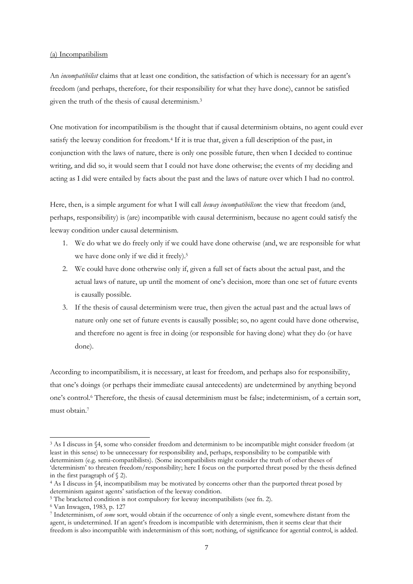# (a) Incompatibilism

An *incompatibilist* claims that at least one condition, the satisfaction of which is necessary for an agent"s freedom (and perhaps, therefore, for their responsibility for what they have done), cannot be satisfied given the truth of the thesis of causal determinism.<sup>3</sup>

One motivation for incompatibilism is the thought that if causal determinism obtains, no agent could ever satisfy the leeway condition for freedom.<sup>4</sup> If it is true that, given a full description of the past, in conjunction with the laws of nature, there is only one possible future, then when I decided to continue writing, and did so, it would seem that I could not have done otherwise; the events of my deciding and acting as I did were entailed by facts about the past and the laws of nature over which I had no control.

Here, then, is a simple argument for what I will call *leeway incompatibilism*: the view that freedom (and, perhaps, responsibility) is (are) incompatible with causal determinism, because no agent could satisfy the leeway condition under causal determinism.

- 1. We do what we do freely only if we could have done otherwise (and, we are responsible for what we have done only if we did it freely).<sup>5</sup>
- 2. We could have done otherwise only if, given a full set of facts about the actual past, and the actual laws of nature, up until the moment of one"s decision, more than one set of future events is causally possible.
- 3. If the thesis of causal determinism were true, then given the actual past and the actual laws of nature only one set of future events is causally possible; so, no agent could have done otherwise, and therefore no agent is free in doing (or responsible for having done) what they do (or have done).

According to incompatibilism, it is necessary, at least for freedom, and perhaps also for responsibility, that one"s doings (or perhaps their immediate causal antecedents) are undetermined by anything beyond one"s control.<sup>6</sup> Therefore, the thesis of causal determinism must be false; indeterminism, of a certain sort, must obtain.<sup>7</sup>

<sup>3</sup> As I discuss in §4, some who consider freedom and determinism to be incompatible might consider freedom (at least in this sense) to be unnecessary for responsibility and, perhaps, responsibility to be compatible with determinism (e.g. semi-compatibilists). (Some incompatibilists might consider the truth of other theses of 'determinism' to threaten freedom/responsibility; here I focus on the purported threat posed by the thesis defined in the first paragraph of § 2).

<sup>4</sup> As I discuss in §4, incompatibilism may be motivated by concerns other than the purported threat posed by determinism against agents' satisfaction of the leeway condition.

<sup>5</sup> The bracketed condition is not compulsory for leeway incompatibilists (see fn. 2).

<sup>6</sup> Van Inwagen, 1983, p. 127

<sup>7</sup> Indeterminism, of *some* sort, would obtain if the occurrence of only a single event, somewhere distant from the agent, is undetermined. If an agent"s freedom is incompatible with determinism, then it seems clear that their freedom is also incompatible with indeterminism of this sort; nothing, of significance for agential control, is added.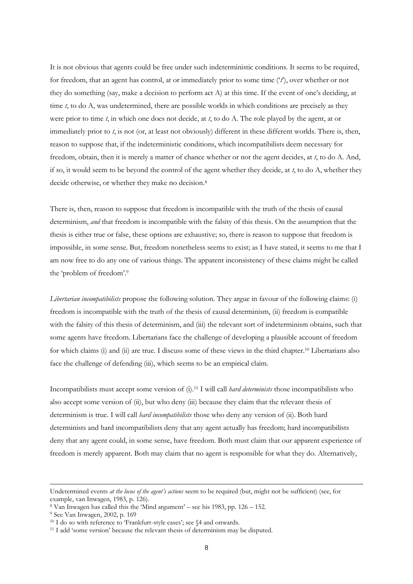It is not obvious that agents could be free under such indeterministic conditions. It seems to be required, for freedom, that an agent has control, at or immediately prior to some time ("*t*"), over whether or not they do something (say, make a decision to perform act A) at this time. If the event of one"s deciding, at time *t*, to do A, was undetermined, there are possible worlds in which conditions are precisely as they were prior to time *t*, in which one does not decide, at *t*, to do A. The role played by the agent, at or immediately prior to *t*, is not (or, at least not obviously) different in these different worlds. There is, then, reason to suppose that, if the indeterministic conditions, which incompatibilists deem necessary for freedom, obtain, then it is merely a matter of chance whether or not the agent decides, at *t*, to do A. And, if so, it would seem to be beyond the control of the agent whether they decide, at *t*, to do A, whether they decide otherwise, or whether they make no decision.<sup>8</sup>

There is, then, reason to suppose that freedom is incompatible with the truth of the thesis of causal determinism, *and* that freedom is incompatible with the falsity of this thesis. On the assumption that the thesis is either true or false, these options are exhaustive; so, there is reason to suppose that freedom is impossible, in some sense. But, freedom nonetheless seems to exist; as I have stated, it seems to me that I am now free to do any one of various things. The apparent inconsistency of these claims might be called the "problem of freedom".<sup>9</sup>

*Libertarian incompatibilists* propose the following solution. They argue in favour of the following claims: (i) freedom is incompatible with the truth of the thesis of causal determinism, (ii) freedom is compatible with the falsity of this thesis of determinism, and (iii) the relevant sort of indeterminism obtains, such that some agents have freedom. Libertarians face the challenge of developing a plausible account of freedom for which claims (i) and (ii) are true. I discuss some of these views in the third chapter.<sup>10</sup> Libertarians also face the challenge of defending (iii), which seems to be an empirical claim.

Incompatibilists must accept some version of (i).<sup>11</sup> I will call *hard determinists* those incompatibilists who also accept some version of (ii), but who deny (iii) because they claim that the relevant thesis of determinism is true. I will call *hard incompatibilists* those who deny any version of (ii). Both hard determinists and hard incompatibilists deny that any agent actually has freedom; hard incompatibilists deny that any agent could, in some sense, have freedom. Both must claim that our apparent experience of freedom is merely apparent. Both may claim that no agent is responsible for what they do. Alternatively,

 $8$  Van Inwagen has called this the 'Mind argument' – see his 1983, pp. 126 – 152.

<sup>9</sup> See Van Inwagen, 2002, p. 169

Undetermined events *at the locus of the agent's actions* seem to be required (but, might not be sufficient) (see, for example, van Inwagen, 1983, p. 126).

<sup>&</sup>lt;sup>10</sup> I do so with reference to 'Frankfurt-style cases'; see §4 and onwards.

<sup>&</sup>lt;sup>11</sup> I add 'some version' because the relevant thesis of determinism may be disputed.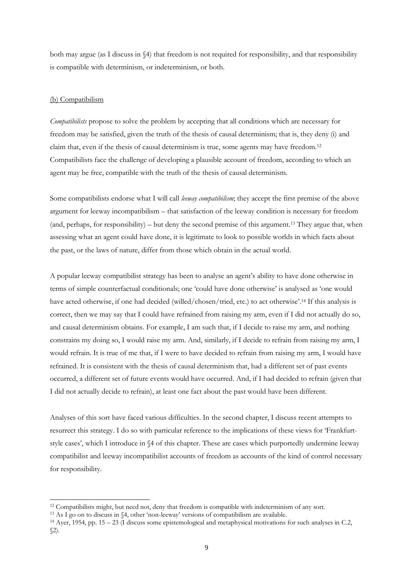both may argue (as I discuss in §4) that freedom is not required for responsibility, and that responsibility is compatible with determinism, or indeterminism, or both.

# (b) Compatibilism

-

*Compatibilists* propose to solve the problem by accepting that all conditions which are necessary for freedom may be satisfied, given the truth of the thesis of causal determinism; that is, they deny (i) and claim that, even if the thesis of causal determinism is true, some agents may have freedom.<sup>12</sup> Compatibilists face the challenge of developing a plausible account of freedom, according to which an agent may be free, compatible with the truth of the thesis of causal determinism.

Some compatibilists endorse what I will call *leeway compatibilism*; they accept the first premise of the above argument for leeway incompatibilism – that satisfaction of the leeway condition is necessary for freedom (and, perhaps, for responsibility) – but deny the second premise of this argument.<sup>13</sup> They argue that, when assessing what an agent could have done, it is legitimate to look to possible worlds in which facts about the past, or the laws of nature, differ from those which obtain in the actual world.

A popular leeway compatibilist strategy has been to analyse an agent"s ability to have done otherwise in terms of simple counterfactual conditionals; one "could have done otherwise" is analysed as "one would have acted otherwise, if one had decided (willed/chosen/tried, etc.) to act otherwise'.<sup>14</sup> If this analysis is correct, then we may say that I could have refrained from raising my arm, even if I did not actually do so, and causal determinism obtains. For example, I am such that, if I decide to raise my arm, and nothing constrains my doing so, I would raise my arm. And, similarly, if I decide to refrain from raising my arm, I would refrain. It is true of me that, if I were to have decided to refrain from raising my arm, I would have refrained. It is consistent with the thesis of causal determinism that, had a different set of past events occurred, a different set of future events would have occurred. And, if I had decided to refrain (given that I did not actually decide to refrain), at least one fact about the past would have been different.

Analyses of this sort have faced various difficulties. In the second chapter, I discuss recent attempts to resurrect this strategy. I do so with particular reference to the implications of these views for "Frankfurtstyle cases', which I introduce in  $\S4$  of this chapter. These are cases which purportedly undermine leeway compatibilist and leeway incompatibilist accounts of freedom as accounts of the kind of control necessary for responsibility.

<sup>12</sup> Compatibilists might, but need not, deny that freedom is compatible with indeterminism of any sort.

<sup>&</sup>lt;sup>13</sup> As I go on to discuss in §4, other 'non-leeway' versions of compatibilism are available.

<sup>14</sup> Ayer, 1954, pp. 15 – 23 (I discuss some epistemological and metaphysical motivations for such analyses in C.2,  $\mathcal{Z}$ ).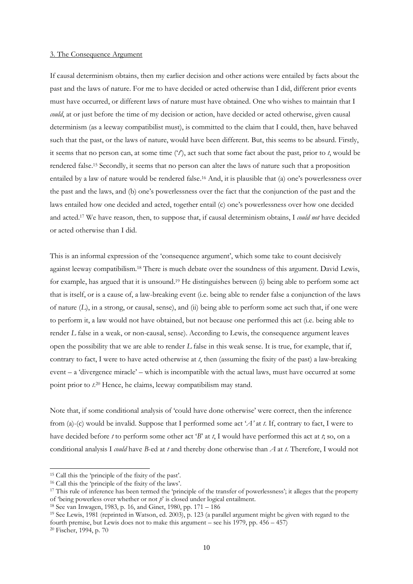#### 3. The Consequence Argument

If causal determinism obtains, then my earlier decision and other actions were entailed by facts about the past and the laws of nature. For me to have decided or acted otherwise than I did, different prior events must have occurred, or different laws of nature must have obtained. One who wishes to maintain that I *could*, at or just before the time of my decision or action, have decided or acted otherwise, given causal determinism (as a leeway compatibilist must), is committed to the claim that I could, then, have behaved such that the past, or the laws of nature, would have been different. But, this seems to be absurd. Firstly, it seems that no person can, at some time ("*t*"), act such that some fact about the past, prior to *t*, would be rendered false.<sup>15</sup> Secondly, it seems that no person can alter the laws of nature such that a proposition entailed by a law of nature would be rendered false.<sup>16</sup> And, it is plausible that (a) one's powerlessness over the past and the laws, and (b) one"s powerlessness over the fact that the conjunction of the past and the laws entailed how one decided and acted, together entail (c) one"s powerlessness over how one decided and acted.<sup>17</sup> We have reason, then, to suppose that, if causal determinism obtains, I *could not* have decided or acted otherwise than I did.

This is an informal expression of the 'consequence argument', which some take to count decisively against leeway compatibilism.<sup>18</sup> There is much debate over the soundness of this argument. David Lewis, for example, has argued that it is unsound.<sup>19</sup> He distinguishes between (i) being able to perform some act that is itself, or is a cause of, a law-breaking event (i.e. being able to render false a conjunction of the laws of nature (*L*), in a strong, or causal, sense), and (ii) being able to perform some act such that, if one were to perform it, a law would not have obtained, but not because one performed this act (i.e. being able to render *L* false in a weak, or non-causal, sense). According to Lewis, the consequence argument leaves open the possibility that we are able to render *L* false in this weak sense. It is true, for example, that if, contrary to fact, I were to have acted otherwise at *t*, then (assuming the fixity of the past) a law-breaking event – a "divergence miracle" – which is incompatible with the actual laws, must have occurred at some point prior to *t*. <sup>20</sup> Hence, he claims, leeway compatibilism may stand.

Note that, if some conditional analysis of "could have done otherwise" were correct, then the inference from (a)-(c) would be invalid. Suppose that I performed some act "*A'* at *t*. If, contrary to fact, I were to have decided before *t* to perform some other act '*B*' at *t*, I would have performed this act at *t*; so, on a conditional analysis I *could* have *B*-ed at *t* and thereby done otherwise than *A* at *t*. Therefore, I would not

<sup>&</sup>lt;sup>15</sup> Call this the 'principle of the fixity of the past'.

<sup>&</sup>lt;sup>16</sup> Call this the 'principle of the fixity of the laws'.

<sup>&</sup>lt;sup>17</sup> This rule of inference has been termed the 'principle of the transfer of powerlessness'; it alleges that the property of "being powerless over whether or not *p*" is closed under logical entailment.

<sup>18</sup> See van Inwagen, 1983, p. 16, and Ginet, 1980, pp. 171 – 186

<sup>19</sup> See Lewis, 1981 (reprinted in Watson, ed. 2003), p. 123 (a parallel argument might be given with regard to the fourth premise, but Lewis does not to make this argument – see his 1979, pp.  $456 - 457$ )

<sup>20</sup> Fischer, 1994, p. 70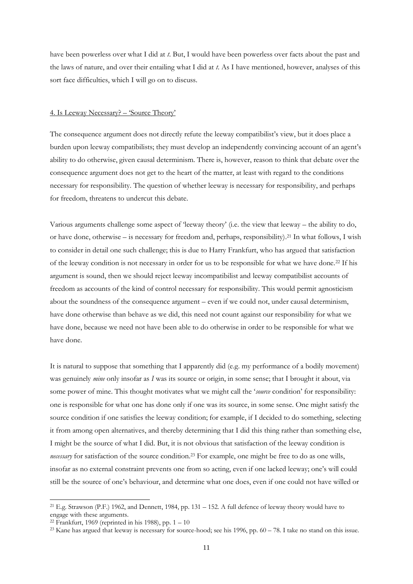have been powerless over what I did at *t*. But, I would have been powerless over facts about the past and the laws of nature, and over their entailing what I did at *t*. As I have mentioned, however, analyses of this sort face difficulties, which I will go on to discuss.

# 4. Is Leeway Necessary? – "Source Theory"

The consequence argument does not directly refute the leeway compatibilist"s view, but it does place a burden upon leeway compatibilists; they must develop an independently convincing account of an agent"s ability to do otherwise, given causal determinism. There is, however, reason to think that debate over the consequence argument does not get to the heart of the matter, at least with regard to the conditions necessary for responsibility. The question of whether leeway is necessary for responsibility, and perhaps for freedom, threatens to undercut this debate.

Various arguments challenge some aspect of "leeway theory" (i.e. the view that leeway – the ability to do, or have done, otherwise – is necessary for freedom and, perhaps, responsibility). <sup>21</sup> In what follows, I wish to consider in detail one such challenge; this is due to Harry Frankfurt, who has argued that satisfaction of the leeway condition is not necessary in order for us to be responsible for what we have done.<sup>22</sup> If his argument is sound, then we should reject leeway incompatibilist and leeway compatibilist accounts of freedom as accounts of the kind of control necessary for responsibility. This would permit agnosticism about the soundness of the consequence argument – even if we could not, under causal determinism, have done otherwise than behave as we did, this need not count against our responsibility for what we have done, because we need not have been able to do otherwise in order to be responsible for what we have done.

It is natural to suppose that something that I apparently did (e.g. my performance of a bodily movement) was genuinely *mine* only insofar as *I* was its source or origin, in some sense; that I brought it about, via some power of mine. This thought motivates what we might call the "*source* condition" for responsibility: one is responsible for what one has done only if one was its source, in some sense. One might satisfy the source condition if one satisfies the leeway condition; for example, if I decided to do something, selecting it from among open alternatives, and thereby determining that I did this thing rather than something else, I might be the source of what I did. But, it is not obvious that satisfaction of the leeway condition is *necessary* for satisfaction of the source condition.<sup>23</sup> For example, one might be free to do as one wills, insofar as no external constraint prevents one from so acting, even if one lacked leeway; one"s will could still be the source of one"s behaviour, and determine what one does, even if one could not have willed or

<sup>21</sup> E.g. Strawson (P.F.) 1962, and Dennett, 1984, pp. 131 – 152. A full defence of leeway theory would have to engage with these arguments.

<sup>&</sup>lt;sup>22</sup> Frankfurt, 1969 (reprinted in his 1988), pp.  $1 - 10$ 

<sup>&</sup>lt;sup>23</sup> Kane has argued that leeway is necessary for source-hood; see his 1996, pp.  $60 - 78$ . I take no stand on this issue.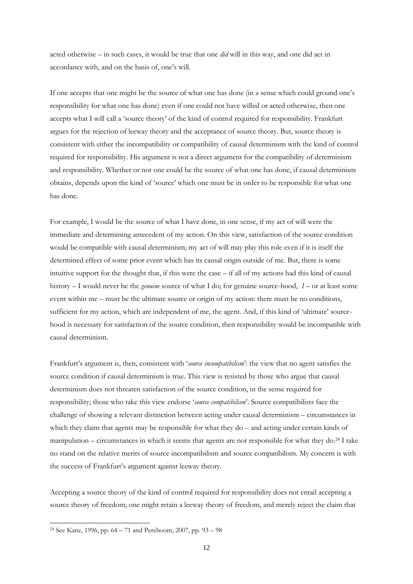acted otherwise – in such cases, it would be true that one *did* will in this way, and one did act in accordance with, and on the basis of, one"s will.

If one accepts that one might be the source of what one has done (in a sense which could ground one"s responsibility for what one has done) even if one could not have willed or acted otherwise, then one accepts what I will call a "source theory" of the kind of control required for responsibility. Frankfurt argues for the rejection of leeway theory and the acceptance of source theory. But, source theory is consistent with either the incompatibility or compatibility of causal determinism with the kind of control required for responsibility. His argument is not a direct argument for the compatibility of determinism and responsibility. Whether or not one could be the source of what one has done, if causal determinism obtains, depends upon the kind of "source" which one must be in order to be responsible for what one has done.

For example, I would be the source of what I have done, in one sense, if my act of will were the immediate and determining antecedent of my action. On this view, satisfaction of the source condition would be compatible with causal determinism; my act of will may play this role even if it is itself the determined effect of some prior event which has its causal origin outside of me. But, there is some intuitive support for the thought that, if this were the case – if all of my actions had this kind of causal history – I would never be the *genuine* source of what I do; for genuine source-hood, *I* – or at least some event within me – must be the ultimate source or origin of my action: there must be no conditions, sufficient for my action, which are independent of me, the agent. And, if this kind of "ultimate" sourcehood is necessary for satisfaction of the source condition, then responsibility would be incompatible with causal determinism.

Frankfurt"s argument is, then, consistent with "*source incompatibilism*": the view that no agent satisfies the source condition if causal determinism is true. This view is resisted by those who argue that causal determinism does not threaten satisfaction of the source condition, in the sense required for responsibility; those who take this view endorse "*source compatibilism*". Source compatibilists face the challenge of showing a relevant distinction between acting under causal determinism – circumstances in which they claim that agents may be responsible for what they do – and acting under certain kinds of manipulation – circumstances in which it seems that agents are not responsible for what they do.<sup>24</sup> I take no stand on the relative merits of source incompatibilism and source compatibilism. My concern is with the success of Frankfurt's argument against leeway theory.

Accepting a source theory of the kind of control required for responsibility does not entail accepting a source theory of freedom; one might retain a leeway theory of freedom, and merely reject the claim that

<sup>24</sup> See Kane, 1996, pp. 64 – 71 and Pereboom, 2007, pp. 93 – 98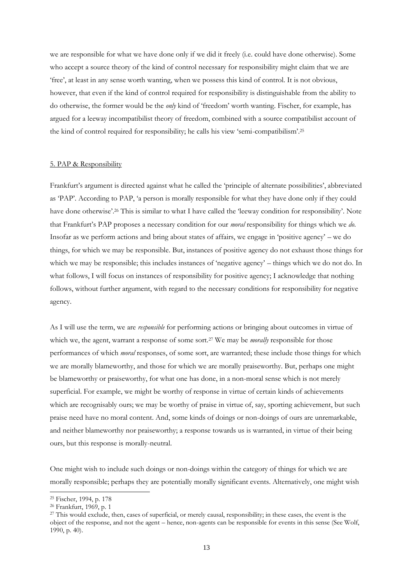we are responsible for what we have done only if we did it freely (i.e. could have done otherwise). Some who accept a source theory of the kind of control necessary for responsibility might claim that we are "free", at least in any sense worth wanting, when we possess this kind of control. It is not obvious, however, that even if the kind of control required for responsibility is distinguishable from the ability to do otherwise, the former would be the *only* kind of "freedom" worth wanting. Fischer, for example, has argued for a leeway incompatibilist theory of freedom, combined with a source compatibilist account of the kind of control required for responsibility; he calls his view 'semi-compatibilism'.<sup>25</sup>

#### 5. PAP & Responsibility

Frankfurt's argument is directed against what he called the 'principle of alternate possibilities', abbreviated as "PAP". According to PAP, "a person is morally responsible for what they have done only if they could have done otherwise'.<sup>26</sup> This is similar to what I have called the 'leeway condition for responsibility'. Note that Frankfurt"s PAP proposes a necessary condition for our *moral* responsibility for things which we *do*. Insofar as we perform actions and bring about states of affairs, we engage in "positive agency" – we do things, for which we may be responsible. But, instances of positive agency do not exhaust those things for which we may be responsible; this includes instances of 'negative agency' – things which we do not do. In what follows, I will focus on instances of responsibility for positive agency; I acknowledge that nothing follows, without further argument, with regard to the necessary conditions for responsibility for negative agency.

As I will use the term, we are *responsible* for performing actions or bringing about outcomes in virtue of which we, the agent, warrant a response of some sort.<sup>27</sup> We may be *morally* responsible for those performances of which *moral* responses, of some sort, are warranted; these include those things for which we are morally blameworthy, and those for which we are morally praiseworthy. But, perhaps one might be blameworthy or praiseworthy, for what one has done, in a non-moral sense which is not merely superficial. For example, we might be worthy of response in virtue of certain kinds of achievements which are recognisably ours; we may be worthy of praise in virtue of, say, sporting achievement, but such praise need have no moral content. And, some kinds of doings or non-doings of ours are unremarkable, and neither blameworthy nor praiseworthy; a response towards us is warranted, in virtue of their being ours, but this response is morally-neutral.

One might wish to include such doings or non-doings within the category of things for which we are morally responsible; perhaps they are potentially morally significant events. Alternatively, one might wish

<sup>25</sup> Fischer, 1994, p. 178

<sup>26</sup> Frankfurt, 1969, p. 1

<sup>&</sup>lt;sup>27</sup> This would exclude, then, cases of superficial, or merely causal, responsibility; in these cases, the event is the object of the response, and not the agent – hence, non-agents can be responsible for events in this sense (See Wolf, 1990, p. 40).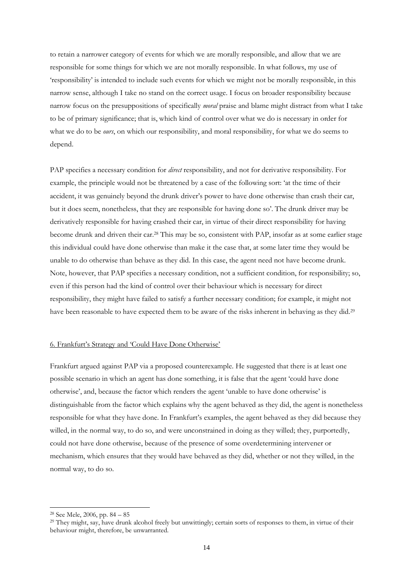to retain a narrower category of events for which we are morally responsible, and allow that we are responsible for some things for which we are not morally responsible. In what follows, my use of "responsibility" is intended to include such events for which we might not be morally responsible, in this narrow sense, although I take no stand on the correct usage. I focus on broader responsibility because narrow focus on the presuppositions of specifically *moral* praise and blame might distract from what I take to be of primary significance; that is, which kind of control over what we do is necessary in order for what we do to be *ours*, on which our responsibility, and moral responsibility, for what we do seems to depend.

PAP specifies a necessary condition for *direct* responsibility, and not for derivative responsibility. For example, the principle would not be threatened by a case of the following sort: "at the time of their accident, it was genuinely beyond the drunk driver"s power to have done otherwise than crash their car, but it does seem, nonetheless, that they are responsible for having done so'. The drunk driver may be derivatively responsible for having crashed their car, in virtue of their direct responsibility for having become drunk and driven their car.<sup>28</sup> This may be so, consistent with PAP, insofar as at some earlier stage this individual could have done otherwise than make it the case that, at some later time they would be unable to do otherwise than behave as they did. In this case, the agent need not have become drunk. Note, however, that PAP specifies a necessary condition, not a sufficient condition, for responsibility; so, even if this person had the kind of control over their behaviour which is necessary for direct responsibility, they might have failed to satisfy a further necessary condition; for example, it might not have been reasonable to have expected them to be aware of the risks inherent in behaving as they did.<sup>29</sup>

# 6. Frankfurt"s Strategy and "Could Have Done Otherwise"

Frankfurt argued against PAP via a proposed counterexample. He suggested that there is at least one possible scenario in which an agent has done something, it is false that the agent "could have done otherwise', and, because the factor which renders the agent 'unable to have done otherwise' is distinguishable from the factor which explains why the agent behaved as they did, the agent is nonetheless responsible for what they have done. In Frankfurt's examples, the agent behaved as they did because they willed, in the normal way, to do so, and were unconstrained in doing as they willed; they, purportedly, could not have done otherwise, because of the presence of some overdetermining intervener or mechanism, which ensures that they would have behaved as they did, whether or not they willed, in the normal way, to do so.

<sup>28</sup> See Mele, 2006, pp. 84 – 85

<sup>&</sup>lt;sup>29</sup> They might, say, have drunk alcohol freely but unwittingly; certain sorts of responses to them, in virtue of their behaviour might, therefore, be unwarranted.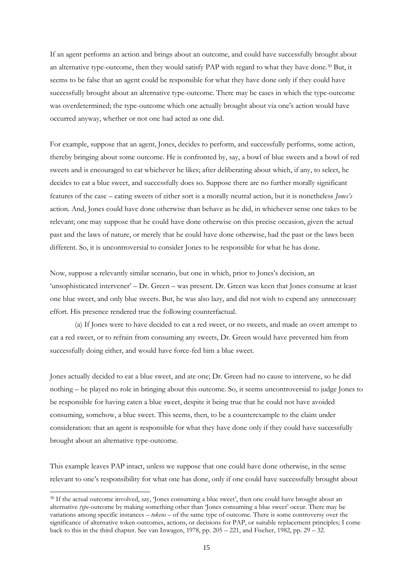If an agent performs an action and brings about an outcome, and could have successfully brought about an alternative type-outcome, then they would satisfy PAP with regard to what they have done.<sup>30</sup> But, it seems to be false that an agent could be responsible for what they have done only if they could have successfully brought about an alternative type-outcome. There may be cases in which the type-outcome was overdetermined; the type-outcome which one actually brought about via one"s action would have occurred anyway, whether or not one had acted as one did.

For example, suppose that an agent, Jones, decides to perform, and successfully performs, some action, thereby bringing about some outcome. He is confronted by, say, a bowl of blue sweets and a bowl of red sweets and is encouraged to eat whichever he likes; after deliberating about which, if any, to select, he decides to eat a blue sweet, and successfully does so. Suppose there are no further morally significant features of the case – eating sweets of either sort is a morally neutral action, but it is nonetheless *Jones's* action. And, Jones could have done otherwise than behave as he did, in whichever sense one takes to be relevant; one may suppose that he could have done otherwise on this precise occasion, given the actual past and the laws of nature, or merely that he could have done otherwise, had the past or the laws been different. So, it is uncontroversial to consider Jones to be responsible for what he has done.

Now, suppose a relevantly similar scenario, but one in which, prior to Jones"s decision, an 'unsophisticated intervener' – Dr. Green – was present. Dr. Green was keen that Jones consume at least one blue sweet, and only blue sweets. But, he was also lazy, and did not wish to expend any unnecessary effort. His presence rendered true the following counterfactual.

(a) If Jones were to have decided to eat a red sweet, or no sweets, and made an overt attempt to eat a red sweet, or to refrain from consuming any sweets, Dr. Green would have prevented him from successfully doing either, and would have force-fed him a blue sweet.

Jones actually decided to eat a blue sweet, and ate one; Dr. Green had no cause to intervene, so he did nothing – he played no role in bringing about this outcome. So, it seems uncontroversial to judge Jones to be responsible for having eaten a blue sweet, despite it being true that he could not have avoided consuming, somehow, a blue sweet. This seems, then, to be a counterexample to the claim under consideration: that an agent is responsible for what they have done only if they could have successfully brought about an alternative type-outcome.

This example leaves PAP intact, unless we suppose that one could have done otherwise, in the sense relevant to one"s responsibility for what one has done, only if one could have successfully brought about

<sup>&</sup>lt;sup>30</sup> If the actual outcome involved, say, 'Jones consuming a blue sweet', then one could have brought about an alternative *type*-outcome by making something other than 'Jones consuming a blue sweet' occur. There may be variations among specific instances – *tokens* – of the same type of outcome. There is some controversy over the significance of alternative token-outcomes, actions, or decisions for PAP, or suitable replacement principles; I come back to this in the third chapter. See van Inwagen, 1978, pp. 205 – 221, and Fischer, 1982, pp. 29 – 32.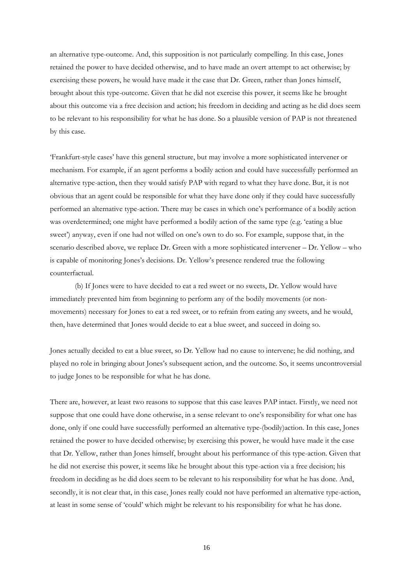an alternative type-outcome. And, this supposition is not particularly compelling. In this case, Jones retained the power to have decided otherwise, and to have made an overt attempt to act otherwise; by exercising these powers, he would have made it the case that Dr. Green, rather than Jones himself, brought about this type-outcome. Given that he did not exercise this power, it seems like he brought about this outcome via a free decision and action; his freedom in deciding and acting as he did does seem to be relevant to his responsibility for what he has done. So a plausible version of PAP is not threatened by this case.

"Frankfurt-style cases" have this general structure, but may involve a more sophisticated intervener or mechanism. For example, if an agent performs a bodily action and could have successfully performed an alternative type-action, then they would satisfy PAP with regard to what they have done. But, it is not obvious that an agent could be responsible for what they have done only if they could have successfully performed an alternative type-action. There may be cases in which one"s performance of a bodily action was overdetermined; one might have performed a bodily action of the same type (e.g. "eating a blue sweet') anyway, even if one had not willed on one's own to do so. For example, suppose that, in the scenario described above, we replace Dr. Green with a more sophisticated intervener – Dr. Yellow – who is capable of monitoring Jones"s decisions. Dr. Yellow"s presence rendered true the following counterfactual.

(b) If Jones were to have decided to eat a red sweet or no sweets, Dr. Yellow would have immediately prevented him from beginning to perform any of the bodily movements (or nonmovements) necessary for Jones to eat a red sweet, or to refrain from eating any sweets, and he would, then, have determined that Jones would decide to eat a blue sweet, and succeed in doing so.

Jones actually decided to eat a blue sweet, so Dr. Yellow had no cause to intervene; he did nothing, and played no role in bringing about Jones"s subsequent action, and the outcome. So, it seems uncontroversial to judge Jones to be responsible for what he has done.

There are, however, at least two reasons to suppose that this case leaves PAP intact. Firstly, we need not suppose that one could have done otherwise, in a sense relevant to one's responsibility for what one has done, only if one could have successfully performed an alternative type-(bodily)action. In this case, Jones retained the power to have decided otherwise; by exercising this power, he would have made it the case that Dr. Yellow, rather than Jones himself, brought about his performance of this type-action. Given that he did not exercise this power, it seems like he brought about this type-action via a free decision; his freedom in deciding as he did does seem to be relevant to his responsibility for what he has done. And, secondly, it is not clear that, in this case, Jones really could not have performed an alternative type-action, at least in some sense of "could" which might be relevant to his responsibility for what he has done.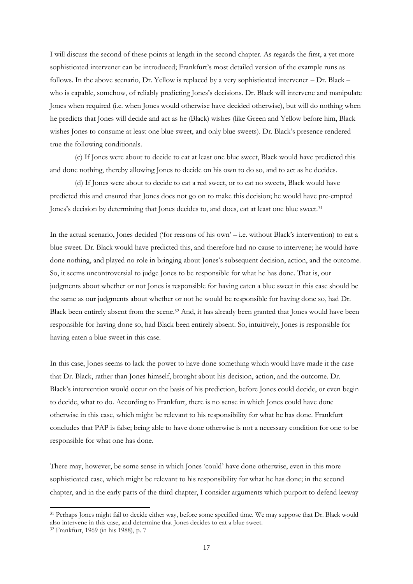I will discuss the second of these points at length in the second chapter. As regards the first, a yet more sophisticated intervener can be introduced; Frankfurt's most detailed version of the example runs as follows. In the above scenario, Dr. Yellow is replaced by a very sophisticated intervener – Dr. Black – who is capable, somehow, of reliably predicting Jones's decisions. Dr. Black will intervene and manipulate Jones when required (i.e. when Jones would otherwise have decided otherwise), but will do nothing when he predicts that Jones will decide and act as he (Black) wishes (like Green and Yellow before him, Black wishes Jones to consume at least one blue sweet, and only blue sweets). Dr. Black"s presence rendered true the following conditionals.

(c) If Jones were about to decide to eat at least one blue sweet, Black would have predicted this and done nothing, thereby allowing Jones to decide on his own to do so, and to act as he decides.

(d) If Jones were about to decide to eat a red sweet, or to eat no sweets, Black would have predicted this and ensured that Jones does not go on to make this decision; he would have pre-empted Jones's decision by determining that Jones decides to, and does, eat at least one blue sweet.<sup>31</sup>

In the actual scenario, Jones decided ('for reasons of his own' – i.e. without Black's intervention) to eat a blue sweet. Dr. Black would have predicted this, and therefore had no cause to intervene; he would have done nothing, and played no role in bringing about Jones"s subsequent decision, action, and the outcome. So, it seems uncontroversial to judge Jones to be responsible for what he has done. That is, our judgments about whether or not Jones is responsible for having eaten a blue sweet in this case should be the same as our judgments about whether or not he would be responsible for having done so, had Dr. Black been entirely absent from the scene.<sup>32</sup> And, it has already been granted that Jones would have been responsible for having done so, had Black been entirely absent. So, intuitively, Jones is responsible for having eaten a blue sweet in this case.

In this case, Jones seems to lack the power to have done something which would have made it the case that Dr. Black, rather than Jones himself, brought about his decision, action, and the outcome. Dr. Black"s intervention would occur on the basis of his prediction, before Jones could decide, or even begin to decide, what to do. According to Frankfurt, there is no sense in which Jones could have done otherwise in this case, which might be relevant to his responsibility for what he has done. Frankfurt concludes that PAP is false; being able to have done otherwise is not a necessary condition for one to be responsible for what one has done.

There may, however, be some sense in which Jones "could" have done otherwise, even in this more sophisticated case, which might be relevant to his responsibility for what he has done; in the second chapter, and in the early parts of the third chapter, I consider arguments which purport to defend leeway

<sup>&</sup>lt;sup>31</sup> Perhaps Jones might fail to decide either way, before some specified time. We may suppose that Dr. Black would also intervene in this case, and determine that Jones decides to eat a blue sweet.

<sup>32</sup> Frankfurt, 1969 (in his 1988), p. 7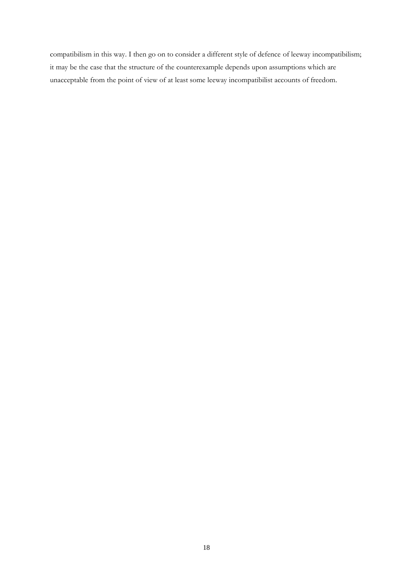compatibilism in this way. I then go on to consider a different style of defence of leeway incompatibilism; it may be the case that the structure of the counterexample depends upon assumptions which are unacceptable from the point of view of at least some leeway incompatibilist accounts of freedom.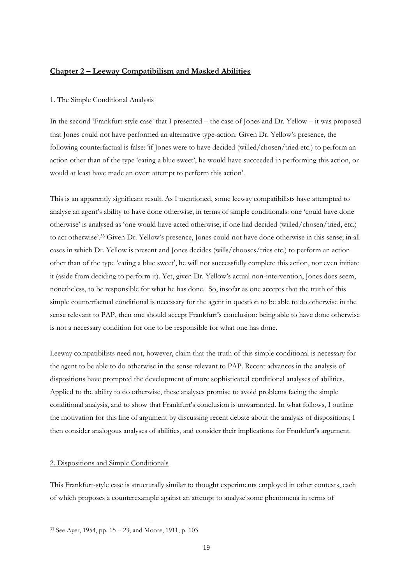# **Chapter 2 – Leeway Compatibilism and Masked Abilities**

# 1. The Simple Conditional Analysis

In the second "Frankfurt-style case" that I presented – the case of Jones and Dr. Yellow – it was proposed that Jones could not have performed an alternative type-action. Given Dr. Yellow"s presence, the following counterfactual is false: "if Jones were to have decided (willed/chosen/tried etc.) to perform an action other than of the type "eating a blue sweet", he would have succeeded in performing this action, or would at least have made an overt attempt to perform this action'.

This is an apparently significant result. As I mentioned, some leeway compatibilists have attempted to analyse an agent"s ability to have done otherwise, in terms of simple conditionals: one "could have done otherwise" is analysed as "one would have acted otherwise, if one had decided (willed/chosen/tried, etc.) to act otherwise'.<sup>33</sup> Given Dr. Yellow's presence, Jones could not have done otherwise in this sense; in all cases in which Dr. Yellow is present and Jones decides (wills/chooses/tries etc.) to perform an action other than of the type "eating a blue sweet", he will not successfully complete this action, nor even initiate it (aside from deciding to perform it). Yet, given Dr. Yellow"s actual non-intervention, Jones does seem, nonetheless, to be responsible for what he has done. So, insofar as one accepts that the truth of this simple counterfactual conditional is necessary for the agent in question to be able to do otherwise in the sense relevant to PAP, then one should accept Frankfurt's conclusion: being able to have done otherwise is not a necessary condition for one to be responsible for what one has done.

Leeway compatibilists need not, however, claim that the truth of this simple conditional is necessary for the agent to be able to do otherwise in the sense relevant to PAP. Recent advances in the analysis of dispositions have prompted the development of more sophisticated conditional analyses of abilities. Applied to the ability to do otherwise, these analyses promise to avoid problems facing the simple conditional analysis, and to show that Frankfurt's conclusion is unwarranted. In what follows, I outline the motivation for this line of argument by discussing recent debate about the analysis of dispositions; I then consider analogous analyses of abilities, and consider their implications for Frankfurt's argument.

# 2. Dispositions and Simple Conditionals

-

This Frankfurt-style case is structurally similar to thought experiments employed in other contexts, each of which proposes a counterexample against an attempt to analyse some phenomena in terms of

<sup>33</sup> See Ayer, 1954, pp. 15 – 23, and Moore, 1911, p. 103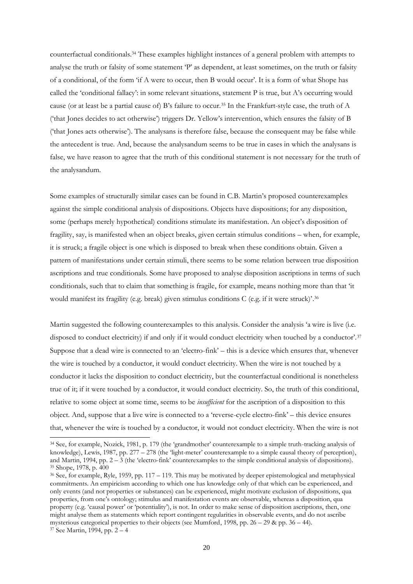counterfactual conditionals.<sup>34</sup> These examples highlight instances of a general problem with attempts to analyse the truth or falsity of some statement "P" as dependent, at least sometimes, on the truth or falsity of a conditional, of the form "if A were to occur, then B would occur". It is a form of what Shope has called the "conditional fallacy": in some relevant situations, statement P is true, but A"s occurring would cause (or at least be a partial cause of) B"s failure to occur.<sup>35</sup> In the Frankfurt-style case, the truth of A ("that Jones decides to act otherwise") triggers Dr. Yellow"s intervention, which ensures the falsity of B ("that Jones acts otherwise"). The analysans is therefore false, because the consequent may be false while the antecedent is true. And, because the analysandum seems to be true in cases in which the analysans is false, we have reason to agree that the truth of this conditional statement is not necessary for the truth of the analysandum.

Some examples of structurally similar cases can be found in C.B. Martin"s proposed counterexamples against the simple conditional analysis of dispositions. Objects have dispositions; for any disposition, some (perhaps merely hypothetical) conditions stimulate its manifestation. An object's disposition of fragility, say, is manifested when an object breaks, given certain stimulus conditions – when, for example, it is struck; a fragile object is one which is disposed to break when these conditions obtain. Given a pattern of manifestations under certain stimuli, there seems to be some relation between true disposition ascriptions and true conditionals. Some have proposed to analyse disposition ascriptions in terms of such conditionals, such that to claim that something is fragile, for example, means nothing more than that "it would manifest its fragility (e.g. break) given stimulus conditions C (e.g. if it were struck)'.<sup>36</sup>

Martin suggested the following counterexamples to this analysis. Consider the analysis "a wire is live (i.e. disposed to conduct electricity) if and only if it would conduct electricity when touched by a conductor'.<sup>37</sup> Suppose that a dead wire is connected to an "electro-fink" – this is a device which ensures that, whenever the wire is touched by a conductor, it would conduct electricity. When the wire is not touched by a conductor it lacks the disposition to conduct electricity, but the counterfactual conditional is nonetheless true of it; if it were touched by a conductor, it would conduct electricity. So, the truth of this conditional, relative to some object at some time, seems to be *insufficient* for the ascription of a disposition to this object. And, suppose that a live wire is connected to a "reverse-cycle electro-fink" – this device ensures that, whenever the wire is touched by a conductor, it would not conduct electricity. When the wire is not

<sup>34</sup> See, for example, Nozick, 1981, p. 179 (the "grandmother" counterexample to a simple truth-tracking analysis of knowledge), Lewis, 1987, pp. 277 – 278 (the 'light-meter' counterexample to a simple causal theory of perception), and Martin, 1994, pp.  $2 - 3$  (the 'electro-fink' counterexamples to the simple conditional analysis of dispositions). <sup>35</sup> Shope, 1978, p. 400

<sup>36</sup> See, for example, Ryle, 1959, pp. 117 – 119. This may be motivated by deeper epistemological and metaphysical commitments. An empiricism according to which one has knowledge only of that which can be experienced, and only events (and not properties or substances) can be experienced, might motivate exclusion of dispositions, qua properties, from one"s ontology; stimulus and manifestation events are observable, whereas a disposition, qua property (e.g. "causal power" or "potentiality"), is not. In order to make sense of disposition ascriptions, then, one might analyse them as statements which report contingent regularities in observable events, and do not ascribe mysterious categorical properties to their objects (see Mumford, 1998, pp.  $26 - 29$  & pp.  $36 - 44$ ). <sup>37</sup> See Martin, 1994, pp. 2 – 4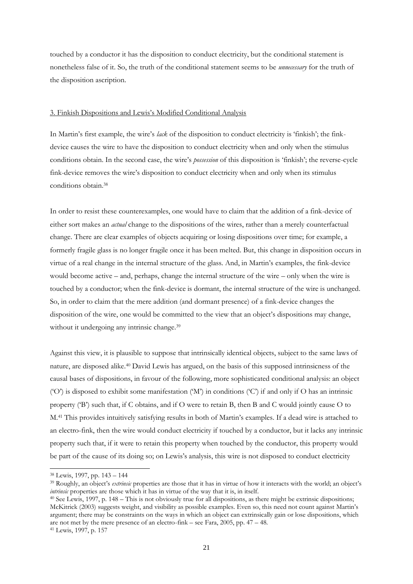touched by a conductor it has the disposition to conduct electricity, but the conditional statement is nonetheless false of it. So, the truth of the conditional statement seems to be *unnecessary* for the truth of the disposition ascription.

#### 3. Finkish Dispositions and Lewis"s Modified Conditional Analysis

In Martin's first example, the wire's *lack* of the disposition to conduct electricity is 'finkish'; the finkdevice causes the wire to have the disposition to conduct electricity when and only when the stimulus conditions obtain. In the second case, the wire"s *possession* of this disposition is "finkish"; the reverse-cycle fink-device removes the wire's disposition to conduct electricity when and only when its stimulus conditions obtain.<sup>38</sup>

In order to resist these counterexamples, one would have to claim that the addition of a fink-device of either sort makes an *actual* change to the dispositions of the wires, rather than a merely counterfactual change. There are clear examples of objects acquiring or losing dispositions over time; for example, a formerly fragile glass is no longer fragile once it has been melted. But, this change in disposition occurs in virtue of a real change in the internal structure of the glass. And, in Martin"s examples, the fink-device would become active – and, perhaps, change the internal structure of the wire – only when the wire is touched by a conductor; when the fink-device is dormant, the internal structure of the wire is unchanged. So, in order to claim that the mere addition (and dormant presence) of a fink-device changes the disposition of the wire, one would be committed to the view that an object's dispositions may change, without it undergoing any intrinsic change.<sup>39</sup>

Against this view, it is plausible to suppose that intrinsically identical objects, subject to the same laws of nature, are disposed alike.<sup>40</sup> David Lewis has argued, on the basis of this supposed intrinsicness of the causal bases of dispositions, in favour of the following, more sophisticated conditional analysis: an object ("O") is disposed to exhibit some manifestation ("M") in conditions ("C") if and only if O has an intrinsic property ("B") such that, if C obtains, and if O were to retain B, then B and C would jointly cause O to M.<sup>41</sup> This provides intuitively satisfying results in both of Martin"s examples. If a dead wire is attached to an electro-fink, then the wire would conduct electricity if touched by a conductor, but it lacks any intrinsic property such that, if it were to retain this property when touched by the conductor, this property would be part of the cause of its doing so; on Lewis's analysis, this wire is not disposed to conduct electricity

-

<sup>39</sup> Roughly, an object's *extrinsic* properties are those that it has in virtue of how it interacts with the world; an object's *intrinsic* properties are those which it has in virtue of the way that it is, in itself.

<sup>38</sup> Lewis, 1997, pp. 143 – 144

<sup>40</sup> See Lewis, 1997, p. 148 – This is not obviously true for all dispositions, as there might be extrinsic dispositions; McKitrick (2003) suggests weight, and visibility as possible examples. Even so, this need not count against Martin"s argument; there may be constraints on the ways in which an object can extrinsically gain or lose dispositions, which are not met by the mere presence of an electro-fink – see Fara, 2005, pp. 47 – 48. <sup>41</sup> Lewis, 1997, p. 157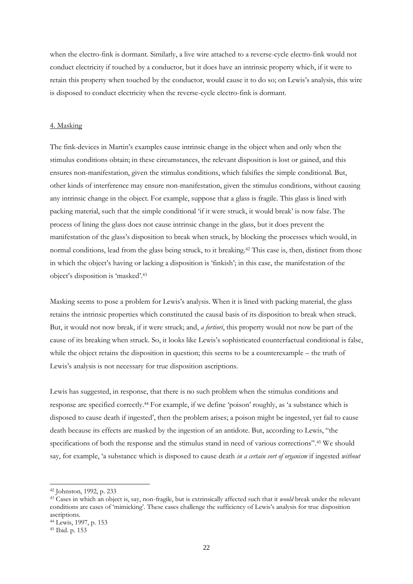when the electro-fink is dormant. Similarly, a live wire attached to a reverse-cycle electro-fink would not conduct electricity if touched by a conductor, but it does have an intrinsic property which, if it were to retain this property when touched by the conductor, would cause it to do so; on Lewis"s analysis, this wire is disposed to conduct electricity when the reverse-cycle electro-fink is dormant.

# 4. Masking

The fink-devices in Martin"s examples cause intrinsic change in the object when and only when the stimulus conditions obtain; in these circumstances, the relevant disposition is lost or gained, and this ensures non-manifestation, given the stimulus conditions, which falsifies the simple conditional. But, other kinds of interference may ensure non-manifestation, given the stimulus conditions, without causing any intrinsic change in the object. For example, suppose that a glass is fragile. This glass is lined with packing material, such that the simple conditional "if it were struck, it would break" is now false. The process of lining the glass does not cause intrinsic change in the glass, but it does prevent the manifestation of the glass"s disposition to break when struck, by blocking the processes which would, in normal conditions, lead from the glass being struck, to it breaking.<sup>42</sup> This case is, then, distinct from those in which the object"s having or lacking a disposition is "finkish"; in this case, the manifestation of the object's disposition is 'masked'.<sup>43</sup>

Masking seems to pose a problem for Lewis"s analysis. When it is lined with packing material, the glass retains the intrinsic properties which constituted the causal basis of its disposition to break when struck. But, it would not now break, if it were struck; and, *a fortiori*, this property would not now be part of the cause of its breaking when struck. So, it looks like Lewis"s sophisticated counterfactual conditional is false, while the object retains the disposition in question; this seems to be a counterexample – the truth of Lewis's analysis is not necessary for true disposition ascriptions.

Lewis has suggested, in response, that there is no such problem when the stimulus conditions and response are specified correctly.<sup>44</sup> For example, if we define "poison" roughly, as "a substance which is disposed to cause death if ingested', then the problem arises; a poison might be ingested, yet fail to cause death because its effects are masked by the ingestion of an antidote. But, according to Lewis, "the specifications of both the response and the stimulus stand in need of various corrections".<sup>45</sup> We should say, for example, "a substance which is disposed to cause death *in a certain sort of organism* if ingested *without* 

<sup>42</sup> Johnston, 1992, p. 233

<sup>43</sup> Cases in which an object is, say, non-fragile, but is extrinsically affected such that it *would* break under the relevant conditions are cases of "mimicking". These cases challenge the sufficiency of Lewis"s analysis for true disposition ascriptions.

<sup>44</sup> Lewis, 1997, p. 153

<sup>45</sup> Ibid. p. 153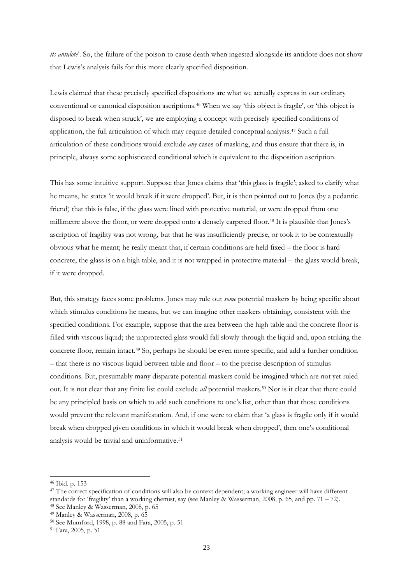*its antidote*'. So, the failure of the poison to cause death when ingested alongside its antidote does not show that Lewis"s analysis fails for this more clearly specified disposition.

Lewis claimed that these precisely specified dispositions are what we actually express in our ordinary conventional or canonical disposition ascriptions.<sup>46</sup> When we say "this object is fragile", or "this object is disposed to break when struck", we are employing a concept with precisely specified conditions of application, the full articulation of which may require detailed conceptual analysis.<sup>47</sup> Such a full articulation of these conditions would exclude *any* cases of masking, and thus ensure that there is, in principle, always some sophisticated conditional which is equivalent to the disposition ascription.

This has some intuitive support. Suppose that Jones claims that "this glass is fragile"; asked to clarify what he means, he states "it would break if it were dropped". But, it is then pointed out to Jones (by a pedantic friend) that this is false, if the glass were lined with protective material, or were dropped from one millimetre above the floor, or were dropped onto a densely carpeted floor.<sup>48</sup> It is plausible that Jones"s ascription of fragility was not wrong, but that he was insufficiently precise, or took it to be contextually obvious what he meant; he really meant that, if certain conditions are held fixed – the floor is hard concrete, the glass is on a high table, and it is not wrapped in protective material – the glass would break, if it were dropped.

But, this strategy faces some problems. Jones may rule out *some* potential maskers by being specific about which stimulus conditions he means, but we can imagine other maskers obtaining, consistent with the specified conditions. For example, suppose that the area between the high table and the concrete floor is filled with viscous liquid; the unprotected glass would fall slowly through the liquid and, upon striking the concrete floor, remain intact.<sup>49</sup> So, perhaps he should be even more specific, and add a further condition – that there is no viscous liquid between table and floor – to the precise description of stimulus conditions. But, presumably many disparate potential maskers could be imagined which are not yet ruled out. It is not clear that any finite list could exclude *all* potential maskers.<sup>50</sup> Nor is it clear that there could be any principled basis on which to add such conditions to one"s list, other than that those conditions would prevent the relevant manifestation. And, if one were to claim that "a glass is fragile only if it would break when dropped given conditions in which it would break when dropped', then one's conditional analysis would be trivial and uninformative.<sup>51</sup>

<sup>46</sup> Ibid. p. 153

<sup>&</sup>lt;sup>47</sup> The correct specification of conditions will also be context dependent; a working engineer will have different standards for "fragility" than a working chemist, say (see Manley & Wasserman, 2008, p. 65, and pp. 71 – 72). <sup>48</sup> See Manley & Wasserman, 2008, p. 65

<sup>49</sup> Manley & Wasserman, 2008, p. 65

<sup>50</sup> See Mumford, 1998, p. 88 and Fara, 2005, p. 51

<sup>51</sup> Fara, 2005, p. 51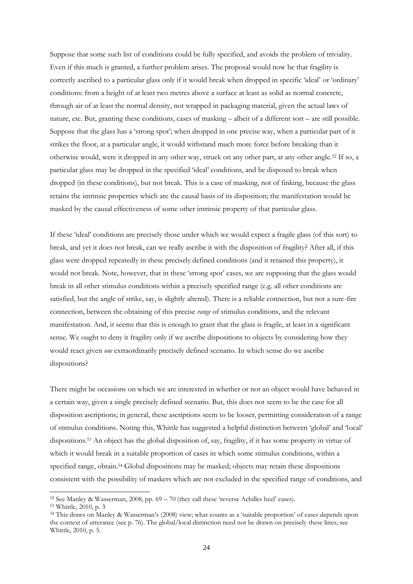Suppose that some such list of conditions could be fully specified, and avoids the problem of triviality. Even if this much is granted, a further problem arises. The proposal would now be that fragility is correctly ascribed to a particular glass only if it would break when dropped in specific "ideal" or "ordinary" conditions: from a height of at least two metres above a surface at least as solid as normal concrete, through air of at least the normal density, not wrapped in packaging material, given the actual laws of nature, etc. But, granting these conditions, cases of masking – albeit of a different sort – are still possible. Suppose that the glass has a "strong spot"; when dropped in one precise way, when a particular part of it strikes the floor, at a particular angle, it would withstand much more force before breaking than it otherwise would, were it dropped in any other way, struck on any other part, at any other angle.<sup>52</sup> If so, a particular glass may be dropped in the specified "ideal" conditions, and be disposed to break when dropped (in these conditions), but not break. This is a case of masking, not of finking, because the glass retains the intrinsic properties which are the causal basis of its disposition; the manifestation would be masked by the causal effectiveness of some other intrinsic property of that particular glass.

If these "ideal" conditions are precisely those under which we would expect a fragile glass (of this sort) to break, and yet it does not break, can we really ascribe it with the disposition of fragility? After all, if this glass were dropped repeatedly in these precisely defined conditions (and it retained this property), it would not break. Note, however, that in these "strong spot" cases, we are supposing that the glass would break in all other stimulus conditions within a precisely specified range (e.g. all other conditions are satisfied, but the angle of strike, say, is slightly altered). There is a reliable connection, but not a sure-fire connection, between the obtaining of this precise *range* of stimulus conditions, and the relevant manifestation. And, it seems that this is enough to grant that the glass is fragile, at least in a significant sense. We ought to deny it fragility only if we ascribe dispositions to objects by considering how they would react given *one* extraordinarily precisely defined scenario. In which sense do we ascribe dispositions?

There might be occasions on which we are interested in whether or not an object would have behaved in a certain way, given a single precisely defined scenario. But, this does not seem to be the case for all disposition ascriptions; in general, these ascriptions seem to be looser, permitting consideration of a range of stimulus conditions. Noting this, Whittle has suggested a helpful distinction between "global" and "local" dispositions.<sup>53</sup> An object has the global disposition of, say, fragility, if it has some property in virtue of which it would break in a suitable proportion of cases in which some stimulus conditions, within a specified range, obtain.<sup>54</sup> Global dispositions may be masked; objects may retain these dispositions consistent with the possibility of maskers which are not excluded in the specified range of conditions, and

<sup>52</sup> See Manley & Wasserman, 2008, pp. 69 – 70 (they call these "reverse Achilles heel" cases).

<sup>53</sup> Whittle, 2010, p. 3

<sup>54</sup> This draws on Manley & Wasserman"s (2008) view; what counts as a "suitable proportion" of cases depends upon the context of utterance (see p. 76). The global/local distinction need not be drawn on precisely these lines; see Whittle, 2010, p. 5.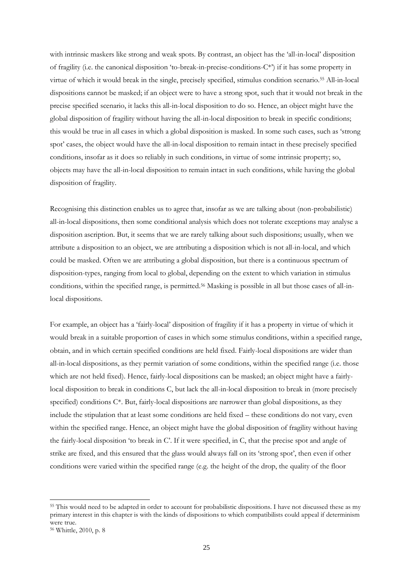with intrinsic maskers like strong and weak spots. By contrast, an object has the "all-in-local" disposition of fragility (i.e. the canonical disposition 'to-break-in-precise-conditions- $C^*$ ) if it has some property in virtue of which it would break in the single, precisely specified, stimulus condition scenario.<sup>55</sup> All-in-local dispositions cannot be masked; if an object were to have a strong spot, such that it would not break in the precise specified scenario, it lacks this all-in-local disposition to do so. Hence, an object might have the global disposition of fragility without having the all-in-local disposition to break in specific conditions; this would be true in all cases in which a global disposition is masked. In some such cases, such as "strong spot" cases, the object would have the all-in-local disposition to remain intact in these precisely specified conditions, insofar as it does so reliably in such conditions, in virtue of some intrinsic property; so, objects may have the all-in-local disposition to remain intact in such conditions, while having the global disposition of fragility.

Recognising this distinction enables us to agree that, insofar as we are talking about (non-probabilistic) all-in-local dispositions, then some conditional analysis which does not tolerate exceptions may analyse a disposition ascription. But, it seems that we are rarely talking about such dispositions; usually, when we attribute a disposition to an object, we are attributing a disposition which is not all-in-local, and which could be masked. Often we are attributing a global disposition, but there is a continuous spectrum of disposition-types, ranging from local to global, depending on the extent to which variation in stimulus conditions, within the specified range, is permitted.<sup>56</sup> Masking is possible in all but those cases of all-inlocal dispositions.

For example, an object has a "fairly-local" disposition of fragility if it has a property in virtue of which it would break in a suitable proportion of cases in which some stimulus conditions, within a specified range, obtain, and in which certain specified conditions are held fixed. Fairly-local dispositions are wider than all-in-local dispositions, as they permit variation of some conditions, within the specified range (i.e. those which are not held fixed). Hence, fairly-local dispositions can be masked; an object might have a fairlylocal disposition to break in conditions C, but lack the all-in-local disposition to break in (more precisely specified) conditions  $C^*$ . But, fairly-local dispositions are narrower than global dispositions, as they include the stipulation that at least some conditions are held fixed – these conditions do not vary, even within the specified range. Hence, an object might have the global disposition of fragility without having the fairly-local disposition "to break in C". If it were specified, in C, that the precise spot and angle of strike are fixed, and this ensured that the glass would always fall on its "strong spot", then even if other conditions were varied within the specified range (e.g. the height of the drop, the quality of the floor

<sup>55</sup> This would need to be adapted in order to account for probabilistic dispositions. I have not discussed these as my primary interest in this chapter is with the kinds of dispositions to which compatibilists could appeal if determinism were true.

<sup>56</sup> Whittle, 2010, p. 8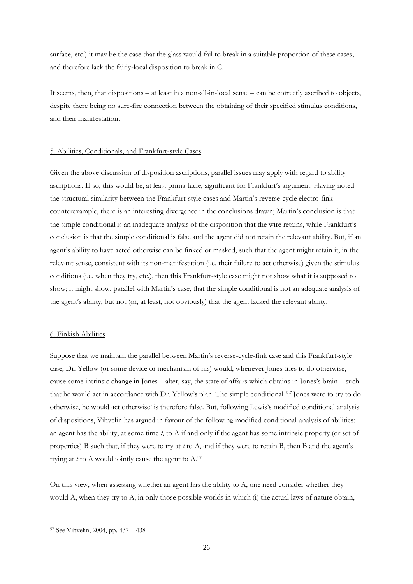surface, etc.) it may be the case that the glass would fail to break in a suitable proportion of these cases, and therefore lack the fairly-local disposition to break in C.

It seems, then, that dispositions – at least in a non-all-in-local sense – can be correctly ascribed to objects, despite there being no sure-fire connection between the obtaining of their specified stimulus conditions, and their manifestation.

#### 5. Abilities, Conditionals, and Frankfurt-style Cases

Given the above discussion of disposition ascriptions, parallel issues may apply with regard to ability ascriptions. If so, this would be, at least prima facie, significant for Frankfurt's argument. Having noted the structural similarity between the Frankfurt-style cases and Martin"s reverse-cycle electro-fink counterexample, there is an interesting divergence in the conclusions drawn; Martin"s conclusion is that the simple conditional is an inadequate analysis of the disposition that the wire retains, while Frankfurt"s conclusion is that the simple conditional is false and the agent did not retain the relevant ability. But, if an agent's ability to have acted otherwise can be finked or masked, such that the agent might retain it, in the relevant sense, consistent with its non-manifestation (i.e. their failure to act otherwise) given the stimulus conditions (i.e. when they try, etc.), then this Frankfurt-style case might not show what it is supposed to show; it might show, parallel with Martin"s case, that the simple conditional is not an adequate analysis of the agent"s ability, but not (or, at least, not obviously) that the agent lacked the relevant ability.

#### 6. Finkish Abilities

Suppose that we maintain the parallel between Martin"s reverse-cycle-fink case and this Frankfurt-style case; Dr. Yellow (or some device or mechanism of his) would, whenever Jones tries to do otherwise, cause some intrinsic change in Jones – alter, say, the state of affairs which obtains in Jones"s brain – such that he would act in accordance with Dr. Yellow"s plan. The simple conditional "if Jones were to try to do otherwise, he would act otherwise" is therefore false. But, following Lewis"s modified conditional analysis of dispositions, Vihvelin has argued in favour of the following modified conditional analysis of abilities: an agent has the ability, at some time *t*, to A if and only if the agent has some intrinsic property (or set of properties) B such that, if they were to try at *t* to A, and if they were to retain B, then B and the agent"s trying at *t* to A would jointly cause the agent to A.<sup>57</sup>

On this view, when assessing whether an agent has the ability to A, one need consider whether they would A, when they try to A, in only those possible worlds in which (i) the actual laws of nature obtain,

<sup>57</sup> See Vihvelin, 2004, pp. 437 – 438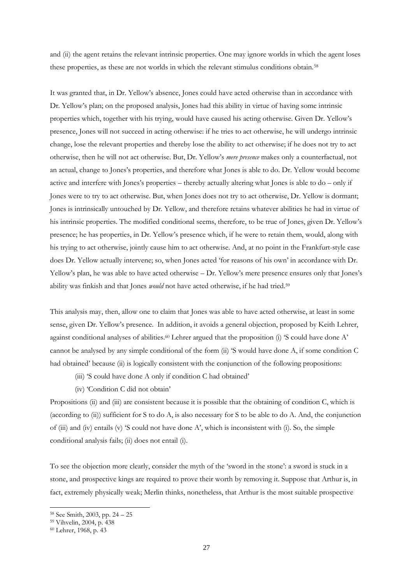and (ii) the agent retains the relevant intrinsic properties. One may ignore worlds in which the agent loses these properties, as these are not worlds in which the relevant stimulus conditions obtain.<sup>58</sup>

It was granted that, in Dr. Yellow"s absence, Jones could have acted otherwise than in accordance with Dr. Yellow"s plan; on the proposed analysis, Jones had this ability in virtue of having some intrinsic properties which, together with his trying, would have caused his acting otherwise. Given Dr. Yellow"s presence, Jones will not succeed in acting otherwise: if he tries to act otherwise, he will undergo intrinsic change, lose the relevant properties and thereby lose the ability to act otherwise; if he does not try to act otherwise, then he will not act otherwise. But, Dr. Yellow"s *mere presence* makes only a counterfactual, not an actual, change to Jones's properties, and therefore what Jones is able to do. Dr. Yellow would become active and interfere with Jones"s properties – thereby actually altering what Jones is able to do – only if Jones were to try to act otherwise. But, when Jones does not try to act otherwise, Dr. Yellow is dormant; Jones is intrinsically untouched by Dr. Yellow, and therefore retains whatever abilities he had in virtue of his intrinsic properties. The modified conditional seems, therefore, to be true of Jones, given Dr. Yellow"s presence; he has properties, in Dr. Yellow"s presence which, if he were to retain them, would, along with his trying to act otherwise, jointly cause him to act otherwise. And, at no point in the Frankfurt-style case does Dr. Yellow actually intervene; so, when Jones acted "for reasons of his own" in accordance with Dr. Yellow's plan, he was able to have acted otherwise – Dr. Yellow's mere presence ensures only that Jones's ability was finkish and that Jones *would* not have acted otherwise, if he had tried.<sup>59</sup>

This analysis may, then, allow one to claim that Jones was able to have acted otherwise, at least in some sense, given Dr. Yellow"s presence. In addition, it avoids a general objection, proposed by Keith Lehrer, against conditional analyses of abilities.<sup>60</sup> Lehrer argued that the proposition (i) 'S could have done A' cannot be analysed by any simple conditional of the form (ii) "S would have done A, if some condition C had obtained' because (ii) is logically consistent with the conjunction of the following propositions:

- (iii) 'S could have done A only if condition C had obtained'
- (iv) "Condition C did not obtain"

Propositions (ii) and (iii) are consistent because it is possible that the obtaining of condition C, which is (according to (ii)) sufficient for S to do A, is also necessary for S to be able to do A. And, the conjunction of (iii) and (iv) entails (v) 'S could not have done A', which is inconsistent with (i). So, the simple conditional analysis fails; (ii) does not entail (i).

To see the objection more clearly, consider the myth of the 'sword in the stone': a sword is stuck in a stone, and prospective kings are required to prove their worth by removing it. Suppose that Arthur is, in fact, extremely physically weak; Merlin thinks, nonetheless, that Arthur is the most suitable prospective

<sup>58</sup> See Smith, 2003, pp. 24 – 25

<sup>59</sup> Vihvelin, 2004, p. 438

<sup>60</sup> Lehrer, 1968, p. 43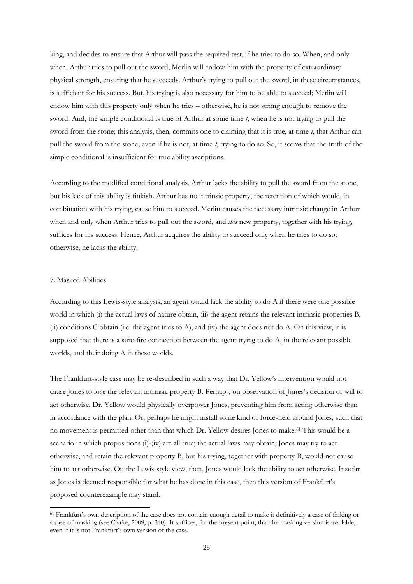king, and decides to ensure that Arthur will pass the required test, if he tries to do so. When, and only when, Arthur tries to pull out the sword, Merlin will endow him with the property of extraordinary physical strength, ensuring that he succeeds. Arthur"s trying to pull out the sword, in these circumstances, is sufficient for his success. But, his trying is also necessary for him to be able to succeed; Merlin will endow him with this property only when he tries – otherwise, he is not strong enough to remove the sword. And, the simple conditional is true of Arthur at some time *t*, when he is not trying to pull the sword from the stone; this analysis, then, commits one to claiming that it is true, at time *t*, that Arthur can pull the sword from the stone, even if he is not, at time *t*, trying to do so. So, it seems that the truth of the simple conditional is insufficient for true ability ascriptions.

According to the modified conditional analysis, Arthur lacks the ability to pull the sword from the stone, but his lack of this ability is finkish. Arthur has no intrinsic property, the retention of which would, in combination with his trying, cause him to succeed. Merlin causes the necessary intrinsic change in Arthur when and only when Arthur tries to pull out the sword, and *this* new property, together with his trying, suffices for his success. Hence, Arthur acquires the ability to succeed only when he tries to do so; otherwise, he lacks the ability.

#### 7. Masked Abilities

-

According to this Lewis-style analysis, an agent would lack the ability to do A if there were one possible world in which (i) the actual laws of nature obtain, (ii) the agent retains the relevant intrinsic properties B, (ii) conditions C obtain (i.e. the agent tries to A), and (iv) the agent does not do A. On this view, it is supposed that there is a sure-fire connection between the agent trying to do A, in the relevant possible worlds, and their doing A in these worlds.

The Frankfurt-style case may be re-described in such a way that Dr. Yellow"s intervention would not cause Jones to lose the relevant intrinsic property B. Perhaps, on observation of Jones"s decision or will to act otherwise, Dr. Yellow would physically overpower Jones, preventing him from acting otherwise than in accordance with the plan. Or, perhaps he might install some kind of force-field around Jones, such that no movement is permitted other than that which Dr. Yellow desires Jones to make.<sup>61</sup> This would be a scenario in which propositions (i)-(iv) are all true; the actual laws may obtain, Jones may try to act otherwise, and retain the relevant property B, but his trying, together with property B, would not cause him to act otherwise. On the Lewis-style view, then, Jones would lack the ability to act otherwise. Insofar as Jones is deemed responsible for what he has done in this case, then this version of Frankfurt's proposed counterexample may stand.

<sup>&</sup>lt;sup>61</sup> Frankfurt's own description of the case does not contain enough detail to make it definitively a case of finking or a case of masking (see Clarke, 2009, p. 340). It suffices, for the present point, that the masking version is available, even if it is not Frankfurt's own version of the case.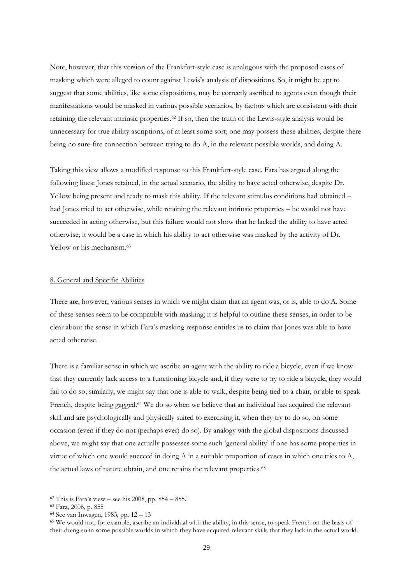Note, however, that this version of the Frankfurt-style case is analogous with the proposed cases of masking which were alleged to count against Lewis"s analysis of dispositions. So, it might be apt to suggest that some abilities, like some dispositions, may be correctly ascribed to agents even though their manifestations would be masked in various possible scenarios, by factors which are consistent with their retaining the relevant intrinsic properties.<sup>62</sup> If so, then the truth of the Lewis-style analysis would be unnecessary for true ability ascriptions, of at least some sort; one may possess these abilities, despite there being no sure-fire connection between trying to do A, in the relevant possible worlds, and doing A.

Taking this view allows a modified response to this Frankfurt-style case. Fara has argued along the following lines: Jones retained, in the actual scenario, the ability to have acted otherwise, despite Dr. Yellow being present and ready to mask this ability. If the relevant stimulus conditions had obtained – had Jones tried to act otherwise, while retaining the relevant intrinsic properties – he would not have succeeded in acting otherwise, but this failure would not show that he lacked the ability to have acted otherwise; it would be a case in which his ability to act otherwise was masked by the activity of Dr. Yellow or his mechanism.<sup>63</sup>

# 8. General and Specific Abilities

There are, however, various senses in which we might claim that an agent was, or is, able to do A. Some of these senses seem to be compatible with masking; it is helpful to outline these senses, in order to be clear about the sense in which Fara"s masking response entitles us to claim that Jones was able to have acted otherwise.

There is a familiar sense in which we ascribe an agent with the ability to ride a bicycle, even if we know that they currently lack access to a functioning bicycle and, if they were to try to ride a bicycle, they would fail to do so; similarly, we might say that one is able to walk, despite being tied to a chair, or able to speak French, despite being gagged.<sup>64</sup> We do so when we believe that an individual has acquired the relevant skill and are psychologically and physically suited to exercising it, when they try to do so, on some occasion (even if they do not (perhaps ever) do so). By analogy with the global dispositions discussed above, we might say that one actually possesses some such "general ability" if one has some properties in virtue of which one would succeed in doing A in a suitable proportion of cases in which one tries to A, the actual laws of nature obtain, and one retains the relevant properties.<sup>65</sup>

 $62$  This is Fara's view – see his 2008, pp. 854 – 855.

<sup>63</sup> Fara, 2008, p. 855

<sup>64</sup> See van Inwagen, 1983, pp. 12 – 13

<sup>65</sup> We would not, for example, ascribe an individual with the ability, in this sense, to speak French on the basis of their doing so in some possible worlds in which they have acquired relevant skills that they lack in the actual world.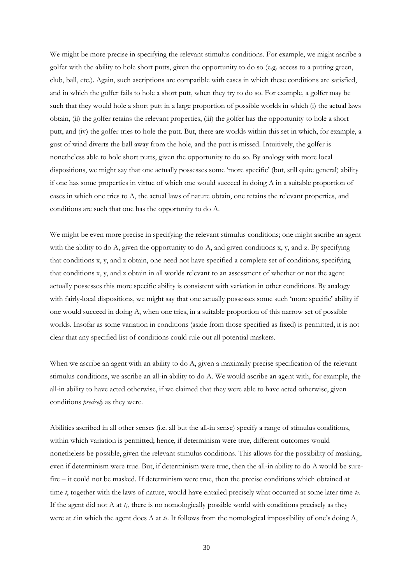We might be more precise in specifying the relevant stimulus conditions. For example, we might ascribe a golfer with the ability to hole short putts, given the opportunity to do so (e.g. access to a putting green, club, ball, etc.). Again, such ascriptions are compatible with cases in which these conditions are satisfied, and in which the golfer fails to hole a short putt, when they try to do so. For example, a golfer may be such that they would hole a short putt in a large proportion of possible worlds in which (i) the actual laws obtain, (ii) the golfer retains the relevant properties, (iii) the golfer has the opportunity to hole a short putt, and (iv) the golfer tries to hole the putt. But, there are worlds within this set in which, for example, a gust of wind diverts the ball away from the hole, and the putt is missed. Intuitively, the golfer is nonetheless able to hole short putts, given the opportunity to do so. By analogy with more local dispositions, we might say that one actually possesses some 'more specific' (but, still quite general) ability if one has some properties in virtue of which one would succeed in doing A in a suitable proportion of cases in which one tries to A, the actual laws of nature obtain, one retains the relevant properties, and conditions are such that one has the opportunity to do A.

We might be even more precise in specifying the relevant stimulus conditions; one might ascribe an agent with the ability to do A, given the opportunity to do A, and given conditions  $x$ ,  $y$ , and  $z$ . By specifying that conditions x, y, and z obtain, one need not have specified a complete set of conditions; specifying that conditions x, y, and z obtain in all worlds relevant to an assessment of whether or not the agent actually possesses this more specific ability is consistent with variation in other conditions. By analogy with fairly-local dispositions, we might say that one actually possesses some such 'more specific' ability if one would succeed in doing A, when one tries, in a suitable proportion of this narrow set of possible worlds. Insofar as some variation in conditions (aside from those specified as fixed) is permitted, it is not clear that any specified list of conditions could rule out all potential maskers.

When we ascribe an agent with an ability to do A, given a maximally precise specification of the relevant stimulus conditions, we ascribe an all-in ability to do A. We would ascribe an agent with, for example, the all-in ability to have acted otherwise, if we claimed that they were able to have acted otherwise, given conditions *precisely* as they were.

Abilities ascribed in all other senses (i.e. all but the all-in sense) specify a range of stimulus conditions, within which variation is permitted; hence, if determinism were true, different outcomes would nonetheless be possible, given the relevant stimulus conditions. This allows for the possibility of masking, even if determinism were true. But, if determinism were true, then the all-in ability to do A would be surefire – it could not be masked. If determinism were true, then the precise conditions which obtained at time *t*, together with the laws of nature, would have entailed precisely what occurred at some later time *t1*. If the agent did not A at  $t<sub>I</sub>$ , there is no nomologically possible world with conditions precisely as they were at *t* in which the agent does A at *t1*. It follows from the nomological impossibility of one"s doing A,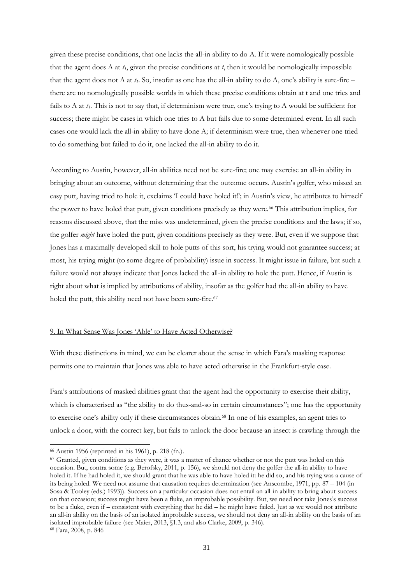given these precise conditions, that one lacks the all-in ability to do A. If it were nomologically possible that the agent does A at  $t_l$ , given the precise conditions at  $t$ , then it would be nomologically impossible that the agent does not A at  $t_1$ . So, insofar as one has the all-in ability to do A, one's ability is sure-fire – there are no nomologically possible worlds in which these precise conditions obtain at t and one tries and fails to A at  $t<sub>l</sub>$ . This is not to say that, if determinism were true, one's trying to A would be sufficient for success; there might be cases in which one tries to A but fails due to some determined event. In all such cases one would lack the all-in ability to have done A; if determinism were true, then whenever one tried to do something but failed to do it, one lacked the all-in ability to do it.

According to Austin, however, all-in abilities need not be sure-fire; one may exercise an all-in ability in bringing about an outcome, without determining that the outcome occurs. Austin"s golfer, who missed an easy putt, having tried to hole it, exclaims 'I could have holed it!'; in Austin's view, he attributes to himself the power to have holed that putt, given conditions precisely as they were.<sup>66</sup> This attribution implies, for reasons discussed above, that the miss was undetermined, given the precise conditions and the laws; if so, the golfer *might* have holed the putt, given conditions precisely as they were. But, even if we suppose that Jones has a maximally developed skill to hole putts of this sort, his trying would not guarantee success; at most, his trying might (to some degree of probability) issue in success. It might issue in failure, but such a failure would not always indicate that Jones lacked the all-in ability to hole the putt. Hence, if Austin is right about what is implied by attributions of ability, insofar as the golfer had the all-in ability to have holed the putt, this ability need not have been sure-fire.<sup>67</sup>

# 9. In What Sense Was Jones "Able" to Have Acted Otherwise?

With these distinctions in mind, we can be clearer about the sense in which Fara's masking response permits one to maintain that Jones was able to have acted otherwise in the Frankfurt-style case.

Fara"s attributions of masked abilities grant that the agent had the opportunity to exercise their ability, which is characterised as "the ability to do thus-and-so in certain circumstances"; one has the opportunity to exercise one"s ability only if these circumstances obtain.<sup>68</sup> In one of his examples, an agent tries to unlock a door, with the correct key, but fails to unlock the door because an insect is crawling through the

<sup>66</sup> Austin 1956 (reprinted in his 1961), p. 218 (fn.).

<sup>&</sup>lt;sup>67</sup> Granted, given conditions as they were, it was a matter of chance whether or not the putt was holed on this occasion. But, contra some (e.g. Berofsky, 2011, p. 156), we should not deny the golfer the all-in ability to have holed it. If he had holed it, we should grant that he was able to have holed it: he did so, and his trying was a cause of its being holed. We need not assume that causation requires determination (see Anscombe, 1971, pp. 87 – 104 (in Sosa & Tooley (eds.) 1993)). Success on a particular occasion does not entail an all-in ability to bring about success on that occasion; success might have been a fluke, an improbable possibility. But, we need not take Jones"s success to be a fluke, even if – consistent with everything that he did – he might have failed. Just as we would not attribute an all-in ability on the basis of an isolated improbable success, we should not deny an all-in ability on the basis of an isolated improbable failure (see Maier, 2013, §1.3, and also Clarke, 2009, p. 346). <sup>68</sup> Fara, 2008, p. 846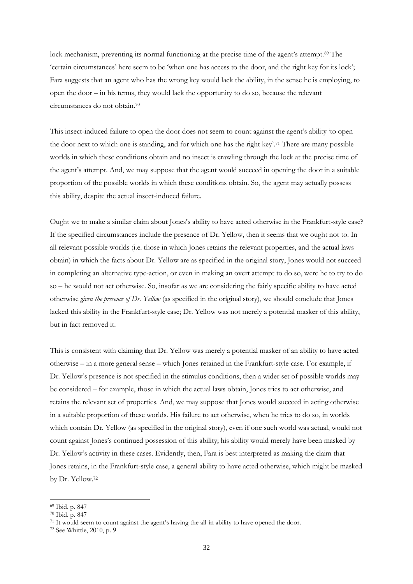lock mechanism, preventing its normal functioning at the precise time of the agent's attempt.<sup>69</sup> The "certain circumstances" here seem to be "when one has access to the door, and the right key for its lock"; Fara suggests that an agent who has the wrong key would lack the ability, in the sense he is employing, to open the door – in his terms, they would lack the opportunity to do so, because the relevant circumstances do not obtain.<sup>70</sup>

This insect-induced failure to open the door does not seem to count against the agent's ability 'to open the door next to which one is standing, and for which one has the right key'.<sup>71</sup> There are many possible worlds in which these conditions obtain and no insect is crawling through the lock at the precise time of the agent's attempt. And, we may suppose that the agent would succeed in opening the door in a suitable proportion of the possible worlds in which these conditions obtain. So, the agent may actually possess this ability, despite the actual insect-induced failure.

Ought we to make a similar claim about Jones"s ability to have acted otherwise in the Frankfurt-style case? If the specified circumstances include the presence of Dr. Yellow, then it seems that we ought not to. In all relevant possible worlds (i.e. those in which Jones retains the relevant properties, and the actual laws obtain) in which the facts about Dr. Yellow are as specified in the original story, Jones would not succeed in completing an alternative type-action, or even in making an overt attempt to do so, were he to try to do so – he would not act otherwise. So, insofar as we are considering the fairly specific ability to have acted otherwise *given the presence of Dr. Yellow* (as specified in the original story), we should conclude that Jones lacked this ability in the Frankfurt-style case; Dr. Yellow was not merely a potential masker of this ability, but in fact removed it.

This is consistent with claiming that Dr. Yellow was merely a potential masker of an ability to have acted otherwise – in a more general sense – which Jones retained in the Frankfurt-style case. For example, if Dr. Yellow"s presence is not specified in the stimulus conditions, then a wider set of possible worlds may be considered – for example, those in which the actual laws obtain, Jones tries to act otherwise, and retains the relevant set of properties. And, we may suppose that Jones would succeed in acting otherwise in a suitable proportion of these worlds. His failure to act otherwise, when he tries to do so, in worlds which contain Dr. Yellow (as specified in the original story), even if one such world was actual, would not count against Jones"s continued possession of this ability; his ability would merely have been masked by Dr. Yellow"s activity in these cases. Evidently, then, Fara is best interpreted as making the claim that Jones retains, in the Frankfurt-style case, a general ability to have acted otherwise, which might be masked by Dr. Yellow.<sup>72</sup>

<sup>69</sup> Ibid. p. 847

<sup>70</sup> Ibid. p. 847

<sup>&</sup>lt;sup>71</sup> It would seem to count against the agent's having the all-in ability to have opened the door.

<sup>72</sup> See Whittle, 2010, p. 9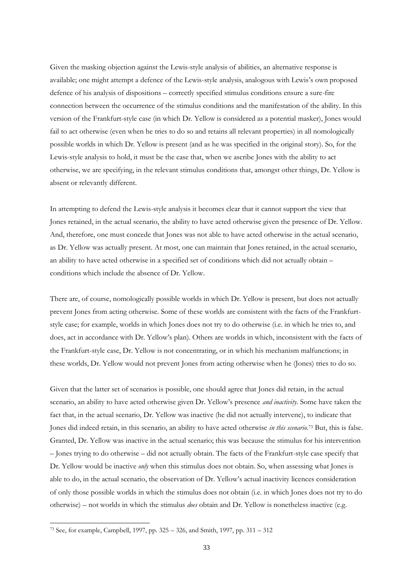Given the masking objection against the Lewis-style analysis of abilities, an alternative response is available; one might attempt a defence of the Lewis-style analysis, analogous with Lewis"s own proposed defence of his analysis of dispositions – correctly specified stimulus conditions ensure a sure-fire connection between the occurrence of the stimulus conditions and the manifestation of the ability. In this version of the Frankfurt-style case (in which Dr. Yellow is considered as a potential masker), Jones would fail to act otherwise (even when he tries to do so and retains all relevant properties) in all nomologically possible worlds in which Dr. Yellow is present (and as he was specified in the original story). So, for the Lewis-style analysis to hold, it must be the case that, when we ascribe Jones with the ability to act otherwise, we are specifying, in the relevant stimulus conditions that, amongst other things, Dr. Yellow is absent or relevantly different.

In attempting to defend the Lewis-style analysis it becomes clear that it cannot support the view that Jones retained, in the actual scenario, the ability to have acted otherwise given the presence of Dr. Yellow. And, therefore, one must concede that Jones was not able to have acted otherwise in the actual scenario, as Dr. Yellow was actually present. At most, one can maintain that Jones retained, in the actual scenario, an ability to have acted otherwise in a specified set of conditions which did not actually obtain – conditions which include the absence of Dr. Yellow.

There are, of course, nomologically possible worlds in which Dr. Yellow is present, but does not actually prevent Jones from acting otherwise. Some of these worlds are consistent with the facts of the Frankfurtstyle case; for example, worlds in which Jones does not try to do otherwise (i.e. in which he tries to, and does, act in accordance with Dr. Yellow"s plan). Others are worlds in which, inconsistent with the facts of the Frankfurt-style case, Dr. Yellow is not concentrating, or in which his mechanism malfunctions; in these worlds, Dr. Yellow would not prevent Jones from acting otherwise when he (Jones) tries to do so.

Given that the latter set of scenarios is possible, one should agree that Jones did retain, in the actual scenario, an ability to have acted otherwise given Dr. Yellow"s presence *and inactivity*. Some have taken the fact that, in the actual scenario, Dr. Yellow was inactive (he did not actually intervene), to indicate that Jones did indeed retain, in this scenario, an ability to have acted otherwise *in this scenario*. <sup>73</sup> But, this is false. Granted, Dr. Yellow was inactive in the actual scenario; this was because the stimulus for his intervention – Jones trying to do otherwise – did not actually obtain. The facts of the Frankfurt-style case specify that Dr. Yellow would be inactive *only* when this stimulus does not obtain. So, when assessing what Jones is able to do, in the actual scenario, the observation of Dr. Yellow"s actual inactivity licences consideration of only those possible worlds in which the stimulus does not obtain (i.e. in which Jones does not try to do otherwise) – not worlds in which the stimulus *does* obtain and Dr. Yellow is nonetheless inactive (e.g.

<sup>73</sup> See, for example, Campbell, 1997, pp. 325 – 326, and Smith, 1997, pp. 311 – 312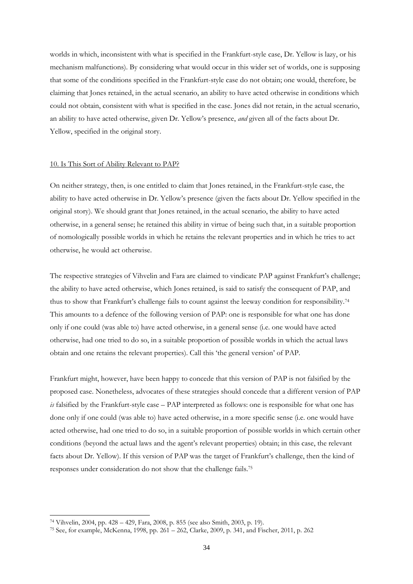worlds in which, inconsistent with what is specified in the Frankfurt-style case, Dr. Yellow is lazy, or his mechanism malfunctions). By considering what would occur in this wider set of worlds, one is supposing that some of the conditions specified in the Frankfurt-style case do not obtain; one would, therefore, be claiming that Jones retained, in the actual scenario, an ability to have acted otherwise in conditions which could not obtain, consistent with what is specified in the case. Jones did not retain, in the actual scenario, an ability to have acted otherwise, given Dr. Yellow"s presence, *and* given all of the facts about Dr. Yellow, specified in the original story.

#### 10. Is This Sort of Ability Relevant to PAP?

On neither strategy, then, is one entitled to claim that Jones retained, in the Frankfurt-style case, the ability to have acted otherwise in Dr. Yellow"s presence (given the facts about Dr. Yellow specified in the original story). We should grant that Jones retained, in the actual scenario, the ability to have acted otherwise, in a general sense; he retained this ability in virtue of being such that, in a suitable proportion of nomologically possible worlds in which he retains the relevant properties and in which he tries to act otherwise, he would act otherwise.

The respective strategies of Vihvelin and Fara are claimed to vindicate PAP against Frankfurt's challenge; the ability to have acted otherwise, which Jones retained, is said to satisfy the consequent of PAP, and thus to show that Frankfurt's challenge fails to count against the leeway condition for responsibility.<sup>74</sup> This amounts to a defence of the following version of PAP: one is responsible for what one has done only if one could (was able to) have acted otherwise, in a general sense (i.e. one would have acted otherwise, had one tried to do so, in a suitable proportion of possible worlds in which the actual laws obtain and one retains the relevant properties). Call this "the general version" of PAP.

Frankfurt might, however, have been happy to concede that this version of PAP is not falsified by the proposed case. Nonetheless, advocates of these strategies should concede that a different version of PAP *is* falsified by the Frankfurt-style case – PAP interpreted as follows: one is responsible for what one has done only if one could (was able to) have acted otherwise, in a more specific sense (i.e. one would have acted otherwise, had one tried to do so, in a suitable proportion of possible worlds in which certain other conditions (beyond the actual laws and the agent"s relevant properties) obtain; in this case, the relevant facts about Dr. Yellow). If this version of PAP was the target of Frankfurt's challenge, then the kind of responses under consideration do not show that the challenge fails.<sup>75</sup>

<sup>74</sup> Vihvelin, 2004, pp. 428 – 429, Fara, 2008, p. 855 (see also Smith, 2003, p. 19).

<sup>75</sup> See, for example, McKenna, 1998, pp. 261 – 262, Clarke, 2009, p. 341, and Fischer, 2011, p. 262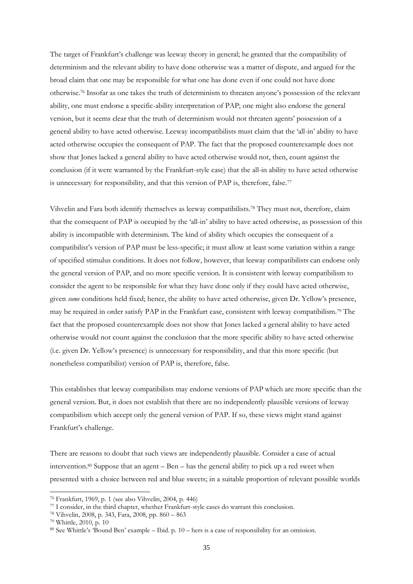The target of Frankfurt's challenge was leeway theory in general; he granted that the compatibility of determinism and the relevant ability to have done otherwise was a matter of dispute, and argued for the broad claim that one may be responsible for what one has done even if one could not have done otherwise.<sup>76</sup> Insofar as one takes the truth of determinism to threaten anyone"s possession of the relevant ability, one must endorse a specific-ability interpretation of PAP; one might also endorse the general version, but it seems clear that the truth of determinism would not threaten agents" possession of a general ability to have acted otherwise. Leeway incompatibilists must claim that the "all-in" ability to have acted otherwise occupies the consequent of PAP. The fact that the proposed counterexample does not show that Jones lacked a general ability to have acted otherwise would not, then, count against the conclusion (if it were warranted by the Frankfurt-style case) that the all-in ability to have acted otherwise is unnecessary for responsibility, and that this version of PAP is, therefore, false.<sup>77</sup>

Vihvelin and Fara both identify themselves as leeway compatibilists.<sup>78</sup> They must not, therefore, claim that the consequent of PAP is occupied by the "all-in" ability to have acted otherwise, as possession of this ability is incompatible with determinism. The kind of ability which occupies the consequent of a compatibilist's version of PAP must be less-specific; it must allow at least some variation within a range of specified stimulus conditions. It does not follow, however, that leeway compatibilists can endorse only the general version of PAP, and no more specific version. It is consistent with leeway compatibilism to consider the agent to be responsible for what they have done only if they could have acted otherwise, given *some* conditions held fixed; hence, the ability to have acted otherwise, given Dr. Yellow"s presence, may be required in order satisfy PAP in the Frankfurt case, consistent with leeway compatibilism.<sup>79</sup> The fact that the proposed counterexample does not show that Jones lacked a general ability to have acted otherwise would not count against the conclusion that the more specific ability to have acted otherwise (i.e. given Dr. Yellow"s presence) is unnecessary for responsibility, and that this more specific (but nonetheless compatibilist) version of PAP is, therefore, false.

This establishes that leeway compatibilists may endorse versions of PAP which are more specific than the general version. But, it does not establish that there are no independently plausible versions of leeway compatibilism which accept only the general version of PAP. If so, these views might stand against Frankfurt"s challenge.

There are reasons to doubt that such views are independently plausible. Consider a case of actual intervention.<sup>80</sup> Suppose that an agent  $-$  Ben  $-$  has the general ability to pick up a red sweet when presented with a choice between red and blue sweets; in a suitable proportion of relevant possible worlds

<sup>76</sup> Frankfurt, 1969, p. 1 (see also Vihvelin, 2004, p. 446)

<sup>77</sup> I consider, in the third chapter, whether Frankfurt-style cases do warrant this conclusion.

<sup>78</sup> Vihvelin, 2008, p. 343, Fara, 2008, pp. 860 – 863

<sup>79</sup> Whittle, 2010, p. 10

<sup>80</sup> See Whittle"s "Bound Ben" example – Ibid. p. 10 – hers is a case of responsibility for an omission.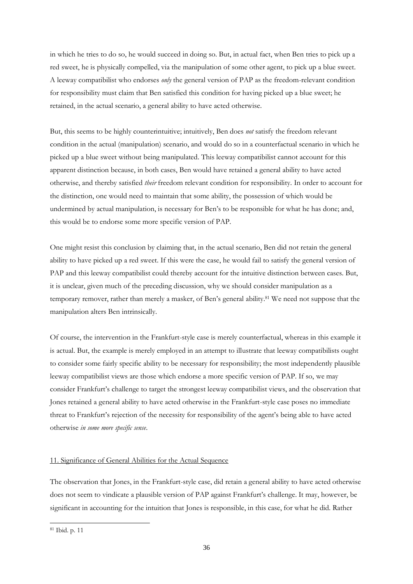in which he tries to do so, he would succeed in doing so. But, in actual fact, when Ben tries to pick up a red sweet, he is physically compelled, via the manipulation of some other agent, to pick up a blue sweet. A leeway compatibilist who endorses *only* the general version of PAP as the freedom-relevant condition for responsibility must claim that Ben satisfied this condition for having picked up a blue sweet; he retained, in the actual scenario, a general ability to have acted otherwise.

But, this seems to be highly counterintuitive; intuitively, Ben does *not* satisfy the freedom relevant condition in the actual (manipulation) scenario, and would do so in a counterfactual scenario in which he picked up a blue sweet without being manipulated. This leeway compatibilist cannot account for this apparent distinction because, in both cases, Ben would have retained a general ability to have acted otherwise, and thereby satisfied *their* freedom relevant condition for responsibility. In order to account for the distinction, one would need to maintain that some ability, the possession of which would be undermined by actual manipulation, is necessary for Ben"s to be responsible for what he has done; and, this would be to endorse some more specific version of PAP.

One might resist this conclusion by claiming that, in the actual scenario, Ben did not retain the general ability to have picked up a red sweet. If this were the case, he would fail to satisfy the general version of PAP and this leeway compatibilist could thereby account for the intuitive distinction between cases. But, it is unclear, given much of the preceding discussion, why we should consider manipulation as a temporary remover, rather than merely a masker, of Ben's general ability.<sup>81</sup> We need not suppose that the manipulation alters Ben intrinsically.

Of course, the intervention in the Frankfurt-style case is merely counterfactual, whereas in this example it is actual. But, the example is merely employed in an attempt to illustrate that leeway compatibilists ought to consider some fairly specific ability to be necessary for responsibility; the most independently plausible leeway compatibilist views are those which endorse a more specific version of PAP. If so, we may consider Frankfurt"s challenge to target the strongest leeway compatibilist views, and the observation that Jones retained a general ability to have acted otherwise in the Frankfurt-style case poses no immediate threat to Frankfurt"s rejection of the necessity for responsibility of the agent"s being able to have acted otherwise *in some more specific sense*.

# 11. Significance of General Abilities for the Actual Sequence

The observation that Jones, in the Frankfurt-style case, did retain a general ability to have acted otherwise does not seem to vindicate a plausible version of PAP against Frankfurt's challenge. It may, however, be significant in accounting for the intuition that Jones is responsible, in this case, for what he did. Rather

<sup>81</sup> Ibid. p. 11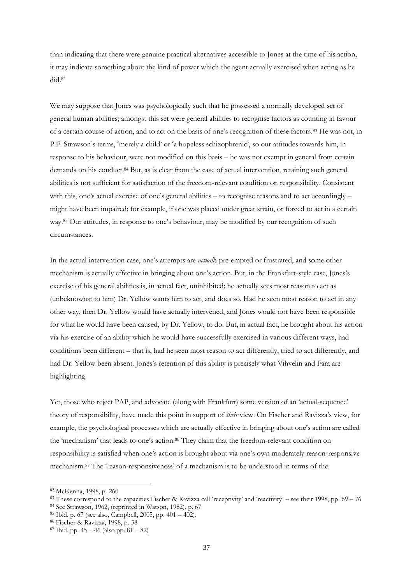than indicating that there were genuine practical alternatives accessible to Jones at the time of his action, it may indicate something about the kind of power which the agent actually exercised when acting as he did.<sup>82</sup>

We may suppose that Jones was psychologically such that he possessed a normally developed set of general human abilities; amongst this set were general abilities to recognise factors as counting in favour of a certain course of action, and to act on the basis of one"s recognition of these factors.<sup>83</sup> He was not, in P.F. Strawson's terms, 'merely a child' or 'a hopeless schizophrenic', so our attitudes towards him, in response to his behaviour, were not modified on this basis – he was not exempt in general from certain demands on his conduct.<sup>84</sup> But, as is clear from the case of actual intervention, retaining such general abilities is not sufficient for satisfaction of the freedom-relevant condition on responsibility. Consistent with this, one's actual exercise of one's general abilities – to recognise reasons and to act accordingly – might have been impaired; for example, if one was placed under great strain, or forced to act in a certain way.<sup>85</sup> Our attitudes, in response to one's behaviour, may be modified by our recognition of such circumstances.

In the actual intervention case, one"s attempts are *actually* pre-empted or frustrated, and some other mechanism is actually effective in bringing about one's action. But, in the Frankfurt-style case, Jones's exercise of his general abilities is, in actual fact, uninhibited; he actually sees most reason to act as (unbeknownst to him) Dr. Yellow wants him to act, and does so. Had he seen most reason to act in any other way, then Dr. Yellow would have actually intervened, and Jones would not have been responsible for what he would have been caused, by Dr. Yellow, to do. But, in actual fact, he brought about his action via his exercise of an ability which he would have successfully exercised in various different ways, had conditions been different – that is, had he seen most reason to act differently, tried to act differently, and had Dr. Yellow been absent. Jones's retention of this ability is precisely what Vihvelin and Fara are highlighting.

Yet, those who reject PAP, and advocate (along with Frankfurt) some version of an 'actual-sequence' theory of responsibility, have made this point in support of *their* view. On Fischer and Ravizza"s view, for example, the psychological processes which are actually effective in bringing about one"s action are called the 'mechanism' that leads to one's action.<sup>86</sup> They claim that the freedom-relevant condition on responsibility is satisfied when one"s action is brought about via one"s own moderately reason-responsive mechanism.<sup>87</sup> The "reason-responsiveness" of a mechanism is to be understood in terms of the

<sup>82</sup> McKenna, 1998, p. 260

<sup>83</sup> These correspond to the capacities Fischer & Ravizza call "receptivity" and "reactivity" – see their 1998, pp. 69 – 76

<sup>84</sup> See Strawson, 1962, (reprinted in Watson, 1982), p. 67

<sup>85</sup> Ibid. p. 67 (see also, Campbell, 2005, pp. 401 – 402).

<sup>86</sup> Fischer & Ravizza, 1998, p. 38

 $87$  Ibid. pp.  $45 - 46$  (also pp.  $81 - 82$ )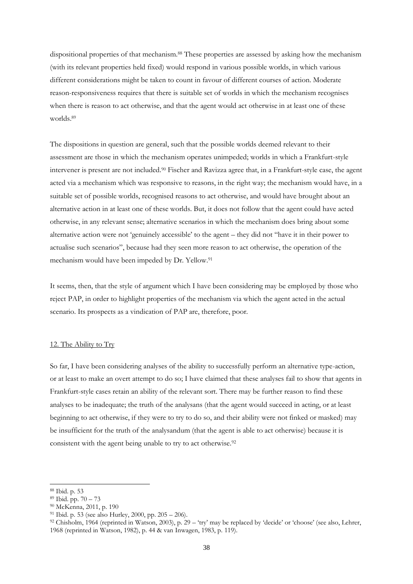dispositional properties of that mechanism.<sup>88</sup> These properties are assessed by asking how the mechanism (with its relevant properties held fixed) would respond in various possible worlds, in which various different considerations might be taken to count in favour of different courses of action. Moderate reason-responsiveness requires that there is suitable set of worlds in which the mechanism recognises when there is reason to act otherwise, and that the agent would act otherwise in at least one of these worlds.<sup>89</sup>

The dispositions in question are general, such that the possible worlds deemed relevant to their assessment are those in which the mechanism operates unimpeded; worlds in which a Frankfurt-style intervener is present are not included.<sup>90</sup> Fischer and Ravizza agree that, in a Frankfurt-style case, the agent acted via a mechanism which was responsive to reasons, in the right way; the mechanism would have, in a suitable set of possible worlds, recognised reasons to act otherwise, and would have brought about an alternative action in at least one of these worlds. But, it does not follow that the agent could have acted otherwise, in any relevant sense; alternative scenarios in which the mechanism does bring about some alternative action were not "genuinely accessible" to the agent – they did not "have it in their power to actualise such scenarios", because had they seen more reason to act otherwise, the operation of the mechanism would have been impeded by Dr. Yellow.<sup>91</sup>

It seems, then, that the style of argument which I have been considering may be employed by those who reject PAP, in order to highlight properties of the mechanism via which the agent acted in the actual scenario. Its prospects as a vindication of PAP are, therefore, poor.

# 12. The Ability to Try

So far, I have been considering analyses of the ability to successfully perform an alternative type-action, or at least to make an overt attempt to do so; I have claimed that these analyses fail to show that agents in Frankfurt-style cases retain an ability of the relevant sort. There may be further reason to find these analyses to be inadequate; the truth of the analysans (that the agent would succeed in acting, or at least beginning to act otherwise, if they were to try to do so, and their ability were not finked or masked) may be insufficient for the truth of the analysandum (that the agent is able to act otherwise) because it is consistent with the agent being unable to try to act otherwise.<sup>92</sup>

<sup>88</sup> Ibid. p. 53

<sup>89</sup> Ibid. pp. 70 – 73

<sup>90</sup> McKenna, 2011, p. 190

<sup>91</sup> Ibid. p. 53 (see also Hurley, 2000, pp. 205 – 206).

<sup>92</sup> Chisholm, 1964 (reprinted in Watson, 2003), p. 29 – "try" may be replaced by "decide" or "choose" (see also, Lehrer, 1968 (reprinted in Watson, 1982), p. 44 & van Inwagen, 1983, p. 119).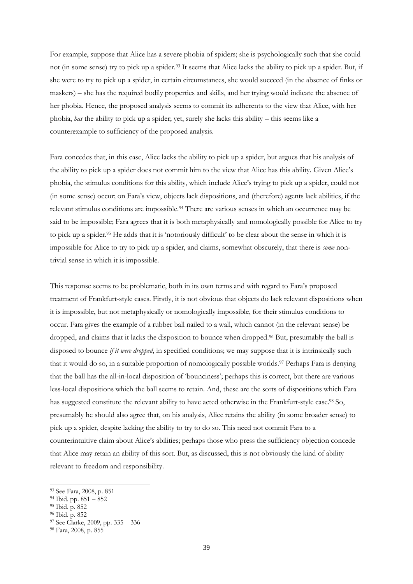For example, suppose that Alice has a severe phobia of spiders; she is psychologically such that she could not (in some sense) try to pick up a spider.<sup>93</sup> It seems that Alice lacks the ability to pick up a spider. But, if she were to try to pick up a spider, in certain circumstances, she would succeed (in the absence of finks or maskers) – she has the required bodily properties and skills, and her trying would indicate the absence of her phobia. Hence, the proposed analysis seems to commit its adherents to the view that Alice, with her phobia, *has* the ability to pick up a spider; yet, surely she lacks this ability – this seems like a counterexample to sufficiency of the proposed analysis.

Fara concedes that, in this case, Alice lacks the ability to pick up a spider, but argues that his analysis of the ability to pick up a spider does not commit him to the view that Alice has this ability. Given Alice"s phobia, the stimulus conditions for this ability, which include Alice's trying to pick up a spider, could not (in some sense) occur; on Fara"s view, objects lack dispositions, and (therefore) agents lack abilities, if the relevant stimulus conditions are impossible.<sup>94</sup> There are various senses in which an occurrence may be said to be impossible; Fara agrees that it is both metaphysically and nomologically possible for Alice to try to pick up a spider.<sup>95</sup> He adds that it is 'notoriously difficult' to be clear about the sense in which it is impossible for Alice to try to pick up a spider, and claims, somewhat obscurely, that there is *some* nontrivial sense in which it is impossible.

This response seems to be problematic, both in its own terms and with regard to Fara"s proposed treatment of Frankfurt-style cases. Firstly, it is not obvious that objects do lack relevant dispositions when it is impossible, but not metaphysically or nomologically impossible, for their stimulus conditions to occur. Fara gives the example of a rubber ball nailed to a wall, which cannot (in the relevant sense) be dropped, and claims that it lacks the disposition to bounce when dropped.<sup>96</sup> But, presumably the ball is disposed to bounce *if it were dropped*, in specified conditions; we may suppose that it is intrinsically such that it would do so, in a suitable proportion of nomologically possible worlds.<sup>97</sup> Perhaps Fara is denying that the ball has the all-in-local disposition of "bounciness"; perhaps this is correct, but there are various less-local dispositions which the ball seems to retain. And, these are the sorts of dispositions which Fara has suggested constitute the relevant ability to have acted otherwise in the Frankfurt-style case.<sup>98</sup> So, presumably he should also agree that, on his analysis, Alice retains the ability (in some broader sense) to pick up a spider, despite lacking the ability to try to do so. This need not commit Fara to a counterintuitive claim about Alice"s abilities; perhaps those who press the sufficiency objection concede that Alice may retain an ability of this sort. But, as discussed, this is not obviously the kind of ability relevant to freedom and responsibility.

<sup>93</sup> See Fara, 2008, p. 851

<sup>94</sup> Ibid. pp. 851 – 852

<sup>95</sup> Ibid. p. 852

<sup>96</sup> Ibid. p. 852

<sup>97</sup> See Clarke, 2009, pp. 335 – 336

<sup>98</sup> Fara, 2008, p. 855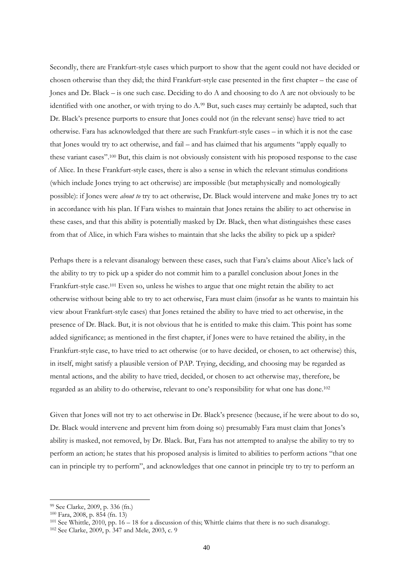Secondly, there are Frankfurt-style cases which purport to show that the agent could not have decided or chosen otherwise than they did; the third Frankfurt-style case presented in the first chapter – the case of Jones and Dr. Black – is one such case. Deciding to do A and choosing to do A are not obviously to be identified with one another, or with trying to do A.<sup>99</sup> But, such cases may certainly be adapted, such that Dr. Black"s presence purports to ensure that Jones could not (in the relevant sense) have tried to act otherwise. Fara has acknowledged that there are such Frankfurt-style cases – in which it is not the case that Jones would try to act otherwise, and fail – and has claimed that his arguments "apply equally to these variant cases".<sup>100</sup> But, this claim is not obviously consistent with his proposed response to the case of Alice. In these Frankfurt-style cases, there is also a sense in which the relevant stimulus conditions (which include Jones trying to act otherwise) are impossible (but metaphysically and nomologically possible): if Jones were *about to* try to act otherwise, Dr. Black would intervene and make Jones try to act in accordance with his plan. If Fara wishes to maintain that Jones retains the ability to act otherwise in these cases, and that this ability is potentially masked by Dr. Black, then what distinguishes these cases from that of Alice, in which Fara wishes to maintain that she lacks the ability to pick up a spider?

Perhaps there is a relevant disanalogy between these cases, such that Fara's claims about Alice's lack of the ability to try to pick up a spider do not commit him to a parallel conclusion about Jones in the Frankfurt-style case.<sup>101</sup> Even so, unless he wishes to argue that one might retain the ability to act otherwise without being able to try to act otherwise, Fara must claim (insofar as he wants to maintain his view about Frankfurt-style cases) that Jones retained the ability to have tried to act otherwise, in the presence of Dr. Black. But, it is not obvious that he is entitled to make this claim. This point has some added significance; as mentioned in the first chapter, if Jones were to have retained the ability, in the Frankfurt-style case, to have tried to act otherwise (or to have decided, or chosen, to act otherwise) this, in itself, might satisfy a plausible version of PAP. Trying, deciding, and choosing may be regarded as mental actions, and the ability to have tried, decided, or chosen to act otherwise may, therefore, be regarded as an ability to do otherwise, relevant to one's responsibility for what one has done.<sup>102</sup>

Given that Jones will not try to act otherwise in Dr. Black"s presence (because, if he were about to do so, Dr. Black would intervene and prevent him from doing so) presumably Fara must claim that Jones"s ability is masked, not removed, by Dr. Black. But, Fara has not attempted to analyse the ability to try to perform an action; he states that his proposed analysis is limited to abilities to perform actions "that one can in principle try to perform", and acknowledges that one cannot in principle try to try to perform an

<sup>99</sup> See Clarke, 2009, p. 336 (fn.)

<sup>100</sup> Fara, 2008, p. 854 (fn. 13)

<sup>101</sup> See Whittle, 2010, pp. 16 – 18 for a discussion of this; Whittle claims that there is no such disanalogy.

<sup>102</sup> See Clarke, 2009, p. 347 and Mele, 2003, c. 9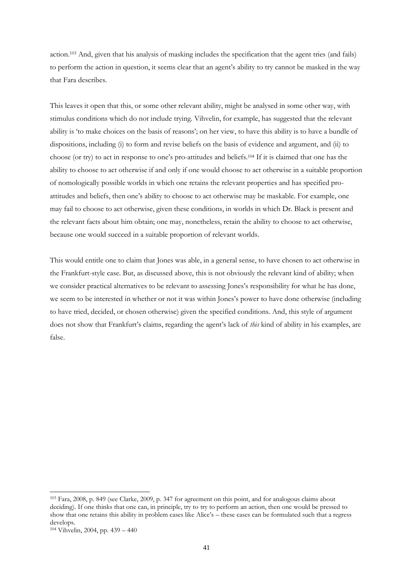action.<sup>103</sup> And, given that his analysis of masking includes the specification that the agent tries (and fails) to perform the action in question, it seems clear that an agent"s ability to try cannot be masked in the way that Fara describes.

This leaves it open that this, or some other relevant ability, might be analysed in some other way, with stimulus conditions which do not include trying. Vihvelin, for example, has suggested that the relevant ability is "to make choices on the basis of reasons"; on her view, to have this ability is to have a bundle of dispositions, including (i) to form and revise beliefs on the basis of evidence and argument, and (ii) to choose (or try) to act in response to one"s pro-attitudes and beliefs.<sup>104</sup> If it is claimed that one has the ability to choose to act otherwise if and only if one would choose to act otherwise in a suitable proportion of nomologically possible worlds in which one retains the relevant properties and has specified proattitudes and beliefs, then one"s ability to choose to act otherwise may be maskable. For example, one may fail to choose to act otherwise, given these conditions, in worlds in which Dr. Black is present and the relevant facts about him obtain; one may, nonetheless, retain the ability to choose to act otherwise, because one would succeed in a suitable proportion of relevant worlds.

This would entitle one to claim that Jones was able, in a general sense, to have chosen to act otherwise in the Frankfurt-style case. But, as discussed above, this is not obviously the relevant kind of ability; when we consider practical alternatives to be relevant to assessing Jones's responsibility for what he has done, we seem to be interested in whether or not it was within Jones"s power to have done otherwise (including to have tried, decided, or chosen otherwise) given the specified conditions. And, this style of argument does not show that Frankfurt's claims, regarding the agent's lack of *this* kind of ability in his examples, are false.

<sup>103</sup> Fara, 2008, p. 849 (see Clarke, 2009, p. 347 for agreement on this point, and for analogous claims about deciding). If one thinks that one can, in principle, try to try to perform an action, then one would be pressed to show that one retains this ability in problem cases like Alice's – these cases can be formulated such that a regress develops.

<sup>104</sup> Vihvelin, 2004, pp. 439 – 440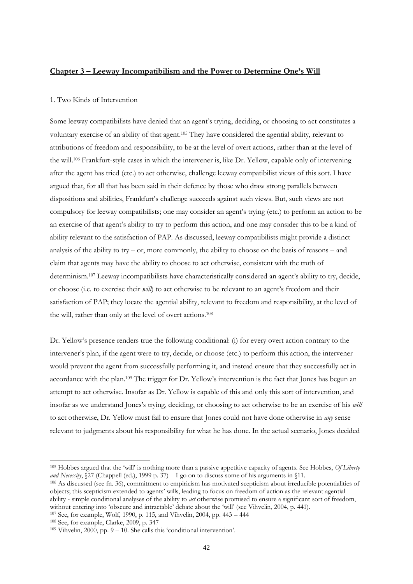# **Chapter 3 – Leeway Incompatibilism and the Power to Determine One's Will**

# 1. Two Kinds of Intervention

Some leeway compatibilists have denied that an agent"s trying, deciding, or choosing to act constitutes a voluntary exercise of an ability of that agent.<sup>105</sup> They have considered the agential ability, relevant to attributions of freedom and responsibility, to be at the level of overt actions, rather than at the level of the will.<sup>106</sup> Frankfurt-style cases in which the intervener is, like Dr. Yellow, capable only of intervening after the agent has tried (etc.) to act otherwise, challenge leeway compatibilist views of this sort. I have argued that, for all that has been said in their defence by those who draw strong parallels between dispositions and abilities, Frankfurt's challenge succeeds against such views. But, such views are not compulsory for leeway compatibilists; one may consider an agent"s trying (etc.) to perform an action to be an exercise of that agent's ability to try to perform this action, and one may consider this to be a kind of ability relevant to the satisfaction of PAP. As discussed, leeway compatibilists might provide a distinct analysis of the ability to try – or, more commonly, the ability to choose on the basis of reasons – and claim that agents may have the ability to choose to act otherwise, consistent with the truth of determinism.<sup>107</sup> Leeway incompatibilists have characteristically considered an agent"s ability to try, decide, or choose (i.e. to exercise their *will*) to act otherwise to be relevant to an agent's freedom and their satisfaction of PAP; they locate the agential ability, relevant to freedom and responsibility, at the level of the will, rather than only at the level of overt actions.<sup>108</sup>

Dr. Yellow"s presence renders true the following conditional: (i) for every overt action contrary to the intervener"s plan, if the agent were to try, decide, or choose (etc.) to perform this action, the intervener would prevent the agent from successfully performing it, and instead ensure that they successfully act in accordance with the plan.<sup>109</sup> The trigger for Dr. Yellow"s intervention is the fact that Jones has begun an attempt to act otherwise. Insofar as Dr. Yellow is capable of this and only this sort of intervention, and insofar as we understand Jones"s trying, deciding, or choosing to act otherwise to be an exercise of his *will* to act otherwise, Dr. Yellow must fail to ensure that Jones could not have done otherwise in *any* sense relevant to judgments about his responsibility for what he has done. In the actual scenario, Jones decided

<sup>105</sup> Hobbes argued that the "will" is nothing more than a passive appetitive capacity of agents. See Hobbes, *Of Liberty and Necessity*, §27 (Chappell (ed.), 1999 p. 37) – I go on to discuss some of his arguments in §11.

<sup>106</sup> As discussed (see fn. 36), commitment to empiricism has motivated scepticism about irreducible potentialities of objects; this scepticism extended to agents" wills, leading to focus on freedom of action as the relevant agential ability - simple conditional analyses of the ability to *act* otherwise promised to ensure a significant sort of freedom, without entering into "obscure and intractable" debate about the "will" (see Vihvelin, 2004, p. 441).

<sup>107</sup> See, for example, Wolf, 1990, p. 115, and Vihvelin, 2004, pp. 443 – 444

<sup>108</sup> See, for example, Clarke, 2009, p. 347

 $109$  Vihvelin,  $2000$ , pp.  $9 - 10$ . She calls this 'conditional intervention'.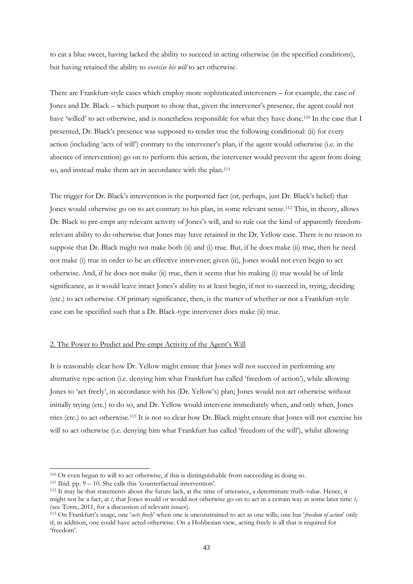to eat a blue sweet, having lacked the ability to succeed in acting otherwise (in the specified conditions), but having retained the ability to *exercise his will* to act otherwise.

There are Frankfurt-style cases which employ more sophisticated interveners – for example, the case of Jones and Dr. Black – which purport to show that, given the intervener"s presence, the agent could not have 'willed' to act otherwise, and is nonetheless responsible for what they have done.<sup>110</sup> In the case that I presented, Dr. Black"s presence was supposed to render true the following conditional: (ii) for every action (including "acts of will") contrary to the intervener"s plan, if the agent would otherwise (i.e. in the absence of intervention) go on to perform this action, the intervener would prevent the agent from doing so, and instead make them act in accordance with the plan.<sup>111</sup>

The trigger for Dr. Black's intervention is the purported fact (or, perhaps, just Dr. Black's belief) that Jones would otherwise go on to act contrary to his plan, in some relevant sense.<sup>112</sup> This, in theory, allows Dr. Black to pre-empt any relevant activity of Jones's will, and to rule out the kind of apparently freedomrelevant ability to do otherwise that Jones may have retained in the Dr. Yellow case. There is no reason to suppose that Dr. Black might not make both (ii) and (i) true. But, if he does make (ii) true, then he need not make (i) true in order to be an effective intervener; given (ii), Jones would not even begin to act otherwise. And, if he does not make (ii) true, then it seems that his making (i) true would be of little significance, as it would leave intact Jones's ability to at least begin, if not to succeed in, trying, deciding (etc.) to act otherwise. Of primary significance, then, is the matter of whether or not a Frankfurt-style case can be specified such that a Dr. Black-type intervener does make (ii) true.

# 2. The Power to Predict and Pre-empt Activity of the Agent's Will

It is reasonably clear how Dr. Yellow might ensure that Jones will not succeed in performing any alternative type-action (i.e. denying him what Frankfurt has called "freedom of action"), while allowing Jones to "act freely", in accordance with his (Dr. Yellow"s) plan; Jones would not act otherwise without initially trying (etc.) to do so, and Dr. Yellow would intervene immediately when, and only when, Jones tries (etc.) to act otherwise.<sup>113</sup> It is not so clear how Dr. Black might ensure that Jones will not exercise his will to act otherwise (i.e. denying him what Frankfurt has called "freedom of the will"), whilst allowing

<sup>110</sup> Or even begun to will to act otherwise, if this is distinguishable from succeeding in doing so.

 $111$  Ibid. pp.  $9 - 10$ . She calls this 'counterfactual intervention'.

<sup>112</sup> It may be that statements about the future lack, at the time of utterance, a determinate truth-value. Hence, it might not be a fact, at *t*, that Jones would or would not otherwise go on to act in a certain way at some later time *t<sup>1</sup>* (see Torre, 2011, for a discussion of relevant issues).

<sup>113</sup> On Frankfurt"s usage, one "*acts freely*" when one is unconstrained to act as one wills; one has "*freedom of action*" only if, in addition, one could have acted otherwise. On a Hobbesian view, acting freely is all that is required for "freedom".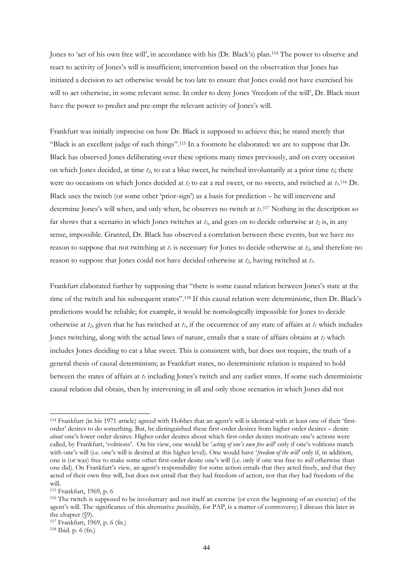Jones to 'act of his own free will', in accordance with his (Dr. Black's) plan.<sup>114</sup> The power to observe and react to activity of Jones"s will is insufficient; intervention based on the observation that Jones has initiated a decision to act otherwise would be too late to ensure that Jones could not have exercised his will to act otherwise, in some relevant sense. In order to deny Jones "freedom of the will", Dr. Black must have the power to predict and pre-empt the relevant activity of Jones's will.

Frankfurt was initially imprecise on how Dr. Black is supposed to achieve this; he stated merely that "Black is an excellent judge of such things".<sup>115</sup> In a footnote he elaborated: we are to suppose that Dr. Black has observed Jones deliberating over these options many times previously, and on every occasion on which Jones decided, at time *t2*, to eat a blue sweet, he twitched involuntarily at a prior time *t1*; there were no occasions on which Jones decided at *t<sup>2</sup>* to eat a red sweet, or no sweets, and twitched at *t1*. <sup>116</sup> Dr. Black uses the twitch (or some other "prior-sign") as a basis for prediction – he will intervene and determine Jones's will when, and only when, he observes no twitch at  $t_1$ .<sup>117</sup> Nothing in the description so far shows that a scenario in which Jones twitches at *t1*, and goes on to decide otherwise at *t<sup>2</sup>* is, in any sense, impossible. Granted, Dr. Black has observed a correlation between these events, but we have no reason to suppose that not twitching at *t<sup>1</sup>* is necessary for Jones to decide otherwise at *t2*, and therefore no reason to suppose that Jones could not have decided otherwise at *t2*, having twitched at *t1*.

Frankfurt elaborated further by supposing that "there is some causal relation between Jones"s state at the time of the twitch and his subsequent states".<sup>118</sup> If this causal relation were deterministic, then Dr. Black's predictions would be reliable; for example, it would be nomologically impossible for Jones to decide otherwise at  $t_2$ , given that he has twitched at  $t_1$ , if the occurrence of any state of affairs at  $t_1$  which includes Jones twitching, along with the actual laws of nature, entails that a state of affairs obtains at *t<sup>2</sup>* which includes Jones deciding to eat a blue sweet. This is consistent with, but does not require, the truth of a general thesis of causal determinism; as Frankfurt states, no deterministic relation is required to hold between the states of affairs at *t<sup>1</sup>* including Jones"s twitch and any earlier states. If some such deterministic causal relation did obtain, then by intervening in all and only those scenarios in which Jones did not

<sup>114</sup> Frankfurt (in his 1971 article) agreed with Hobbes that an agent"s will is identical with at least one of their "firstorder" desires to do something. But, he distinguished these first-order desires from higher order desires – desire *about* one's lower order desires. Higher order desires about which first-order desires motivate one's actions were called, by Frankfurt, "volitions". On his view, one would be "*acting of one's own free will*" only if one"s volitions match with one's will (i.e. one's will is desired at this higher level). One would have 'freedom of the will' only if, in addition, one is (or was) free to make some other first-order desire one"s will (i.e. only if one was free to *will* otherwise than one did). On Frankfurt"s view, an agent"s responsibility for some action entails that they acted freely, and that they acted of their own free will, but does not entail that they had freedom of action, nor that they had freedom of the will.

<sup>115</sup> Frankfurt, 1969, p. 6

<sup>116</sup> The twitch is supposed to be involuntary and not itself an exercise (or even the beginning of an exercise) of the agent"s will. The significance of this alternative *possibility*, for PAP, is a matter of controversy; I discuss this later in the chapter (§9).

<sup>117</sup> Frankfurt, 1969, p. 6 (fn.)

<sup>118</sup> Ibid. p. 6 (fn.)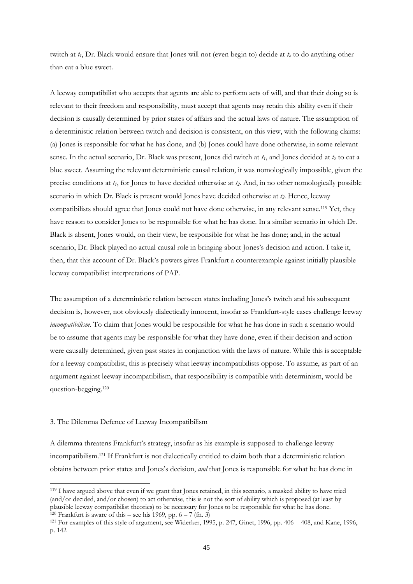twitch at *t1*, Dr. Black would ensure that Jones will not (even begin to) decide at *t<sup>2</sup>* to do anything other than eat a blue sweet.

A leeway compatibilist who accepts that agents are able to perform acts of will, and that their doing so is relevant to their freedom and responsibility, must accept that agents may retain this ability even if their decision is causally determined by prior states of affairs and the actual laws of nature. The assumption of a deterministic relation between twitch and decision is consistent, on this view, with the following claims: (a) Jones is responsible for what he has done, and (b) Jones could have done otherwise, in some relevant sense. In the actual scenario, Dr. Black was present, Jones did twitch at *t1*, and Jones decided at *t<sup>2</sup>* to eat a blue sweet. Assuming the relevant deterministic causal relation, it was nomologically impossible, given the precise conditions at *t1*, for Jones to have decided otherwise at *t2*. And, in no other nomologically possible scenario in which Dr. Black is present would Jones have decided otherwise at *t2*. Hence, leeway compatibilists should agree that Jones could not have done otherwise, in any relevant sense.<sup>119</sup> Yet, they have reason to consider Jones to be responsible for what he has done. In a similar scenario in which Dr. Black is absent, Jones would, on their view, be responsible for what he has done; and, in the actual scenario, Dr. Black played no actual causal role in bringing about Jones"s decision and action. I take it, then, that this account of Dr. Black"s powers gives Frankfurt a counterexample against initially plausible leeway compatibilist interpretations of PAP.

The assumption of a deterministic relation between states including Jones's twitch and his subsequent decision is, however, not obviously dialectically innocent, insofar as Frankfurt-style cases challenge leeway *incompatibilism*. To claim that Jones would be responsible for what he has done in such a scenario would be to assume that agents may be responsible for what they have done, even if their decision and action were causally determined, given past states in conjunction with the laws of nature. While this is acceptable for a leeway compatibilist, this is precisely what leeway incompatibilists oppose. To assume, as part of an argument against leeway incompatibilism, that responsibility is compatible with determinism, would be question-begging.<sup>120</sup>

# 3. The Dilemma Defence of Leeway Incompatibilism

-

A dilemma threatens Frankfurt"s strategy, insofar as his example is supposed to challenge leeway incompatibilism.<sup>121</sup> If Frankfurt is not dialectically entitled to claim both that a deterministic relation obtains between prior states and Jones"s decision, *and* that Jones is responsible for what he has done in

<sup>119</sup> I have argued above that even if we grant that Jones retained, in this scenario, a masked ability to have tried (and/or decided, and/or chosen) to act otherwise, this is not the sort of ability which is proposed (at least by plausible leeway compatibilist theories) to be necessary for Jones to be responsible for what he has done. <sup>120</sup> Frankfurt is aware of this – see his 1969, pp.  $6 - 7$  (fn. 3)

<sup>121</sup> For examples of this style of argument, see Widerker, 1995, p. 247, Ginet, 1996, pp. 406 – 408, and Kane, 1996, p. 142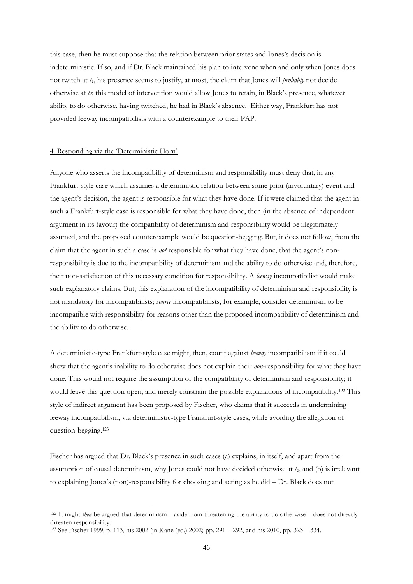this case, then he must suppose that the relation between prior states and Jones"s decision is indeterministic. If so, and if Dr. Black maintained his plan to intervene when and only when Jones does not twitch at *t1*, his presence seems to justify, at most, the claim that Jones will *probably* not decide otherwise at *t2*; this model of intervention would allow Jones to retain, in Black"s presence, whatever ability to do otherwise, having twitched, he had in Black"s absence. Either way, Frankfurt has not provided leeway incompatibilists with a counterexample to their PAP.

## 4. Responding via the "Deterministic Horn"

-

Anyone who asserts the incompatibility of determinism and responsibility must deny that, in any Frankfurt-style case which assumes a deterministic relation between some prior (involuntary) event and the agent"s decision, the agent is responsible for what they have done. If it were claimed that the agent in such a Frankfurt-style case is responsible for what they have done, then (in the absence of independent argument in its favour) the compatibility of determinism and responsibility would be illegitimately assumed, and the proposed counterexample would be question-begging. But, it does not follow, from the claim that the agent in such a case is *not* responsible for what they have done, that the agent's nonresponsibility is due to the incompatibility of determinism and the ability to do otherwise and, therefore, their non-satisfaction of this necessary condition for responsibility. A *leeway* incompatibilist would make such explanatory claims. But, this explanation of the incompatibility of determinism and responsibility is not mandatory for incompatibilists; *source* incompatibilists, for example, consider determinism to be incompatible with responsibility for reasons other than the proposed incompatibility of determinism and the ability to do otherwise.

A deterministic-type Frankfurt-style case might, then, count against *leeway* incompatibilism if it could show that the agent"s inability to do otherwise does not explain their *non*-responsibility for what they have done. This would not require the assumption of the compatibility of determinism and responsibility; it would leave this question open, and merely constrain the possible explanations of incompatibility.<sup>122</sup> This style of indirect argument has been proposed by Fischer, who claims that it succeeds in undermining leeway incompatibilism, via deterministic-type Frankfurt-style cases, while avoiding the allegation of question-begging.<sup>123</sup>

Fischer has argued that Dr. Black"s presence in such cases (a) explains, in itself, and apart from the assumption of causal determinism, why Jones could not have decided otherwise at *t2*, and (b) is irrelevant to explaining Jones"s (non)-responsibility for choosing and acting as he did – Dr. Black does not

<sup>122</sup> It might *then* be argued that determinism – aside from threatening the ability to do otherwise – does not directly threaten responsibility.

<sup>123</sup> See Fischer 1999, p. 113, his 2002 (in Kane (ed.) 2002) pp. 291 – 292, and his 2010, pp. 323 – 334.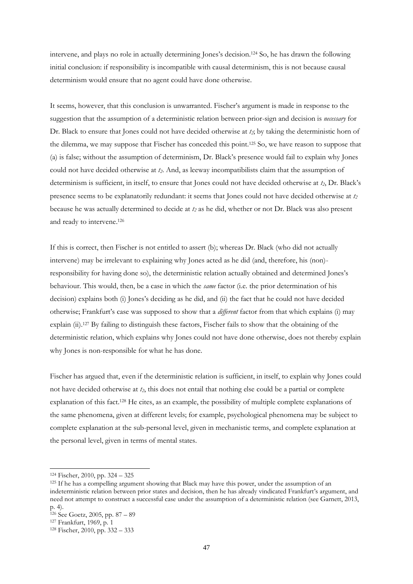intervene, and plays no role in actually determining Jones"s decision.<sup>124</sup> So, he has drawn the following initial conclusion: if responsibility is incompatible with causal determinism, this is not because causal determinism would ensure that no agent could have done otherwise.

It seems, however, that this conclusion is unwarranted. Fischer"s argument is made in response to the suggestion that the assumption of a deterministic relation between prior-sign and decision is *necessary* for Dr. Black to ensure that Jones could not have decided otherwise at *t2*; by taking the deterministic horn of the dilemma, we may suppose that Fischer has conceded this point.<sup>125</sup> So, we have reason to suppose that (a) is false; without the assumption of determinism, Dr. Black"s presence would fail to explain why Jones could not have decided otherwise at *t2*. And, as leeway incompatibilists claim that the assumption of determinism is sufficient, in itself, to ensure that Jones could not have decided otherwise at *t2*, Dr. Black"s presence seems to be explanatorily redundant: it seems that Jones could not have decided otherwise at *t<sup>2</sup>* because he was actually determined to decide at *t<sup>2</sup>* as he did, whether or not Dr. Black was also present and ready to intervene. 126

If this is correct, then Fischer is not entitled to assert (b); whereas Dr. Black (who did not actually intervene) may be irrelevant to explaining why Jones acted as he did (and, therefore, his (non) responsibility for having done so), the deterministic relation actually obtained and determined Jones"s behaviour. This would, then, be a case in which the *same* factor (i.e. the prior determination of his decision) explains both (i) Jones"s deciding as he did, and (ii) the fact that he could not have decided otherwise; Frankfurt's case was supposed to show that a *different* factor from that which explains (i) may explain (ii).<sup>127</sup> By failing to distinguish these factors, Fischer fails to show that the obtaining of the deterministic relation, which explains why Jones could not have done otherwise, does not thereby explain why Jones is non-responsible for what he has done.

Fischer has argued that, even if the deterministic relation is sufficient, in itself, to explain why Jones could not have decided otherwise at *t2*, this does not entail that nothing else could be a partial or complete explanation of this fact.<sup>128</sup> He cites, as an example, the possibility of multiple complete explanations of the same phenomena, given at different levels; for example, psychological phenomena may be subject to complete explanation at the sub-personal level, given in mechanistic terms, and complete explanation at the personal level, given in terms of mental states.

<sup>124</sup> Fischer, 2010, pp. 324 – 325

<sup>&</sup>lt;sup>125</sup> If he has a compelling argument showing that Black may have this power, under the assumption of an indeterministic relation between prior states and decision, then he has already vindicated Frankfurt"s argument, and need not attempt to construct a successful case under the assumption of a deterministic relation (see Garnett, 2013, p. 4).

<sup>126</sup> See Goetz, 2005, pp. 87 – 89

<sup>127</sup> Frankfurt, 1969, p. 1

<sup>128</sup> Fischer, 2010, pp. 332 – 333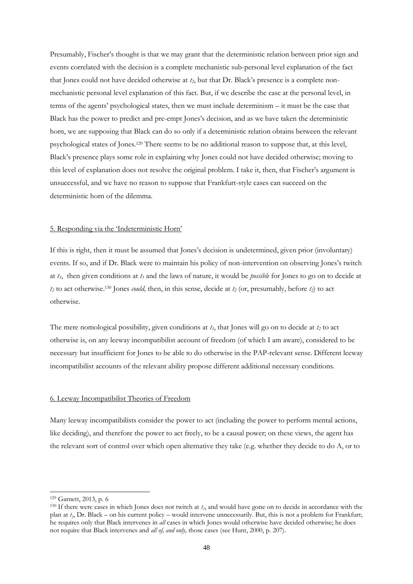Presumably, Fischer's thought is that we may grant that the deterministic relation between prior sign and events correlated with the decision is a complete mechanistic sub-personal level explanation of the fact that Jones could not have decided otherwise at *t2*, but that Dr. Black"s presence is a complete nonmechanistic personal level explanation of this fact. But, if we describe the case at the personal level, in terms of the agents" psychological states, then we must include determinism – it must be the case that Black has the power to predict and pre-empt Jones"s decision, and as we have taken the deterministic horn, we are supposing that Black can do so only if a deterministic relation obtains between the relevant psychological states of Jones.<sup>129</sup> There seems to be no additional reason to suppose that, at this level, Black"s presence plays some role in explaining why Jones could not have decided otherwise; moving to this level of explanation does not resolve the original problem. I take it, then, that Fischer's argument is unsuccessful, and we have no reason to suppose that Frankfurt-style cases can succeed on the deterministic horn of the dilemma.

# 5. Responding via the "Indeterministic Horn"

If this is right, then it must be assumed that Jones"s decision is undetermined, given prior (involuntary) events. If so, and if Dr. Black were to maintain his policy of non-intervention on observing Jones"s twitch at *t1*, then given conditions at *t<sup>1</sup>* and the laws of nature, it would be *possible* for Jones to go on to decide at *t<sup>2</sup>* to act otherwise.<sup>130</sup> Jones *could,* then, in this sense, decide at *t<sup>2</sup>* (or, presumably, before *t2*) to act otherwise.

The mere nomological possibility, given conditions at *t1*, that Jones will go on to decide at *t<sup>2</sup>* to act otherwise is, on any leeway incompatibilist account of freedom (of which I am aware), considered to be necessary but insufficient for Jones to be able to do otherwise in the PAP-relevant sense. Different leeway incompatibilist accounts of the relevant ability propose different additional necessary conditions.

# 6. Leeway Incompatibilist Theories of Freedom

Many leeway incompatibilists consider the power to act (including the power to perform mental actions, like deciding), and therefore the power to act freely, to be a causal power; on these views, the agent has the relevant sort of control over which open alternative they take (e.g. whether they decide to do A, or to

<sup>129</sup> Garnett, 2013, p. 6

<sup>130</sup> If there were cases in which Jones does not twitch at *t<sup>1</sup>* , and would have gone on to decide in accordance with the plan at *t<sup>2</sup>* , Dr. Black – on his current policy – would intervene unnecessarily. But, this is not a problem for Frankfurt; he requires only that Black intervenes in *all* cases in which Jones would otherwise have decided otherwise; he does not require that Black intervenes and *all of, and only,* those cases (see Hunt, 2000, p. 207).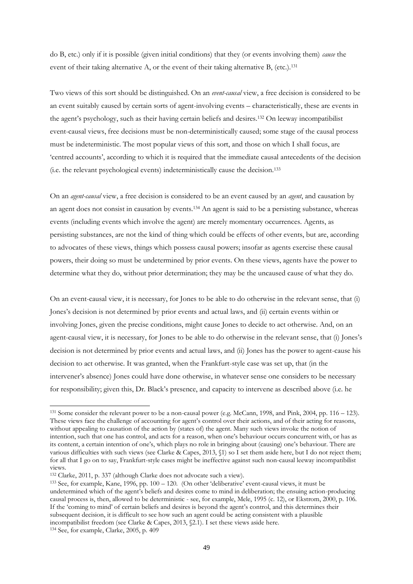do B, etc.) only if it is possible (given initial conditions) that they (or events involving them) *cause* the event of their taking alternative A, or the event of their taking alternative B, (etc.).<sup>131</sup>

Two views of this sort should be distinguished. On an *event-causal* view, a free decision is considered to be an event suitably caused by certain sorts of agent-involving events – characteristically, these are events in the agent"s psychology, such as their having certain beliefs and desires.<sup>132</sup> On leeway incompatibilist event-causal views, free decisions must be non-deterministically caused; some stage of the causal process must be indeterministic. The most popular views of this sort, and those on which I shall focus, are "centred accounts", according to which it is required that the immediate causal antecedents of the decision (i.e. the relevant psychological events) indeterministically cause the decision.<sup>133</sup>

On an *agent-causal* view, a free decision is considered to be an event caused by an *agent*, and causation by an agent does not consist in causation by events.<sup>134</sup> An agent is said to be a persisting substance, whereas events (including events which involve the agent) are merely momentary occurrences. Agents, as persisting substances, are not the kind of thing which could be effects of other events, but are, according to advocates of these views, things which possess causal powers; insofar as agents exercise these causal powers, their doing so must be undetermined by prior events. On these views, agents have the power to determine what they do, without prior determination; they may be the uncaused cause of what they do.

On an event-causal view, it is necessary, for Jones to be able to do otherwise in the relevant sense, that (i) Jones"s decision is not determined by prior events and actual laws, and (ii) certain events within or involving Jones, given the precise conditions, might cause Jones to decide to act otherwise. And, on an agent-causal view, it is necessary, for Jones to be able to do otherwise in the relevant sense, that (i) Jones"s decision is not determined by prior events and actual laws, and (ii) Jones has the power to agent-cause his decision to act otherwise. It was granted, when the Frankfurt-style case was set up, that (in the intervener"s absence) Jones could have done otherwise, in whatever sense one considers to be necessary for responsibility; given this, Dr. Black"s presence, and capacity to intervene as described above (i.e. he

<sup>134</sup> See, for example, Clarke, 2005, p. 409

<sup>131</sup> Some consider the relevant power to be a non-causal power (e.g. McCann, 1998, and Pink, 2004, pp. 116 – 123). These views face the challenge of accounting for agent's control over their actions, and of their acting for reasons, without appealing to causation of the action by (states of) the agent. Many such views invoke the notion of intention, such that one has control, and acts for a reason, when one"s behaviour occurs concurrent with, or has as its content, a certain intention of one"s, which plays no role in bringing about (causing) one"s behaviour. There are various difficulties with such views (see Clarke & Capes, 2013, §1) so I set them aside here, but I do not reject them; for all that I go on to say, Frankfurt-style cases might be ineffective against such non-causal leeway incompatibilist views.

<sup>132</sup> Clarke, 2011, p. 337 (although Clarke does not advocate such a view).

<sup>133</sup> See, for example, Kane, 1996, pp. 100 – 120. (On other "deliberative" event-causal views, it must be undetermined which of the agent"s beliefs and desires come to mind in deliberation; the ensuing action-producing causal process is, then, allowed to be deterministic - see, for example, Mele, 1995 (c. 12), or Ekstrom, 2000, p. 106. If the "coming to mind" of certain beliefs and desires is beyond the agent"s control, and this determines their subsequent decision, it is difficult to see how such an agent could be acting consistent with a plausible incompatibilist freedom (see Clarke & Capes, 2013, §2.1). I set these views aside here.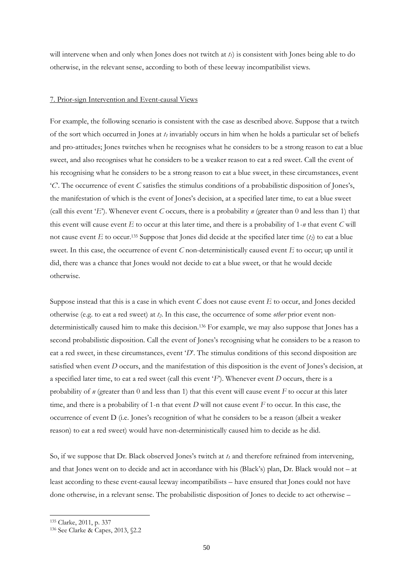will intervene when and only when Jones does not twitch at *t1*) is consistent with Jones being able to do otherwise, in the relevant sense, according to both of these leeway incompatibilist views.

# 7. Prior-sign Intervention and Event-causal Views

For example, the following scenario is consistent with the case as described above. Suppose that a twitch of the sort which occurred in Jones at *t<sup>1</sup>* invariably occurs in him when he holds a particular set of beliefs and pro-attitudes; Jones twitches when he recognises what he considers to be a strong reason to eat a blue sweet, and also recognises what he considers to be a weaker reason to eat a red sweet. Call the event of his recognising what he considers to be a strong reason to eat a blue sweet, in these circumstances, event "*C*". The occurrence of event *C* satisfies the stimulus conditions of a probabilistic disposition of Jones"s, the manifestation of which is the event of Jones"s decision, at a specified later time, to eat a blue sweet (call this event 'E'). Whenever event *C* occurs, there is a probability *n* (greater than 0 and less than 1) that this event will cause event *E* to occur at this later time, and there is a probability of 1-*n* that event *C* will not cause event *E* to occur.<sup>135</sup> Suppose that Jones did decide at the specified later time  $(t_2)$  to eat a blue sweet. In this case, the occurrence of event *C* non-deterministically caused event *E* to occur; up until it did, there was a chance that Jones would not decide to eat a blue sweet, or that he would decide otherwise.

Suppose instead that this is a case in which event *C* does not cause event *E* to occur, and Jones decided otherwise (e.g. to eat a red sweet) at *t2*. In this case, the occurrence of some *other* prior event nondeterministically caused him to make this decision.<sup>136</sup> For example, we may also suppose that Jones has a second probabilistic disposition. Call the event of Jones's recognising what he considers to be a reason to eat a red sweet, in these circumstances, event '*D*'. The stimulus conditions of this second disposition are satisfied when event *D* occurs, and the manifestation of this disposition is the event of Jones's decision, at a specified later time, to eat a red sweet (call this event "*F*"). Whenever event *D* occurs, there is a probability of *n* (greater than 0 and less than 1) that this event will cause event *F* to occur at this later time, and there is a probability of 1-n that event *D* will not cause event *F* to occur. In this case, the occurrence of event D (i.e. Jones"s recognition of what he considers to be a reason (albeit a weaker reason) to eat a red sweet) would have non-deterministically caused him to decide as he did.

So, if we suppose that Dr. Black observed Jones's twitch at  $t<sub>I</sub>$  and therefore refrained from intervening, and that Jones went on to decide and act in accordance with his (Black"s) plan, Dr. Black would not – at least according to these event-causal leeway incompatibilists – have ensured that Jones could not have done otherwise, in a relevant sense. The probabilistic disposition of Jones to decide to act otherwise –

<sup>135</sup> Clarke, 2011, p. 337

<sup>136</sup> See Clarke & Capes, 2013, §2.2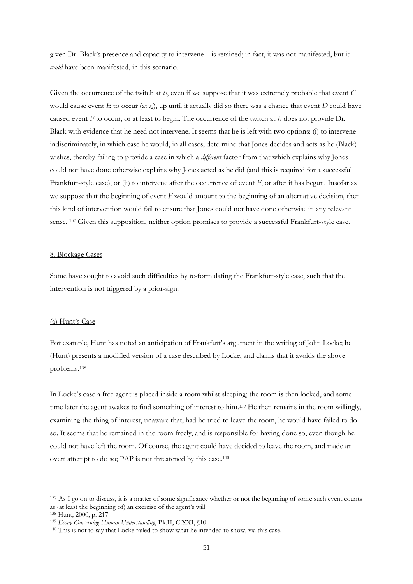given Dr. Black"s presence and capacity to intervene – is retained; in fact, it was not manifested, but it *could* have been manifested, in this scenario.

Given the occurrence of the twitch at  $t_1$ , even if we suppose that it was extremely probable that event  $C$ would cause event  $E$  to occur (at  $t_2$ ), up until it actually did so there was a chance that event  $D$  could have caused event *F* to occur, or at least to begin. The occurrence of the twitch at *t<sup>1</sup>* does not provide Dr. Black with evidence that he need not intervene. It seems that he is left with two options: (i) to intervene indiscriminately, in which case he would, in all cases, determine that Jones decides and acts as he (Black) wishes, thereby failing to provide a case in which a *different* factor from that which explains why Jones could not have done otherwise explains why Jones acted as he did (and this is required for a successful Frankfurt-style case), or (ii) to intervene after the occurrence of event *F*, or after it has begun. Insofar as we suppose that the beginning of event *F* would amount to the beginning of an alternative decision, then this kind of intervention would fail to ensure that Jones could not have done otherwise in any relevant sense. <sup>137</sup> Given this supposition, neither option promises to provide a successful Frankfurt-style case.

# 8. Blockage Cases

Some have sought to avoid such difficulties by re-formulating the Frankfurt-style case, such that the intervention is not triggered by a prior-sign.

#### (a) Hunt's Case

For example, Hunt has noted an anticipation of Frankfurt's argument in the writing of John Locke; he (Hunt) presents a modified version of a case described by Locke, and claims that it avoids the above problems.<sup>138</sup>

In Locke's case a free agent is placed inside a room whilst sleeping; the room is then locked, and some time later the agent awakes to find something of interest to him.<sup>139</sup> He then remains in the room willingly, examining the thing of interest, unaware that, had he tried to leave the room, he would have failed to do so. It seems that he remained in the room freely, and is responsible for having done so, even though he could not have left the room. Of course, the agent could have decided to leave the room, and made an overt attempt to do so; PAP is not threatened by this case.<sup>140</sup>

<sup>&</sup>lt;sup>137</sup> As I go on to discuss, it is a matter of some significance whether or not the beginning of some such event counts as (at least the beginning of) an exercise of the agent's will.

<sup>138</sup> Hunt, 2000, p. 217

<sup>139</sup> *Essay Concerning Human Understanding*, Bk.II, C.XXI, §10

<sup>140</sup> This is not to say that Locke failed to show what he intended to show, via this case.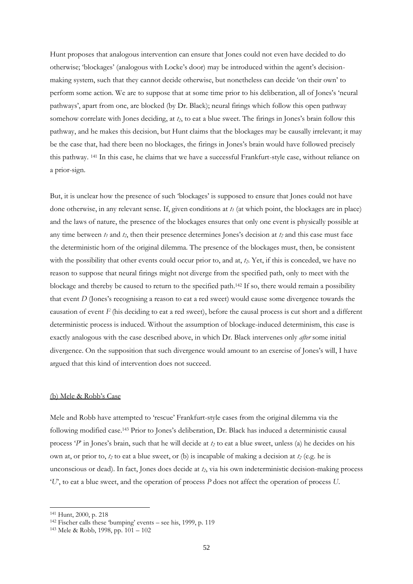Hunt proposes that analogous intervention can ensure that Jones could not even have decided to do otherwise; 'blockages' (analogous with Locke's door) may be introduced within the agent's decisionmaking system, such that they cannot decide otherwise, but nonetheless can decide "on their own" to perform some action. We are to suppose that at some time prior to his deliberation, all of Jones"s "neural pathways", apart from one, are blocked (by Dr. Black); neural firings which follow this open pathway somehow correlate with Jones deciding, at *t2*, to eat a blue sweet. The firings in Jones"s brain follow this pathway, and he makes this decision, but Hunt claims that the blockages may be causally irrelevant; it may be the case that, had there been no blockages, the firings in Jones"s brain would have followed precisely this pathway. <sup>141</sup> In this case, he claims that we have a successful Frankfurt-style case, without reliance on a prior-sign.

But, it is unclear how the presence of such "blockages" is supposed to ensure that Jones could not have done otherwise, in any relevant sense. If, given conditions at *t<sup>1</sup>* (at which point, the blockages are in place) and the laws of nature, the presence of the blockages ensures that only one event is physically possible at any time between *t<sup>1</sup>* and *t2*, then their presence determines Jones"s decision at *t<sup>2</sup>* and this case must face the deterministic horn of the original dilemma. The presence of the blockages must, then, be consistent with the possibility that other events could occur prior to, and at,  $t_2$ . Yet, if this is conceded, we have no reason to suppose that neural firings might not diverge from the specified path, only to meet with the blockage and thereby be caused to return to the specified path.<sup>142</sup> If so, there would remain a possibility that event *D* (Jones's recognising a reason to eat a red sweet) would cause some divergence towards the causation of event *F* (his deciding to eat a red sweet), before the causal process is cut short and a different deterministic process is induced. Without the assumption of blockage-induced determinism, this case is exactly analogous with the case described above, in which Dr. Black intervenes only *after* some initial divergence. On the supposition that such divergence would amount to an exercise of Jones"s will, I have argued that this kind of intervention does not succeed.

#### (b) Mele & Robb"s Case

Mele and Robb have attempted to "rescue" Frankfurt-style cases from the original dilemma via the following modified case.<sup>143</sup> Prior to Jones's deliberation, Dr. Black has induced a deterministic causal process "*P*" in Jones"s brain, such that he will decide at *t<sup>2</sup>* to eat a blue sweet, unless (a) he decides on his own at, or prior to, *t<sup>2</sup>* to eat a blue sweet, or (b) is incapable of making a decision at *t<sup>2</sup>* (e.g. he is unconscious or dead). In fact, Jones does decide at *t2*, via his own indeterministic decision-making process "*U*", to eat a blue sweet, and the operation of process *P* does not affect the operation of process *U*.

<sup>141</sup> Hunt, 2000, p. 218

<sup>142</sup> Fischer calls these "bumping" events – see his, 1999, p. 119

<sup>143</sup> Mele & Robb, 1998, pp. 101 – 102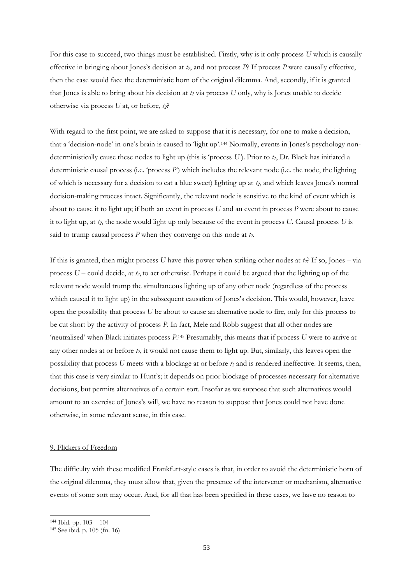For this case to succeed, two things must be established. Firstly, why is it only process *U* which is causally effective in bringing about Jones"s decision at *t2*, and not process *P*? If process *P* were causally effective, then the case would face the deterministic horn of the original dilemma. And, secondly, if it is granted that Jones is able to bring about his decision at *t<sup>2</sup>* via process *U* only, why is Jones unable to decide otherwise via process *U* at, or before, *t2*?

With regard to the first point, we are asked to suppose that it is necessary, for one to make a decision, that a 'decision-node' in one's brain is caused to 'light up'.<sup>144</sup> Normally, events in Jones's psychology nondeterministically cause these nodes to light up (this is "process *U'*). Prior to *t1*, Dr. Black has initiated a deterministic causal process (i.e. "process *P'*) which includes the relevant node (i.e. the node, the lighting of which is necessary for a decision to eat a blue sweet) lighting up at *t2*, and which leaves Jones"s normal decision-making process intact. Significantly, the relevant node is sensitive to the kind of event which is about to cause it to light up; if both an event in process *U* and an event in process *P* were about to cause it to light up, at *t2*, the node would light up only because of the event in process *U*. Causal process *U* is said to trump causal process *P* when they converge on this node at *t2*.

If this is granted, then might process *U* have this power when striking other nodes at *t2*? If so, Jones – via process *U* – could decide, at *t2*, to act otherwise. Perhaps it could be argued that the lighting up of the relevant node would trump the simultaneous lighting up of any other node (regardless of the process which caused it to light up) in the subsequent causation of Jones's decision. This would, however, leave open the possibility that process *U* be about to cause an alternative node to fire, only for this process to be cut short by the activity of process *P*. In fact, Mele and Robb suggest that all other nodes are 'neutralised' when Black initiates process  $P$ <sup>145</sup> Presumably, this means that if process *U* were to arrive at any other nodes at or before *t2*, it would not cause them to light up. But, similarly, this leaves open the possibility that process *U* meets with a blockage at or before *t<sup>2</sup>* and is rendered ineffective. It seems, then, that this case is very similar to Hunt"s; it depends on prior blockage of processes necessary for alternative decisions, but permits alternatives of a certain sort. Insofar as we suppose that such alternatives would amount to an exercise of Jones"s will, we have no reason to suppose that Jones could not have done otherwise, in some relevant sense, in this case.

#### 9. Flickers of Freedom

The difficulty with these modified Frankfurt-style cases is that, in order to avoid the deterministic horn of the original dilemma, they must allow that, given the presence of the intervener or mechanism, alternative events of some sort may occur. And, for all that has been specified in these cases, we have no reason to

<sup>144</sup> Ibid. pp. 103 – 104

<sup>145</sup> See ibid. p. 105 (fn. 16)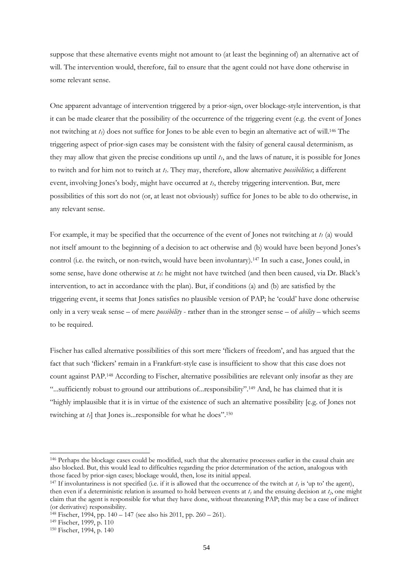suppose that these alternative events might not amount to (at least the beginning of) an alternative act of will. The intervention would, therefore, fail to ensure that the agent could not have done otherwise in some relevant sense.

One apparent advantage of intervention triggered by a prior-sign, over blockage-style intervention, is that it can be made clearer that the possibility of the occurrence of the triggering event (e.g. the event of Jones not twitching at *t1*) does not suffice for Jones to be able even to begin an alternative act of will.<sup>146</sup> The triggering aspect of prior-sign cases may be consistent with the falsity of general causal determinism, as they may allow that given the precise conditions up until *t1*, and the laws of nature, it is possible for Jones to twitch and for him not to twitch at *t1*. They may, therefore, allow alternative *possibilities*; a different event, involving Jones's body, might have occurred at  $t<sub>l</sub>$ , thereby triggering intervention. But, mere possibilities of this sort do not (or, at least not obviously) suffice for Jones to be able to do otherwise, in any relevant sense.

For example, it may be specified that the occurrence of the event of Jones not twitching at *t<sup>1</sup>* (a) would not itself amount to the beginning of a decision to act otherwise and (b) would have been beyond Jones"s control (i.e. the twitch, or non-twitch, would have been involuntary).<sup>147</sup> In such a case, Jones could, in some sense, have done otherwise at  $t_i$ : he might not have twitched (and then been caused, via Dr. Black's intervention, to act in accordance with the plan). But, if conditions (a) and (b) are satisfied by the triggering event, it seems that Jones satisfies no plausible version of PAP; he "could" have done otherwise only in a very weak sense – of mere *possibility* - rather than in the stronger sense – of *ability* – which seems to be required.

Fischer has called alternative possibilities of this sort mere "flickers of freedom", and has argued that the fact that such "flickers" remain in a Frankfurt-style case is insufficient to show that this case does not count against PAP.<sup>148</sup> According to Fischer, alternative possibilities are relevant only insofar as they are "...sufficiently robust to ground our attributions of...responsibility".<sup>149</sup> And, he has claimed that it is "highly implausible that it is in virtue of the existence of such an alternative possibility [e.g. of Jones not twitching at  $t_1$  that Jones is... responsible for what he does".<sup>150</sup>

<sup>146</sup> Perhaps the blockage cases could be modified, such that the alternative processes earlier in the causal chain are also blocked. But, this would lead to difficulties regarding the prior determination of the action, analogous with those faced by prior-sign cases; blockage would, then, lose its initial appeal.

<sup>&</sup>lt;sup>147</sup> If involuntariness is not specified (i.e. if it is allowed that the occurrence of the twitch at  $t<sub>1</sub>$  is 'up to' the agent), then even if a deterministic relation is assumed to hold between events at  $t_1$  and the ensuing decision at  $t_2$ , one might claim that the agent is responsible for what they have done, without threatening PAP; this may be a case of indirect (or derivative) responsibility.

<sup>148</sup> Fischer, 1994, pp. 140 – 147 (see also his 2011, pp. 260 – 261).

<sup>149</sup> Fischer, 1999, p. 110

<sup>150</sup> Fischer, 1994, p. 140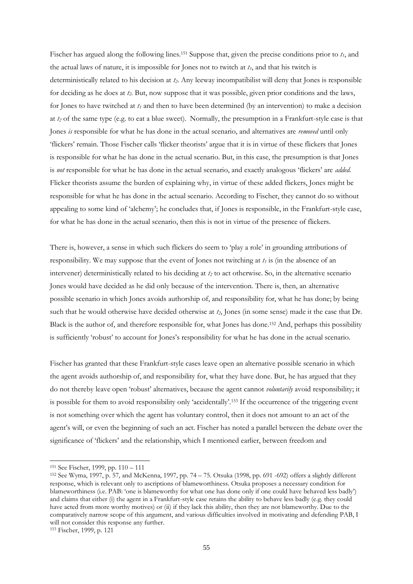Fischer has argued along the following lines.<sup>151</sup> Suppose that, given the precise conditions prior to *t1*, and the actual laws of nature, it is impossible for Jones not to twitch at *t1*, and that his twitch is deterministically related to his decision at *t2*. Any leeway incompatibilist will deny that Jones is responsible for deciding as he does at *t2*. But, now suppose that it was possible, given prior conditions and the laws, for Jones to have twitched at *t<sup>1</sup>* and then to have been determined (by an intervention) to make a decision at *t<sup>2</sup>* of the same type (e.g. to eat a blue sweet). Normally, the presumption in a Frankfurt-style case is that Jones *is* responsible for what he has done in the actual scenario, and alternatives are *removed* until only "flickers" remain. Those Fischer calls "flicker theorists" argue that it is in virtue of these flickers that Jones is responsible for what he has done in the actual scenario. But, in this case, the presumption is that Jones is *not* responsible for what he has done in the actual scenario, and exactly analogous "flickers" are *added*. Flicker theorists assume the burden of explaining why, in virtue of these added flickers, Jones might be responsible for what he has done in the actual scenario. According to Fischer, they cannot do so without appealing to some kind of "alchemy"; he concludes that, if Jones is responsible, in the Frankfurt-style case, for what he has done in the actual scenario, then this is not in virtue of the presence of flickers.

There is, however, a sense in which such flickers do seem to "play a role" in grounding attributions of responsibility. We may suppose that the event of Jones not twitching at *t<sup>1</sup>* is (in the absence of an intervener) deterministically related to his deciding at *t<sup>2</sup>* to act otherwise. So, in the alternative scenario Jones would have decided as he did only because of the intervention. There is, then, an alternative possible scenario in which Jones avoids authorship of, and responsibility for, what he has done; by being such that he would otherwise have decided otherwise at *t2*, Jones (in some sense) made it the case that Dr. Black is the author of, and therefore responsible for, what Jones has done.<sup>152</sup> And, perhaps this possibility is sufficiently 'robust' to account for Jones's responsibility for what he has done in the actual scenario.

Fischer has granted that these Frankfurt-style cases leave open an alternative possible scenario in which the agent avoids authorship of, and responsibility for, what they have done. But, he has argued that they do not thereby leave open "robust" alternatives, because the agent cannot *voluntarily* avoid responsibility; it is possible for them to avoid responsibility only 'accidentally'.<sup>153</sup> If the occurrence of the triggering event is not something over which the agent has voluntary control, then it does not amount to an act of the agent's will, or even the beginning of such an act. Fischer has noted a parallel between the debate over the significance of "flickers" and the relationship, which I mentioned earlier, between freedom and

<sup>151</sup> See Fischer, 1999, pp. 110 – 111

<sup>152</sup> See Wyma, 1997, p. 57, and McKenna, 1997, pp. 74 – 75. Otsuka (1998, pp. 691 -692) offers a slightly different response, which is relevant only to ascriptions of blameworthiness. Otsuka proposes a necessary condition for blameworthiness (i.e. PAB: "one is blameworthy for what one has done only if one could have behaved less badly") and claims that either (i) the agent in a Frankfurt-style case retains the ability to behave less badly (e.g. they could have acted from more worthy motives) or (ii) if they lack this ability, then they are not blameworthy. Due to the comparatively narrow scope of this argument, and various difficulties involved in motivating and defending PAB, I will not consider this response any further.

<sup>153</sup> Fischer, 1999, p. 121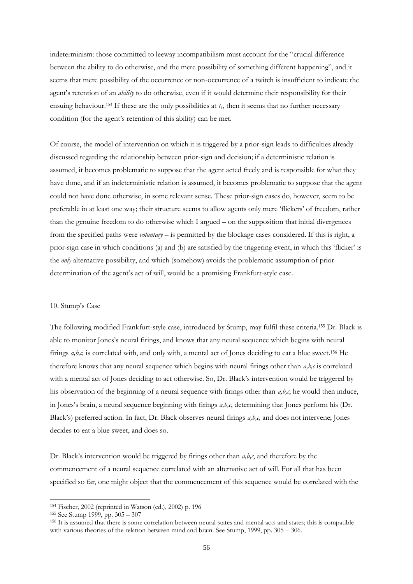indeterminism: those committed to leeway incompatibilism must account for the "crucial difference between the ability to do otherwise, and the mere possibility of something different happening", and it seems that mere possibility of the occurrence or non-occurrence of a twitch is insufficient to indicate the agent's retention of an *ability* to do otherwise, even if it would determine their responsibility for their ensuing behaviour.<sup>154</sup> If these are the only possibilities at  $t_1$ , then it seems that no further necessary condition (for the agent"s retention of this ability) can be met.

Of course, the model of intervention on which it is triggered by a prior-sign leads to difficulties already discussed regarding the relationship between prior-sign and decision; if a deterministic relation is assumed, it becomes problematic to suppose that the agent acted freely and is responsible for what they have done, and if an indeterministic relation is assumed, it becomes problematic to suppose that the agent could not have done otherwise, in some relevant sense. These prior-sign cases do, however, seem to be preferable in at least one way; their structure seems to allow agents only mere "flickers" of freedom, rather than the genuine freedom to do otherwise which I argued – on the supposition that initial divergences from the specified paths were *voluntary* – is permitted by the blockage cases considered. If this is right, a prior-sign case in which conditions (a) and (b) are satisfied by the triggering event, in which this "flicker" is the *only* alternative possibility, and which (somehow) avoids the problematic assumption of prior determination of the agent's act of will, would be a promising Frankfurt-style case.

#### 10. Stump's Case

The following modified Frankfurt-style case, introduced by Stump, may fulfil these criteria.<sup>155</sup> Dr. Black is able to monitor Jones"s neural firings, and knows that any neural sequence which begins with neural firings *a,b,c,* is correlated with, and only with, a mental act of Jones deciding to eat a blue sweet.<sup>156</sup> He therefore knows that any neural sequence which begins with neural firings other than  $a, b, c$  is correlated with a mental act of Jones deciding to act otherwise. So, Dr. Black's intervention would be triggered by his observation of the beginning of a neural sequence with firings other than *a,b,c*; he would then induce, in Jones"s brain, a neural sequence beginning with firings *a,b,c*, determining that Jones perform his (Dr. Black"s) preferred action. In fact, Dr. Black observes neural firings *a,b,c,* and does not intervene; Jones decides to eat a blue sweet, and does so.

Dr. Black"s intervention would be triggered by firings other than *a,b,c*, and therefore by the commencement of a neural sequence correlated with an alternative act of will. For all that has been specified so far, one might object that the commencement of this sequence would be correlated with the

<sup>154</sup> Fischer, 2002 (reprinted in Watson (ed.), 2002) p. 196

<sup>155</sup> See Stump 1999, pp. 305 – 307

<sup>156</sup> It is assumed that there is some correlation between neural states and mental acts and states; this is compatible with various theories of the relation between mind and brain. See Stump, 1999, pp. 305 – 306.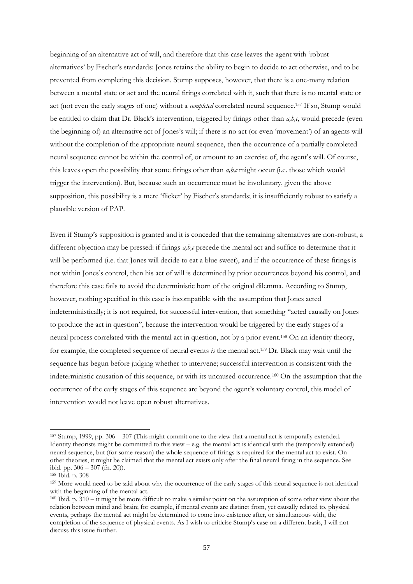beginning of an alternative act of will, and therefore that this case leaves the agent with "robust alternatives" by Fischer"s standards: Jones retains the ability to begin to decide to act otherwise, and to be prevented from completing this decision. Stump supposes, however, that there is a one-many relation between a mental state or act and the neural firings correlated with it, such that there is no mental state or act (not even the early stages of one) without a *completed* correlated neural sequence.<sup>157</sup> If so, Stump would be entitled to claim that Dr. Black"s intervention, triggered by firings other than *a,b,c*, would precede (even the beginning of) an alternative act of Jones's will; if there is no act (or even 'movement') of an agents will without the completion of the appropriate neural sequence, then the occurrence of a partially completed neural sequence cannot be within the control of, or amount to an exercise of, the agent's will. Of course, this leaves open the possibility that some firings other than *a,b,c* might occur (i.e. those which would trigger the intervention). But, because such an occurrence must be involuntary, given the above supposition, this possibility is a mere "flicker" by Fischer"s standards; it is insufficiently robust to satisfy a plausible version of PAP.

Even if Stump"s supposition is granted and it is conceded that the remaining alternatives are non-robust, a different objection may be pressed: if firings *a,b,c* precede the mental act and suffice to determine that it will be performed (i.e. that Jones will decide to eat a blue sweet), and if the occurrence of these firings is not within Jones"s control, then his act of will is determined by prior occurrences beyond his control, and therefore this case fails to avoid the deterministic horn of the original dilemma. According to Stump, however, nothing specified in this case is incompatible with the assumption that Jones acted indeterministically; it is not required, for successful intervention, that something "acted causally on Jones to produce the act in question", because the intervention would be triggered by the early stages of a neural process correlated with the mental act in question, not by a prior event.<sup>158</sup> On an identity theory, for example, the completed sequence of neural events *is* the mental act.<sup>159</sup> Dr. Black may wait until the sequence has begun before judging whether to intervene; successful intervention is consistent with the indeterministic causation of this sequence, or with its uncaused occurrence.<sup>160</sup> On the assumption that the occurrence of the early stages of this sequence are beyond the agent"s voluntary control, this model of intervention would not leave open robust alternatives.

<sup>157</sup> Stump, 1999, pp. 306 – 307 (This might commit one to the view that a mental act is temporally extended. Identity theorists might be committed to this view – e.g. the mental act is identical with the (temporally extended) neural sequence, but (for some reason) the whole sequence of firings is required for the mental act to exist. On other theories, it might be claimed that the mental act exists only after the final neural firing in the sequence. See ibid. pp. 306 – 307 (fn. 20)).

<sup>158</sup> Ibid. p. 308

<sup>159</sup> More would need to be said about why the occurrence of the early stages of this neural sequence is not identical with the beginning of the mental act.

<sup>160</sup> Ibid. p. 310 – it might be more difficult to make a similar point on the assumption of some other view about the relation between mind and brain; for example, if mental events are distinct from, yet causally related to, physical events, perhaps the mental act might be determined to come into existence after, or simultaneous with, the completion of the sequence of physical events. As I wish to criticise Stump"s case on a different basis, I will not discuss this issue further.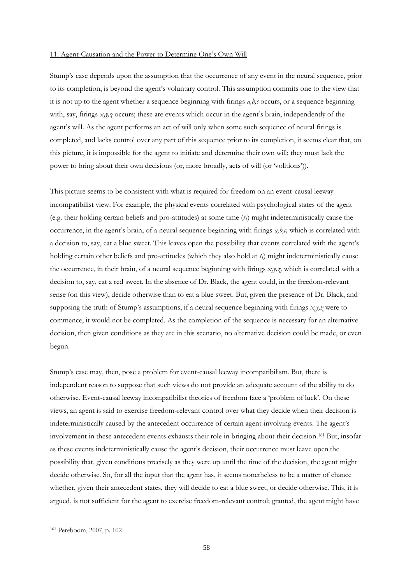#### 11. Agent-Causation and the Power to Determine One"s Own Will

Stump"s case depends upon the assumption that the occurrence of any event in the neural sequence, prior to its completion, is beyond the agent's voluntary control. This assumption commits one to the view that it is not up to the agent whether a sequence beginning with firings  $a, b, c$  occurs, or a sequence beginning with, say, firings *x*,y,z<sup>*o*</sup> occurs; these are events which occur in the agent's brain, independently of the agent's will. As the agent performs an act of will only when some such sequence of neural firings is completed, and lacks control over any part of this sequence prior to its completion, it seems clear that, on this picture, it is impossible for the agent to initiate and determine their own will; they must lack the power to bring about their own decisions (or, more broadly, acts of will (or "volitions")).

This picture seems to be consistent with what is required for freedom on an event-causal leeway incompatibilist view. For example, the physical events correlated with psychological states of the agent (e.g. their holding certain beliefs and pro-attitudes) at some time (*t1*) might indeterministically cause the occurrence, in the agent's brain, of a neural sequence beginning with firings  $a,b,c$ , which is correlated with a decision to, say, eat a blue sweet. This leaves open the possibility that events correlated with the agent"s holding certain other beliefs and pro-attitudes (which they also hold at *t1*) might indeterministically cause the occurrence, in their brain, of a neural sequence beginning with firings *x,y,z,* which is correlated with a decision to, say, eat a red sweet. In the absence of Dr. Black, the agent could, in the freedom-relevant sense (on this view), decide otherwise than to eat a blue sweet. But, given the presence of Dr. Black, and supposing the truth of Stump's assumptions, if a neural sequence beginning with firings  $x, y, z$  were to commence, it would not be completed. As the completion of the sequence is necessary for an alternative decision, then given conditions as they are in this scenario, no alternative decision could be made, or even begun.

Stump"s case may, then, pose a problem for event-causal leeway incompatibilism. But, there is independent reason to suppose that such views do not provide an adequate account of the ability to do otherwise. Event-causal leeway incompatibilist theories of freedom face a "problem of luck". On these views, an agent is said to exercise freedom-relevant control over what they decide when their decision is indeterministically caused by the antecedent occurrence of certain agent-involving events. The agent"s involvement in these antecedent events exhausts their role in bringing about their decision.<sup>161</sup> But, insofar as these events indeterministically cause the agent"s decision, their occurrence must leave open the possibility that, given conditions precisely as they were up until the time of the decision, the agent might decide otherwise. So, for all the input that the agent has, it seems nonetheless to be a matter of chance whether, given their antecedent states, they will decide to eat a blue sweet, or decide otherwise. This, it is argued, is not sufficient for the agent to exercise freedom-relevant control; granted, the agent might have

<sup>161</sup> Pereboom, 2007, p. 102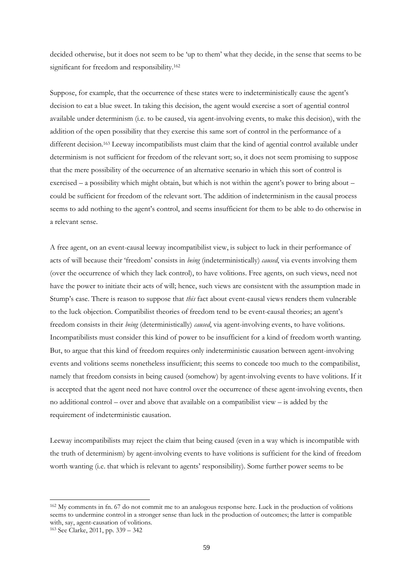decided otherwise, but it does not seem to be "up to them" what they decide, in the sense that seems to be significant for freedom and responsibility.<sup>162</sup>

Suppose, for example, that the occurrence of these states were to indeterministically cause the agent"s decision to eat a blue sweet. In taking this decision, the agent would exercise a sort of agential control available under determinism (i.e. to be caused, via agent-involving events, to make this decision), with the addition of the open possibility that they exercise this same sort of control in the performance of a different decision.<sup>163</sup> Leeway incompatibilists must claim that the kind of agential control available under determinism is not sufficient for freedom of the relevant sort; so, it does not seem promising to suppose that the mere possibility of the occurrence of an alternative scenario in which this sort of control is exercised – a possibility which might obtain, but which is not within the agent's power to bring about – could be sufficient for freedom of the relevant sort. The addition of indeterminism in the causal process seems to add nothing to the agent"s control, and seems insufficient for them to be able to do otherwise in a relevant sense.

A free agent, on an event-causal leeway incompatibilist view, is subject to luck in their performance of acts of will because their "freedom" consists in *being* (indeterministically) *caused*, via events involving them (over the occurrence of which they lack control), to have volitions. Free agents, on such views, need not have the power to initiate their acts of will; hence, such views are consistent with the assumption made in Stump's case. There is reason to suppose that *this* fact about event-causal views renders them vulnerable to the luck objection. Compatibilist theories of freedom tend to be event-causal theories; an agent's freedom consists in their *being* (deterministically) *caused*, via agent-involving events, to have volitions. Incompatibilists must consider this kind of power to be insufficient for a kind of freedom worth wanting. But, to argue that this kind of freedom requires only indeterministic causation between agent-involving events and volitions seems nonetheless insufficient; this seems to concede too much to the compatibilist, namely that freedom consists in being caused (somehow) by agent-involving events to have volitions. If it is accepted that the agent need not have control over the occurrence of these agent-involving events, then no additional control – over and above that available on a compatibilist view – is added by the requirement of indeterministic causation.

Leeway incompatibilists may reject the claim that being caused (even in a way which is incompatible with the truth of determinism) by agent-involving events to have volitions is sufficient for the kind of freedom worth wanting (i.e. that which is relevant to agents' responsibility). Some further power seems to be

<sup>162</sup> My comments in fn. 67 do not commit me to an analogous response here. Luck in the production of volitions seems to undermine control in a stronger sense than luck in the production of outcomes; the latter is compatible with, say, agent-causation of volitions.

<sup>163</sup> See Clarke, 2011, pp. 339 – 342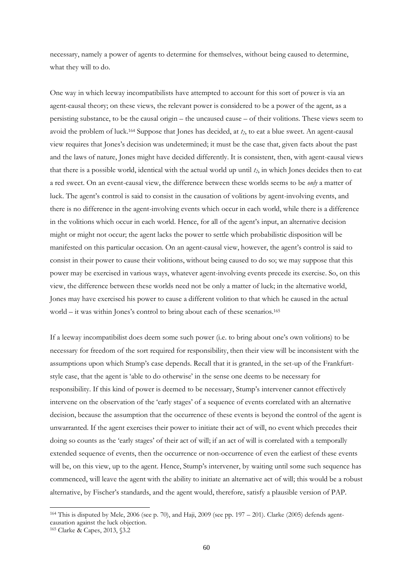necessary, namely a power of agents to determine for themselves, without being caused to determine, what they will to do.

One way in which leeway incompatibilists have attempted to account for this sort of power is via an agent-causal theory; on these views, the relevant power is considered to be a power of the agent, as a persisting substance, to be the causal origin – the uncaused cause – of their volitions. These views seem to avoid the problem of luck.<sup>164</sup> Suppose that Jones has decided, at *t2*, to eat a blue sweet. An agent-causal view requires that Jones"s decision was undetermined; it must be the case that, given facts about the past and the laws of nature, Jones might have decided differently. It is consistent, then, with agent-causal views that there is a possible world, identical with the actual world up until *t2*, in which Jones decides then to eat a red sweet. On an event-causal view, the difference between these worlds seems to be *only* a matter of luck. The agent's control is said to consist in the causation of volitions by agent-involving events, and there is no difference in the agent-involving events which occur in each world, while there is a difference in the volitions which occur in each world. Hence, for all of the agent's input, an alternative decision might or might not occur; the agent lacks the power to settle which probabilistic disposition will be manifested on this particular occasion. On an agent-causal view, however, the agent"s control is said to consist in their power to cause their volitions, without being caused to do so; we may suppose that this power may be exercised in various ways, whatever agent-involving events precede its exercise. So, on this view, the difference between these worlds need not be only a matter of luck; in the alternative world, Jones may have exercised his power to cause a different volition to that which he caused in the actual world – it was within Jones's control to bring about each of these scenarios.<sup>165</sup>

If a leeway incompatibilist does deem some such power (i.e. to bring about one"s own volitions) to be necessary for freedom of the sort required for responsibility, then their view will be inconsistent with the assumptions upon which Stump"s case depends. Recall that it is granted, in the set-up of the Frankfurtstyle case, that the agent is "able to do otherwise" in the sense one deems to be necessary for responsibility. If this kind of power is deemed to be necessary, Stump"s intervener cannot effectively intervene on the observation of the "early stages" of a sequence of events correlated with an alternative decision, because the assumption that the occurrence of these events is beyond the control of the agent is unwarranted. If the agent exercises their power to initiate their act of will, no event which precedes their doing so counts as the "early stages" of their act of will; if an act of will is correlated with a temporally extended sequence of events, then the occurrence or non-occurrence of even the earliest of these events will be, on this view, up to the agent. Hence, Stump's intervener, by waiting until some such sequence has commenced, will leave the agent with the ability to initiate an alternative act of will; this would be a robust alternative, by Fischer"s standards, and the agent would, therefore, satisfy a plausible version of PAP.

<sup>164</sup> This is disputed by Mele, 2006 (see p. 70), and Haji, 2009 (see pp. 197 – 201). Clarke (2005) defends agentcausation against the luck objection.

<sup>165</sup> Clarke & Capes, 2013, §3.2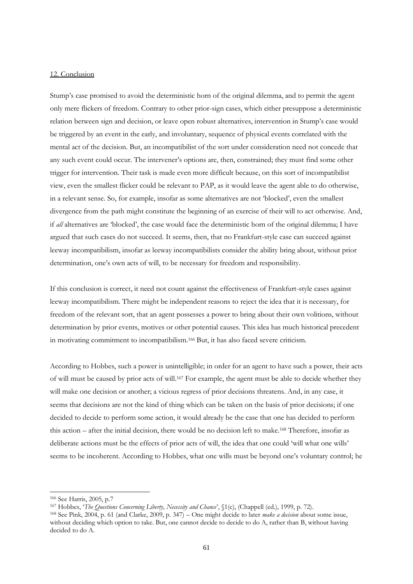#### 12. Conclusion

Stump"s case promised to avoid the deterministic horn of the original dilemma, and to permit the agent only mere flickers of freedom. Contrary to other prior-sign cases, which either presuppose a deterministic relation between sign and decision, or leave open robust alternatives, intervention in Stump's case would be triggered by an event in the early, and involuntary, sequence of physical events correlated with the mental act of the decision. But, an incompatibilist of the sort under consideration need not concede that any such event could occur. The intervener"s options are, then, constrained; they must find some other trigger for intervention. Their task is made even more difficult because, on this sort of incompatibilist view, even the smallest flicker could be relevant to PAP, as it would leave the agent able to do otherwise, in a relevant sense. So, for example, insofar as some alternatives are not "blocked", even the smallest divergence from the path might constitute the beginning of an exercise of their will to act otherwise. And, if *all* alternatives are "blocked", the case would face the deterministic horn of the original dilemma; I have argued that such cases do not succeed. It seems, then, that no Frankfurt-style case can succeed against leeway incompatibilism, insofar as leeway incompatibilists consider the ability bring about, without prior determination, one's own acts of will, to be necessary for freedom and responsibility.

If this conclusion is correct, it need not count against the effectiveness of Frankfurt-style cases against leeway incompatibilism. There might be independent reasons to reject the idea that it is necessary, for freedom of the relevant sort, that an agent possesses a power to bring about their own volitions, without determination by prior events, motives or other potential causes. This idea has much historical precedent in motivating commitment to incompatibilism.<sup>166</sup> But, it has also faced severe criticism.

According to Hobbes, such a power is unintelligible; in order for an agent to have such a power, their acts of will must be caused by prior acts of will.<sup>167</sup> For example, the agent must be able to decide whether they will make one decision or another; a vicious regress of prior decisions threatens. And, in any case, it seems that decisions are not the kind of thing which can be taken on the basis of prior decisions; if one decided to decide to perform some action, it would already be the case that one has decided to perform this action – after the initial decision, there would be no decision left to make.<sup>168</sup> Therefore, insofar as deliberate actions must be the effects of prior acts of will, the idea that one could "will what one wills" seems to be incoherent. According to Hobbes, what one wills must be beyond one"s voluntary control; he

<sup>166</sup> See Harris, 2005, p.7

<sup>167</sup> Hobbes, "*The Questions Concerning Liberty, Necessity and Chance*", §1(c), (Chappell (ed.), 1999, p. 72).

<sup>168</sup> See Pink, 2004, p. 61 (and Clarke, 2009, p. 347) – One might decide to later *make a decision* about some issue, without deciding which option to take. But, one cannot decide to decide to do A, rather than B, without having decided to do A.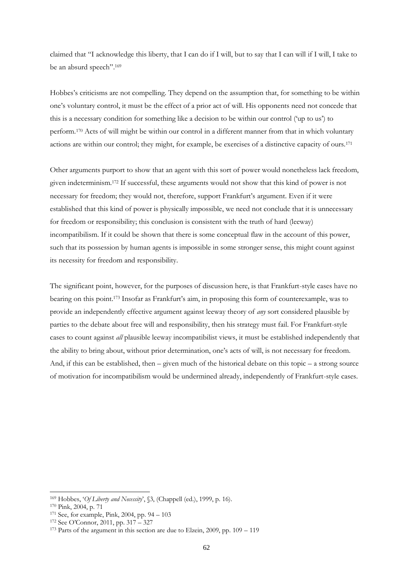claimed that "I acknowledge this liberty, that I can do if I will, but to say that I can will if I will, I take to be an absurd speech".<sup>169</sup>

Hobbes"s criticisms are not compelling. They depend on the assumption that, for something to be within one"s voluntary control, it must be the effect of a prior act of will. His opponents need not concede that this is a necessary condition for something like a decision to be within our control ("up to us") to perform.<sup>170</sup> Acts of will might be within our control in a different manner from that in which voluntary actions are within our control; they might, for example, be exercises of a distinctive capacity of ours.<sup>171</sup>

Other arguments purport to show that an agent with this sort of power would nonetheless lack freedom, given indeterminism.<sup>172</sup> If successful, these arguments would not show that this kind of power is not necessary for freedom; they would not, therefore, support Frankfurt's argument. Even if it were established that this kind of power is physically impossible, we need not conclude that it is unnecessary for freedom or responsibility; this conclusion is consistent with the truth of hard (leeway) incompatibilism. If it could be shown that there is some conceptual flaw in the account of this power, such that its possession by human agents is impossible in some stronger sense, this might count against its necessity for freedom and responsibility.

The significant point, however, for the purposes of discussion here, is that Frankfurt-style cases have no bearing on this point.<sup>173</sup> Insofar as Frankfurt's aim, in proposing this form of counterexample, was to provide an independently effective argument against leeway theory of *any* sort considered plausible by parties to the debate about free will and responsibility, then his strategy must fail. For Frankfurt-style cases to count against *all* plausible leeway incompatibilist views, it must be established independently that the ability to bring about, without prior determination, one"s acts of will, is not necessary for freedom. And, if this can be established, then – given much of the historical debate on this topic – a strong source of motivation for incompatibilism would be undermined already, independently of Frankfurt-style cases.

<sup>&</sup>lt;sup>169</sup> Hobbes, '*Of Liberty and Necessity*', §3, (Chappell (ed.), 1999, p. 16).

<sup>170</sup> Pink, 2004, p. 71

<sup>171</sup> See, for example, Pink, 2004, pp. 94 – 103

<sup>172</sup> See O"Connor, 2011, pp. 317 – 327

<sup>173</sup> Parts of the argument in this section are due to Elzein, 2009, pp. 109 – 119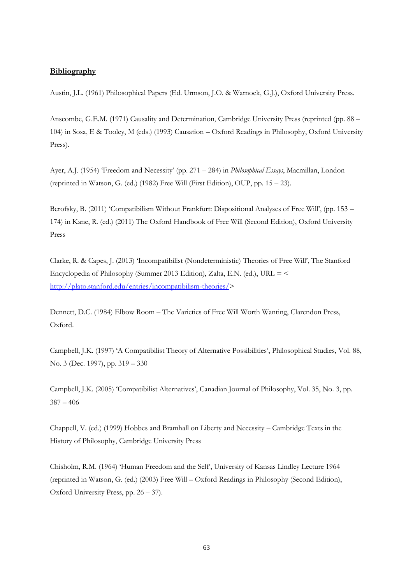# **Bibliography**

Austin, J.L. (1961) Philosophical Papers (Ed. Urmson, J.O. & Warnock, G.J.), Oxford University Press.

Anscombe, G.E.M. (1971) Causality and Determination, Cambridge University Press (reprinted (pp. 88 – 104) in Sosa, E & Tooley, M (eds.) (1993) Causation – Oxford Readings in Philosophy, Oxford University Press).

Ayer, A.J. (1954) "Freedom and Necessity" (pp. 271 – 284) in *Philosophical Essays*, Macmillan, London (reprinted in Watson, G. (ed.) (1982) Free Will (First Edition), OUP, pp. 15 – 23).

Berofsky, B. (2011) 'Compatibilism Without Frankfurt: Dispositional Analyses of Free Will', (pp. 153 – 174) in Kane, R. (ed.) (2011) The Oxford Handbook of Free Will (Second Edition), Oxford University Press

Clarke, R. & Capes, J. (2013) "Incompatibilist (Nondeterministic) Theories of Free Will", The Stanford Encyclopedia of Philosophy (Summer 2013 Edition), Zalta, E.N. (ed.), URL = < [http://plato.stanford.edu/entries/incompatibilism-theories/>](http://plato.stanford.edu/entries/incompatibilism-theories/)

Dennett, D.C. (1984) Elbow Room – The Varieties of Free Will Worth Wanting, Clarendon Press, Oxford.

Campbell, J.K. (1997) "A Compatibilist Theory of Alternative Possibilities", Philosophical Studies, Vol. 88, No. 3 (Dec. 1997), pp. 319 – 330

Campbell, J.K. (2005) "Compatibilist Alternatives", Canadian Journal of Philosophy, Vol. 35, No. 3, pp. 387 – 406

Chappell, V. (ed.) (1999) Hobbes and Bramhall on Liberty and Necessity – Cambridge Texts in the History of Philosophy, Cambridge University Press

Chisholm, R.M. (1964) 'Human Freedom and the Self', University of Kansas Lindley Lecture 1964 (reprinted in Watson, G. (ed.) (2003) Free Will – Oxford Readings in Philosophy (Second Edition), Oxford University Press, pp. 26 – 37).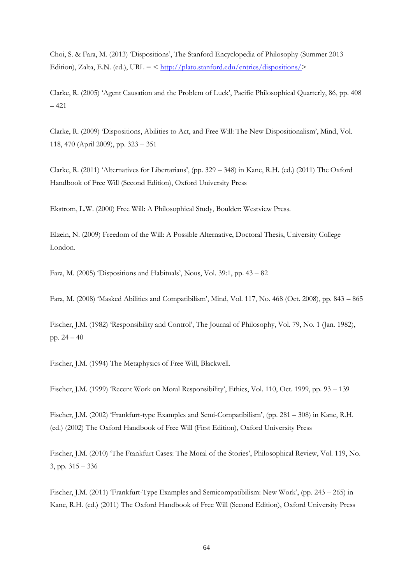Choi, S. & Fara, M. (2013) "Dispositions", The Stanford Encyclopedia of Philosophy (Summer 2013 Edition), Zalta, E.N. (ed.), URL =  $\langle \frac{\text{http://plate.stanford.edu/entries/dispositions/}}{\text{http://plate.stanford.edu/entries/dispositions/}} \rangle$ 

Clarke, R. (2005) "Agent Causation and the Problem of Luck", Pacific Philosophical Quarterly, 86, pp. 408 – 421

Clarke, R. (2009) "Dispositions, Abilities to Act, and Free Will: The New Dispositionalism", Mind, Vol. 118, 470 (April 2009), pp. 323 – 351

Clarke, R. (2011) 'Alternatives for Libertarians', (pp. 329 – 348) in Kane, R.H. (ed.) (2011) The Oxford Handbook of Free Will (Second Edition), Oxford University Press

Ekstrom, L.W. (2000) Free Will: A Philosophical Study, Boulder: Westview Press.

Elzein, N. (2009) Freedom of the Will: A Possible Alternative, Doctoral Thesis, University College London.

Fara, M. (2005) Dispositions and Habituals', Nous, Vol. 39:1, pp.  $43 - 82$ 

Fara, M. (2008) "Masked Abilities and Compatibilism", Mind, Vol. 117, No. 468 (Oct. 2008), pp. 843 – 865

Fischer, J.M. (1982) "Responsibility and Control", The Journal of Philosophy, Vol. 79, No. 1 (Jan. 1982), pp. 24 – 40

Fischer, J.M. (1994) The Metaphysics of Free Will, Blackwell.

Fischer, J.M. (1999) "Recent Work on Moral Responsibility", Ethics, Vol. 110, Oct. 1999, pp. 93 – 139

Fischer, J.M. (2002) "Frankfurt-type Examples and Semi-Compatibilism", (pp. 281 – 308) in Kane, R.H. (ed.) (2002) The Oxford Handbook of Free Will (First Edition), Oxford University Press

Fischer, J.M. (2010) 'The Frankfurt Cases: The Moral of the Stories', Philosophical Review, Vol. 119, No. 3, pp. 315 – 336

Fischer, J.M. (2011) "Frankfurt-Type Examples and Semicompatibilism: New Work", (pp. 243 – 265) in Kane, R.H. (ed.) (2011) The Oxford Handbook of Free Will (Second Edition), Oxford University Press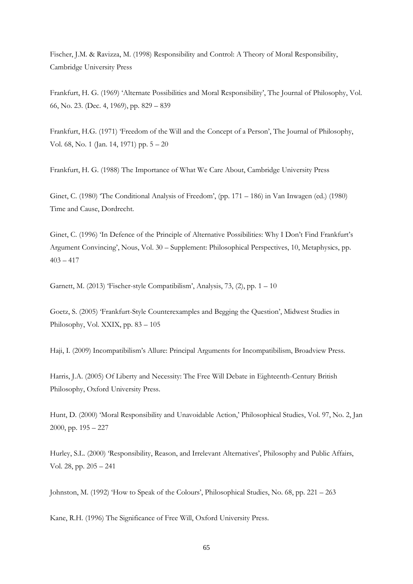Fischer, J.M. & Ravizza, M. (1998) Responsibility and Control: A Theory of Moral Responsibility, Cambridge University Press

Frankfurt, H. G. (1969) "Alternate Possibilities and Moral Responsibility", The Journal of Philosophy, Vol. 66, No. 23. (Dec. 4, 1969), pp. 829 – 839

Frankfurt, H.G. (1971) "Freedom of the Will and the Concept of a Person", The Journal of Philosophy, Vol. 68, No. 1 (Jan. 14, 1971) pp. 5 – 20

Frankfurt, H. G. (1988) The Importance of What We Care About, Cambridge University Press

Ginet, C. (1980) 'The Conditional Analysis of Freedom', (pp. 171 – 186) in Van Inwagen (ed.) (1980) Time and Cause, Dordrecht.

Ginet, C. (1996) 'In Defence of the Principle of Alternative Possibilities: Why I Don't Find Frankfurt's Argument Convincing", Nous, Vol. 30 – Supplement: Philosophical Perspectives, 10, Metaphysics, pp.  $403 - 417$ 

Garnett, M. (2013) "Fischer-style Compatibilism", Analysis, 73, (2), pp. 1 – 10

Goetz, S. (2005) "Frankfurt-Style Counterexamples and Begging the Question", Midwest Studies in Philosophy, Vol. XXIX, pp. 83 – 105

Haji, I. (2009) Incompatibilism"s Allure: Principal Arguments for Incompatibilism, Broadview Press.

Harris, J.A. (2005) Of Liberty and Necessity: The Free Will Debate in Eighteenth-Century British Philosophy, Oxford University Press.

Hunt, D. (2000) "Moral Responsibility and Unavoidable Action," Philosophical Studies, Vol. 97, No. 2, Jan 2000, pp. 195 – 227

Hurley, S.L. (2000) "Responsibility, Reason, and Irrelevant Alternatives", Philosophy and Public Affairs, Vol. 28, pp. 205 – 241

Johnston, M. (1992) "How to Speak of the Colours", Philosophical Studies, No. 68, pp. 221 – 263

Kane, R.H. (1996) The Significance of Free Will, Oxford University Press.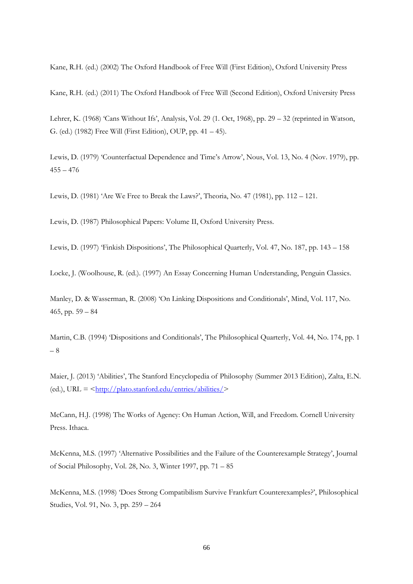Kane, R.H. (ed.) (2002) The Oxford Handbook of Free Will (First Edition), Oxford University Press

Kane, R.H. (ed.) (2011) The Oxford Handbook of Free Will (Second Edition), Oxford University Press

Lehrer, K. (1968) 'Cans Without Ifs', Analysis, Vol. 29 (1. Oct, 1968), pp.  $29 - 32$  (reprinted in Watson, G. (ed.) (1982) Free Will (First Edition), OUP, pp. 41 – 45).

Lewis, D. (1979) "Counterfactual Dependence and Time"s Arrow", Nous, Vol. 13, No. 4 (Nov. 1979), pp.  $455 - 476$ 

Lewis, D. (1981) "Are We Free to Break the Laws?", Theoria, No. 47 (1981), pp. 112 – 121.

Lewis, D. (1987) Philosophical Papers: Volume II, Oxford University Press.

Lewis, D. (1997) "Finkish Dispositions", The Philosophical Quarterly, Vol. 47, No. 187, pp. 143 – 158

Locke, J. (Woolhouse, R. (ed.). (1997) An Essay Concerning Human Understanding, Penguin Classics.

Manley, D. & Wasserman, R. (2008) "On Linking Dispositions and Conditionals", Mind, Vol. 117, No. 465, pp.  $59 - 84$ 

Martin, C.B. (1994) 'Dispositions and Conditionals', The Philosophical Quarterly, Vol. 44, No. 174, pp. 1 – 8

Maier, J. (2013) 'Abilities', The Stanford Encyclopedia of Philosophy (Summer 2013 Edition), Zalta, E.N. (ed.), URL =  $\frac{\text{http://plate.stanford.edu/entries/}$ 

McCann, H.J. (1998) The Works of Agency: On Human Action, Will, and Freedom. Cornell University Press. Ithaca.

McKenna, M.S. (1997) "Alternative Possibilities and the Failure of the Counterexample Strategy", Journal of Social Philosophy, Vol. 28, No. 3, Winter 1997, pp. 71 – 85

McKenna, M.S. (1998) "Does Strong Compatibilism Survive Frankfurt Counterexamples?", Philosophical Studies, Vol. 91, No. 3, pp. 259 – 264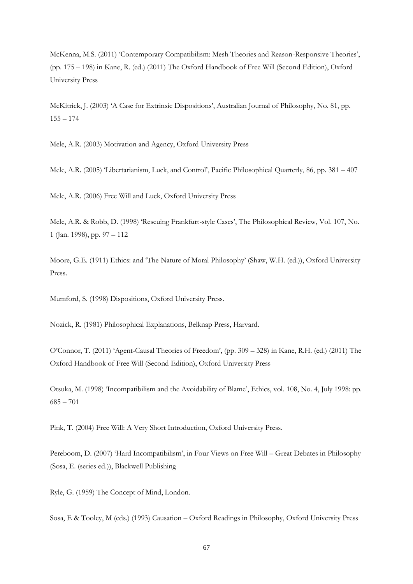McKenna, M.S. (2011) "Contemporary Compatibilism: Mesh Theories and Reason-Responsive Theories", (pp. 175 – 198) in Kane, R. (ed.) (2011) The Oxford Handbook of Free Will (Second Edition), Oxford University Press

McKitrick, J. (2003) "A Case for Extrinsic Dispositions", Australian Journal of Philosophy, No. 81, pp.  $155 - 174$ 

Mele, A.R. (2003) Motivation and Agency, Oxford University Press

Mele, A.R. (2005) 'Libertarianism, Luck, and Control', Pacific Philosophical Quarterly, 86, pp. 381 – 407

Mele, A.R. (2006) Free Will and Luck, Oxford University Press

Mele, A.R. & Robb, D. (1998) 'Rescuing Frankfurt-style Cases', The Philosophical Review, Vol. 107, No. 1 (Jan. 1998), pp. 97 – 112

Moore, G.E. (1911) Ethics: and "The Nature of Moral Philosophy" (Shaw, W.H. (ed.)), Oxford University Press.

Mumford, S. (1998) Dispositions, Oxford University Press.

Nozick, R. (1981) Philosophical Explanations, Belknap Press, Harvard.

O"Connor, T. (2011) "Agent-Causal Theories of Freedom", (pp. 309 – 328) in Kane, R.H. (ed.) (2011) The Oxford Handbook of Free Will (Second Edition), Oxford University Press

Otsuka, M. (1998) "Incompatibilism and the Avoidability of Blame", Ethics, vol. 108, No. 4, July 1998: pp. 685 – 701

Pink, T. (2004) Free Will: A Very Short Introduction, Oxford University Press.

Pereboom, D. (2007) "Hard Incompatibilism", in Four Views on Free Will – Great Debates in Philosophy (Sosa, E. (series ed.)), Blackwell Publishing

Ryle, G. (1959) The Concept of Mind, London.

Sosa, E & Tooley, M (eds.) (1993) Causation – Oxford Readings in Philosophy, Oxford University Press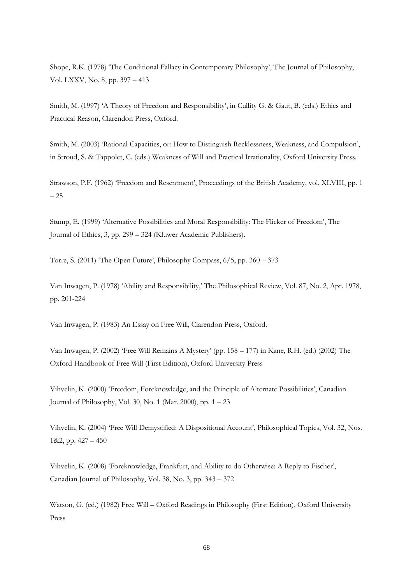Shope, R.K. (1978) "The Conditional Fallacy in Contemporary Philosophy", The Journal of Philosophy, Vol. LXXV, No. 8, pp. 397 – 413

Smith, M. (1997) 'A Theory of Freedom and Responsibility', in Cullity G. & Gaut, B. (eds.) Ethics and Practical Reason, Clarendon Press, Oxford.

Smith, M. (2003) 'Rational Capacities, or: How to Distinguish Recklessness, Weakness, and Compulsion', in Stroud, S. & Tappolet, C. (eds.) Weakness of Will and Practical Irrationality, Oxford University Press.

Strawson, P.F. (1962) "Freedom and Resentment", Proceedings of the British Academy, vol. XLVIII, pp. 1 – 25

Stump, E. (1999) "Alternative Possibilities and Moral Responsibility: The Flicker of Freedom", The Journal of Ethics, 3, pp. 299 – 324 (Kluwer Academic Publishers).

Torre, S. (2011) "The Open Future", Philosophy Compass, 6/5, pp. 360 – 373

Van Inwagen, P. (1978) "Ability and Responsibility," The Philosophical Review, Vol. 87, No. 2, Apr. 1978, pp. 201-224

Van Inwagen, P. (1983) An Essay on Free Will, Clarendon Press, Oxford.

Van Inwagen, P. (2002) "Free Will Remains A Mystery" (pp. 158 – 177) in Kane, R.H. (ed.) (2002) The Oxford Handbook of Free Will (First Edition), Oxford University Press

Vihvelin, K. (2000) "Freedom, Foreknowledge, and the Principle of Alternate Possibilities", Canadian Journal of Philosophy, Vol. 30, No. 1 (Mar. 2000), pp. 1 – 23

Vihvelin, K. (2004) "Free Will Demystified: A Dispositional Account", Philosophical Topics, Vol. 32, Nos. 1&2, pp. 427 – 450

Vihvelin, K. (2008) "Foreknowledge, Frankfurt, and Ability to do Otherwise: A Reply to Fischer", Canadian Journal of Philosophy, Vol. 38, No. 3, pp. 343 – 372

Watson, G. (ed.) (1982) Free Will – Oxford Readings in Philosophy (First Edition), Oxford University Press